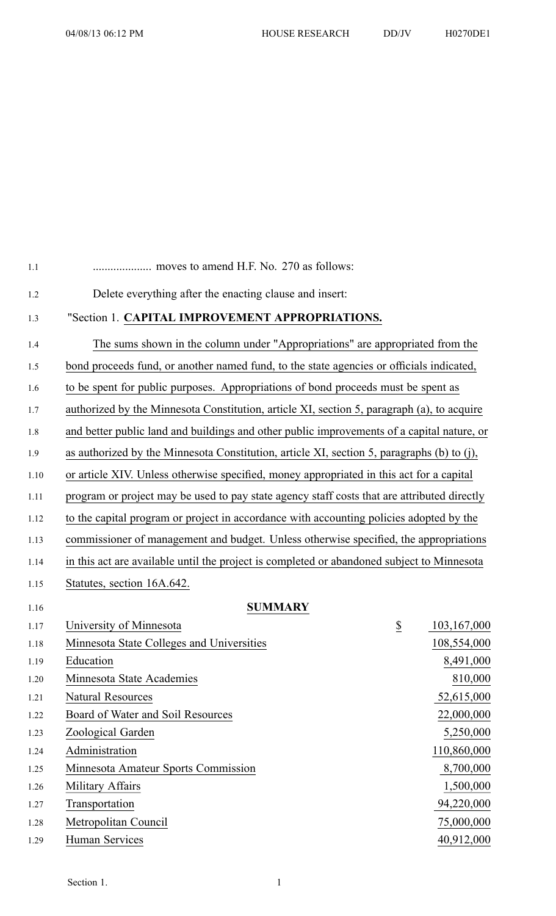| 1.2  | Delete everything after the enacting clause and insert:                                     |                  |             |  |
|------|---------------------------------------------------------------------------------------------|------------------|-------------|--|
| 1.3  | "Section 1. CAPITAL IMPROVEMENT APPROPRIATIONS.                                             |                  |             |  |
| 1.4  | The sums shown in the column under "Appropriations" are appropriated from the               |                  |             |  |
| 1.5  | bond proceeds fund, or another named fund, to the state agencies or officials indicated,    |                  |             |  |
| 1.6  | to be spent for public purposes. Appropriations of bond proceeds must be spent as           |                  |             |  |
| 1.7  | authorized by the Minnesota Constitution, article XI, section 5, paragraph (a), to acquire  |                  |             |  |
| 1.8  | and better public land and buildings and other public improvements of a capital nature, or  |                  |             |  |
| 1.9  | as authorized by the Minnesota Constitution, article XI, section 5, paragraphs (b) to (j),  |                  |             |  |
| 1.10 | or article XIV. Unless otherwise specified, money appropriated in this act for a capital    |                  |             |  |
| 1.11 | program or project may be used to pay state agency staff costs that are attributed directly |                  |             |  |
|      |                                                                                             |                  |             |  |
| 1.12 | to the capital program or project in accordance with accounting policies adopted by the     |                  |             |  |
| 1.13 | commissioner of management and budget. Unless otherwise specified, the appropriations       |                  |             |  |
| 1.14 | in this act are available until the project is completed or abandoned subject to Minnesota  |                  |             |  |
| 1.15 | Statutes, section 16A.642.                                                                  |                  |             |  |
| 1.16 | <b>SUMMARY</b>                                                                              |                  |             |  |
| 1.17 | University of Minnesota                                                                     | $\underline{\$}$ | 103,167,000 |  |
| 1.18 | Minnesota State Colleges and Universities                                                   |                  | 108,554,000 |  |
| 1.19 | Education                                                                                   |                  | 8,491,000   |  |
| 1.20 | Minnesota State Academies                                                                   |                  | 810,000     |  |
| 1.21 | <b>Natural Resources</b>                                                                    |                  | 52,615,000  |  |
| 1.22 | Board of Water and Soil Resources                                                           |                  | 22,000,000  |  |
| 1.23 | Zoological Garden                                                                           |                  | 5,250,000   |  |
| 1.24 | Administration                                                                              |                  | 110,860,000 |  |
| 1.25 | Minnesota Amateur Sports Commission                                                         |                  | 8,700,000   |  |
| 1.26 | Military Affairs                                                                            |                  | 1,500,000   |  |
| 1.27 | Transportation                                                                              |                  | 94,220,000  |  |
|      |                                                                                             |                  |             |  |

1.1 .................... moves to amend H.F. No. 270 as follows:

- 1.28 Metropolitan Council 75,000,000
- 1.29 Human Services 40,912,000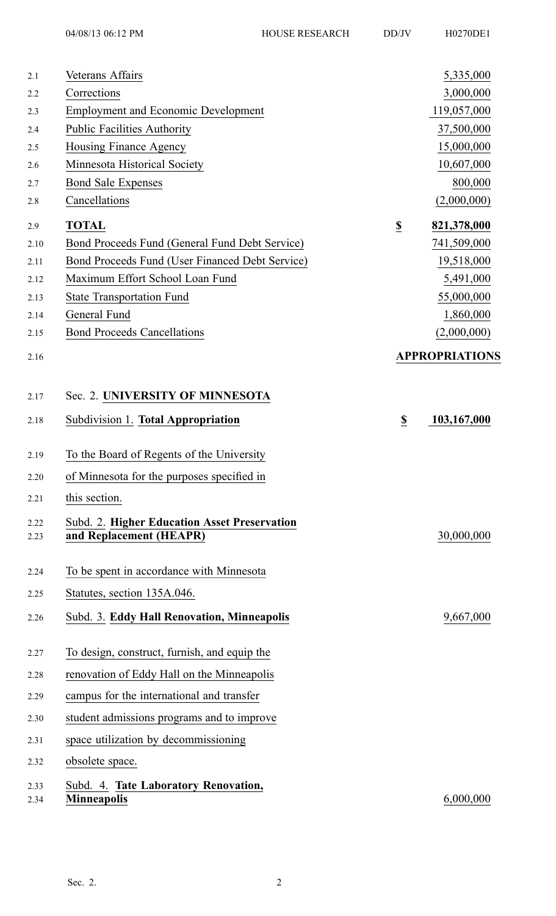2.1 Veterans Affairs 5,335,000 2.2 Corrections 3,000,000 2.3 Employment and Economic Development 119,057,000 2.4 Public Facilities Authority 37,500,000 2.5 Housing Finance Agency 15,000,000 2.6 Minnesota Historical Society 10,607,000 2.7 Bond Sale Expenses 800,000 2.8 Cancellations (2,000,000) 2.9 **TOTAL \$ 821,378,000** 2.10 Bond Proceeds Fund (General Fund Debt Service) 741,509,000 2.11 Bond Proceeds Fund (User Financed Debt Service) 19,518,000 2.12 Maximum Effort School Loan Fund 5,491,000 2.13 State Transportation Fund 55,000,000 2.14 General Fund 1,860,000 2.15 Bond Proceeds Cancellations (2,000,000) 2.16 **APPROPRIATIONS** 2.17 Sec. 2. **UNIVERSITY OF MINNESOTA** 2.18 Subdivision 1. **Total Appropriation \$ 103,167,000** 2.19 To the Board of Regents of the University 2.20 of Minnesota for the purposes specified in 2.21 this section. 2.22 Subd. 2. **Higher Education Asset Preservation** 2.23 **and Replacement (HEAPR)** 30,000,000 2.24 To be spen<sup>t</sup> in accordance with Minnesota 2.25 Statutes, section 135A.046. 2.26 Subd. 3. **Eddy Hall Renovation, Minneapolis** 9,667,000 2.27 To design, construct, furnish, and equip the 2.28 renovation of Eddy Hall on the Minneapolis 2.29 campus for the international and transfer 2.30 student admissions programs and to improve 2.31 space utilization by decommissioning 2.32 obsolete space. 2.33 Subd. 4. **Tate Laboratory Renovation,** 2.34 **Minneapolis** 6,000,000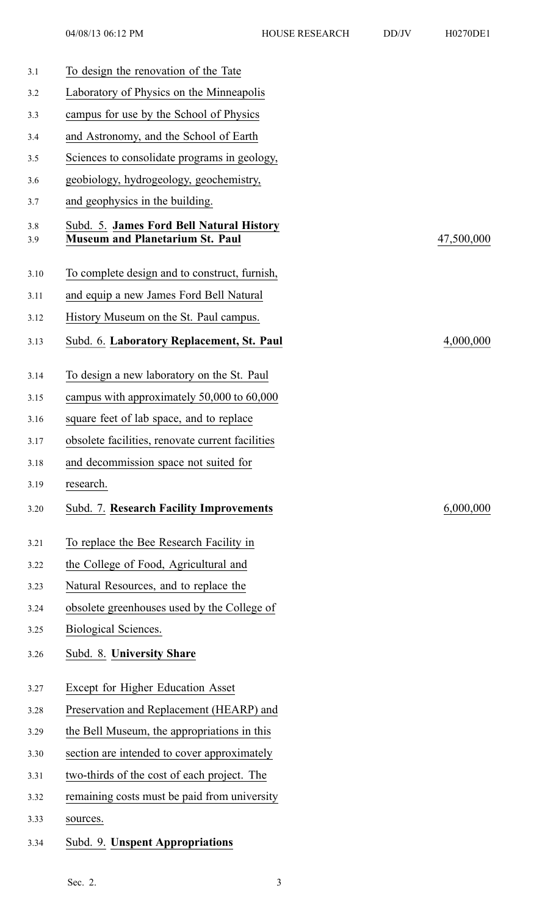| 3.1        | To design the renovation of the Tate                                               |            |
|------------|------------------------------------------------------------------------------------|------------|
| 3.2        | Laboratory of Physics on the Minneapolis                                           |            |
| 3.3        | campus for use by the School of Physics                                            |            |
| 3.4        | and Astronomy, and the School of Earth                                             |            |
| 3.5        | Sciences to consolidate programs in geology,                                       |            |
| 3.6        | geobiology, hydrogeology, geochemistry,                                            |            |
| 3.7        | and geophysics in the building.                                                    |            |
| 3.8<br>3.9 | Subd. 5. James Ford Bell Natural History<br><b>Museum and Planetarium St. Paul</b> | 47,500,000 |
| 3.10       | To complete design and to construct, furnish,                                      |            |
| 3.11       | and equip a new James Ford Bell Natural                                            |            |
| 3.12       | History Museum on the St. Paul campus.                                             |            |
| 3.13       | Subd. 6. Laboratory Replacement, St. Paul                                          | 4,000,000  |
| 3.14       | To design a new laboratory on the St. Paul                                         |            |
| 3.15       | campus with approximately 50,000 to 60,000                                         |            |
| 3.16       | square feet of lab space, and to replace                                           |            |
| 3.17       | obsolete facilities, renovate current facilities                                   |            |
| 3.18       | and decommission space not suited for                                              |            |
| 3.19       | research.                                                                          |            |
| 3.20       | Subd. 7. Research Facility Improvements                                            | 6,000,000  |
| 3.21       | To replace the Bee Research Facility in                                            |            |
| 3.22       | the College of Food, Agricultural and                                              |            |
| 3.23       | Natural Resources, and to replace the                                              |            |
| 3.24       | obsolete greenhouses used by the College of                                        |            |
| 3.25       | Biological Sciences.                                                               |            |
| 3.26       | Subd. 8. University Share                                                          |            |
| 3.27       | Except for Higher Education Asset                                                  |            |
| 3.28       | Preservation and Replacement (HEARP) and                                           |            |
| 3.29       | the Bell Museum, the appropriations in this                                        |            |
| 3.30       | section are intended to cover approximately                                        |            |
| 3.31       | two-thirds of the cost of each project. The                                        |            |
| 3.32       | remaining costs must be paid from university                                       |            |
| 3.33       | sources.                                                                           |            |
| 3.34       | Subd. 9. Unspent Appropriations                                                    |            |
|            |                                                                                    |            |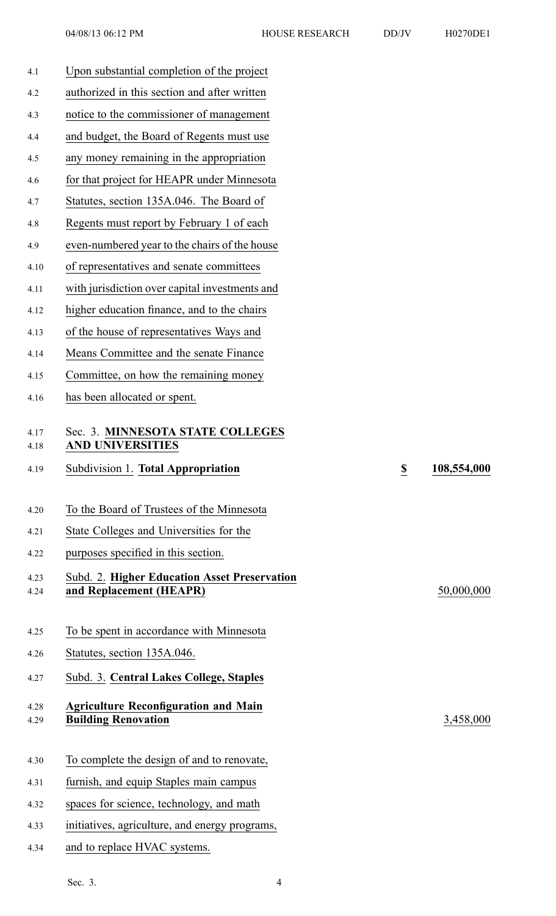| 4.1          | Upon substantial completion of the project                                |             |
|--------------|---------------------------------------------------------------------------|-------------|
| 4.2          | authorized in this section and after written                              |             |
| 4.3          | notice to the commissioner of management                                  |             |
| 4.4          | and budget, the Board of Regents must use                                 |             |
| 4.5          | any money remaining in the appropriation                                  |             |
| 4.6          | for that project for HEAPR under Minnesota                                |             |
| 4.7          | Statutes, section 135A.046. The Board of                                  |             |
| 4.8          | Regents must report by February 1 of each                                 |             |
| 4.9          | even-numbered year to the chairs of the house                             |             |
| 4.10         | of representatives and senate committees                                  |             |
| 4.11         | with jurisdiction over capital investments and                            |             |
| 4.12         | higher education finance, and to the chairs                               |             |
| 4.13         | of the house of representatives Ways and                                  |             |
| 4.14         | Means Committee and the senate Finance                                    |             |
| 4.15         | Committee, on how the remaining money                                     |             |
| 4.16         | has been allocated or spent.                                              |             |
| 4.17<br>4.18 | Sec. 3. MINNESOTA STATE COLLEGES<br><b>AND UNIVERSITIES</b>               |             |
|              |                                                                           |             |
| 4.19         | Subdivision 1. Total Appropriation<br>$\overline{\mathbf{z}}$             | 108,554,000 |
|              |                                                                           |             |
| 4.20         | To the Board of Trustees of the Minnesota                                 |             |
| 4.21         | State Colleges and Universities for the                                   |             |
| 4.22         | purposes specified in this section.                                       |             |
| 4.23         | <b>Subd. 2. Higher Education Asset Preservation</b>                       |             |
| 4.24         | and Replacement (HEAPR)                                                   | 50,000,000  |
| 4.25         | To be spent in accordance with Minnesota                                  |             |
| 4.26         | Statutes, section 135A.046.                                               |             |
| 4.27         | Subd. 3. Central Lakes College, Staples                                   |             |
|              |                                                                           |             |
| 4.28<br>4.29 | <b>Agriculture Reconfiguration and Main</b><br><b>Building Renovation</b> | 3,458,000   |
|              |                                                                           |             |
| 4.30         | To complete the design of and to renovate,                                |             |
| 4.31         | furnish, and equip Staples main campus                                    |             |
| 4.32         | spaces for science, technology, and math                                  |             |
| 4.33         | initiatives, agriculture, and energy programs,                            |             |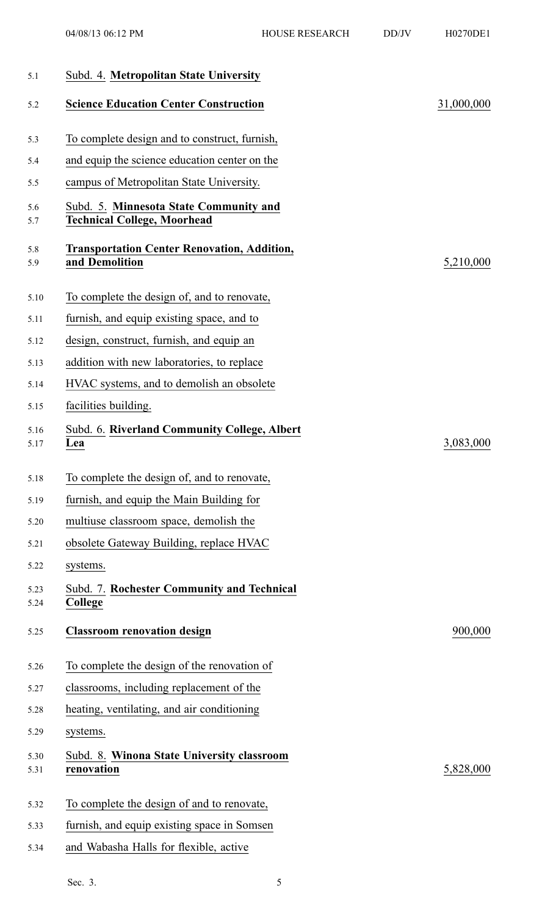| 5.1          | Subd. 4. Metropolitan State University                                       |            |
|--------------|------------------------------------------------------------------------------|------------|
| 5.2          | <b>Science Education Center Construction</b>                                 | 31,000,000 |
| 5.3          | To complete design and to construct, furnish,                                |            |
| 5.4          | and equip the science education center on the                                |            |
| 5.5          | campus of Metropolitan State University.                                     |            |
| 5.6<br>5.7   | Subd. 5. Minnesota State Community and<br><b>Technical College, Moorhead</b> |            |
| 5.8<br>5.9   | <b>Transportation Center Renovation, Addition,</b><br>and Demolition         | 5,210,000  |
| 5.10         | To complete the design of, and to renovate,                                  |            |
| 5.11         | furnish, and equip existing space, and to                                    |            |
| 5.12         | design, construct, furnish, and equip an                                     |            |
| 5.13         | addition with new laboratories, to replace                                   |            |
| 5.14         | HVAC systems, and to demolish an obsolete                                    |            |
| 5.15         | facilities building.                                                         |            |
| 5.16<br>5.17 | Subd. 6. Riverland Community College, Albert<br>Lea                          | 3,083,000  |
| 5.18         | To complete the design of, and to renovate.                                  |            |
| 5.19         | furnish, and equip the Main Building for                                     |            |
| 5.20         | multiuse classroom space, demolish the                                       |            |
| 5.21         | obsolete Gateway Building, replace HVAC                                      |            |
| 5.22         | systems.                                                                     |            |
| 5.23<br>5.24 | Subd. 7. Rochester Community and Technical<br>College                        |            |
| 5.25         | <b>Classroom renovation design</b>                                           | 900,000    |
| 5.26         | To complete the design of the renovation of                                  |            |
| 5.27         | classrooms, including replacement of the                                     |            |
| 5.28         | heating, ventilating, and air conditioning                                   |            |
| 5.29         | systems.                                                                     |            |
| 5.30<br>5.31 | Subd. 8. Winona State University classroom<br>renovation                     | 5,828,000  |
| 5.32         | To complete the design of and to renovate,                                   |            |
| 5.33         | furnish, and equip existing space in Somsen                                  |            |
| 5.34         | and Wabasha Halls for flexible, active                                       |            |
|              |                                                                              |            |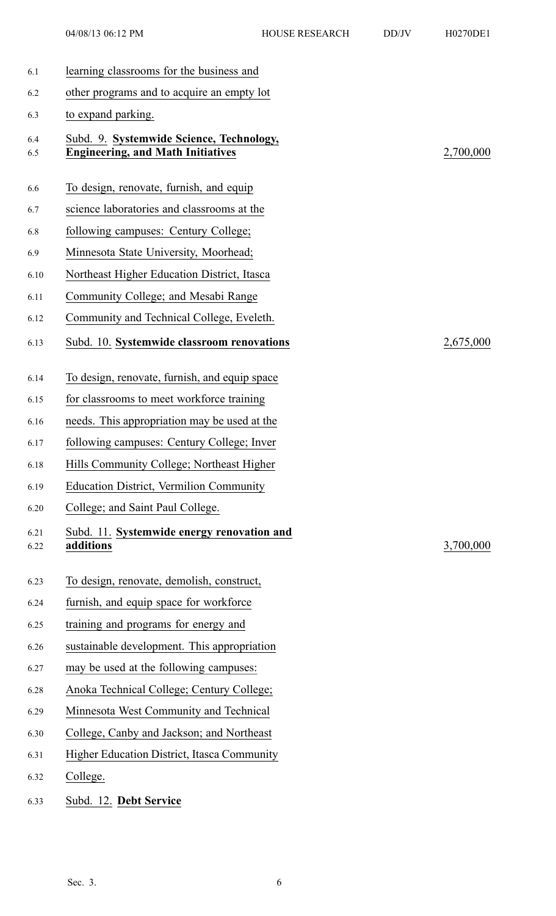| learning classrooms for the business and                                             |                                               |
|--------------------------------------------------------------------------------------|-----------------------------------------------|
| other programs and to acquire an empty lot                                           |                                               |
| to expand parking.                                                                   |                                               |
| Subd. 9. Systemwide Science, Technology,<br><b>Engineering, and Math Initiatives</b> | 2,700,000                                     |
| To design, renovate, furnish, and equip                                              |                                               |
| science laboratories and classrooms at the                                           |                                               |
| following campuses: Century College;                                                 |                                               |
| Minnesota State University, Moorhead;                                                |                                               |
| Northeast Higher Education District, Itasca                                          |                                               |
| Community College; and Mesabi Range                                                  |                                               |
| Community and Technical College, Eveleth.                                            |                                               |
| Subd. 10. Systemwide classroom renovations                                           | 2,675,000                                     |
|                                                                                      |                                               |
| for classrooms to meet workforce training                                            |                                               |
| needs. This appropriation may be used at the                                         |                                               |
| following campuses: Century College; Inver                                           |                                               |
| Hills Community College; Northeast Higher                                            |                                               |
| <b>Education District, Vermilion Community</b>                                       |                                               |
| College; and Saint Paul College.                                                     |                                               |
| Subd. 11. Systemwide energy renovation and<br>additions                              | 3,700,000                                     |
| To design, renovate, demolish, construct,                                            |                                               |
| furnish, and equip space for workforce                                               |                                               |
| training and programs for energy and                                                 |                                               |
| sustainable development. This appropriation                                          |                                               |
| may be used at the following campuses:                                               |                                               |
| Anoka Technical College; Century College;                                            |                                               |
| Minnesota West Community and Technical                                               |                                               |
| College, Canby and Jackson; and Northeast                                            |                                               |
| <b>Higher Education District, Itasca Community</b>                                   |                                               |
| College.                                                                             |                                               |
|                                                                                      | To design, renovate, furnish, and equip space |

6.33 Subd. 12. **Debt Service**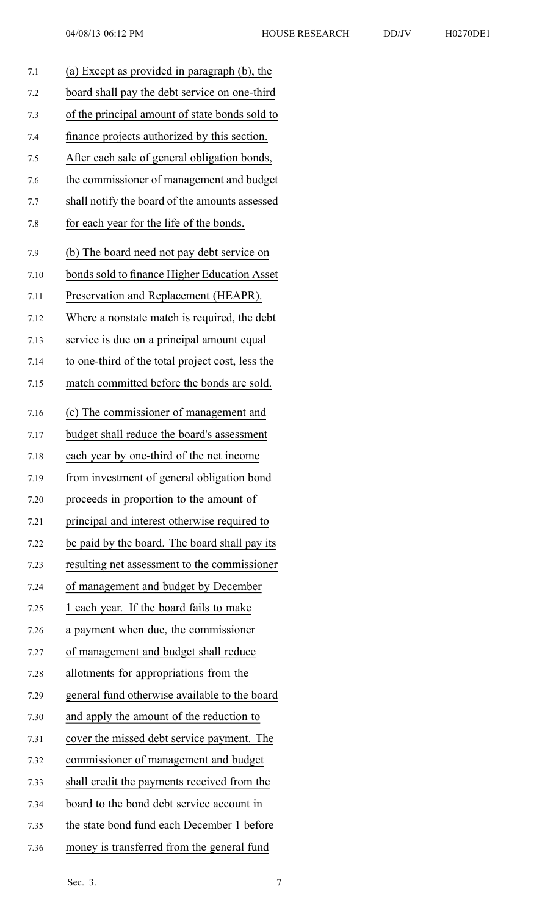| 7.1  | (a) Except as provided in paragraph (b), the     |
|------|--------------------------------------------------|
| 7.2  | board shall pay the debt service on one-third    |
| 7.3  | of the principal amount of state bonds sold to   |
| 7.4  | finance projects authorized by this section.     |
| 7.5  | After each sale of general obligation bonds,     |
| 7.6  | the commissioner of management and budget        |
| 7.7  | shall notify the board of the amounts assessed   |
| 7.8  | for each year for the life of the bonds.         |
| 7.9  | (b) The board need not pay debt service on       |
| 7.10 | bonds sold to finance Higher Education Asset     |
| 7.11 | Preservation and Replacement (HEAPR).            |
| 7.12 | Where a nonstate match is required, the debt     |
| 7.13 | service is due on a principal amount equal       |
| 7.14 | to one-third of the total project cost, less the |
| 7.15 | match committed before the bonds are sold.       |
| 7.16 | (c) The commissioner of management and           |
| 7.17 | budget shall reduce the board's assessment       |
| 7.18 | each year by one-third of the net income         |
| 7.19 | from investment of general obligation bond       |
| 7.20 | proceeds in proportion to the amount of          |
| 7.21 | principal and interest otherwise required to     |
| 7.22 | be paid by the board. The board shall pay its    |
| 7.23 | resulting net assessment to the commissioner     |
| 7.24 | of management and budget by December             |
| 7.25 | 1 each year. If the board fails to make          |
| 7.26 | a payment when due, the commissioner             |
| 7.27 | of management and budget shall reduce            |
| 7.28 | allotments for appropriations from the           |
| 7.29 | general fund otherwise available to the board    |
| 7.30 | and apply the amount of the reduction to         |
| 7.31 | cover the missed debt service payment. The       |
| 7.32 | commissioner of management and budget            |
| 7.33 | shall credit the payments received from the      |
| 7.34 | board to the bond debt service account in        |
| 7.35 | the state bond fund each December 1 before       |
| 7.36 | money is transferred from the general fund       |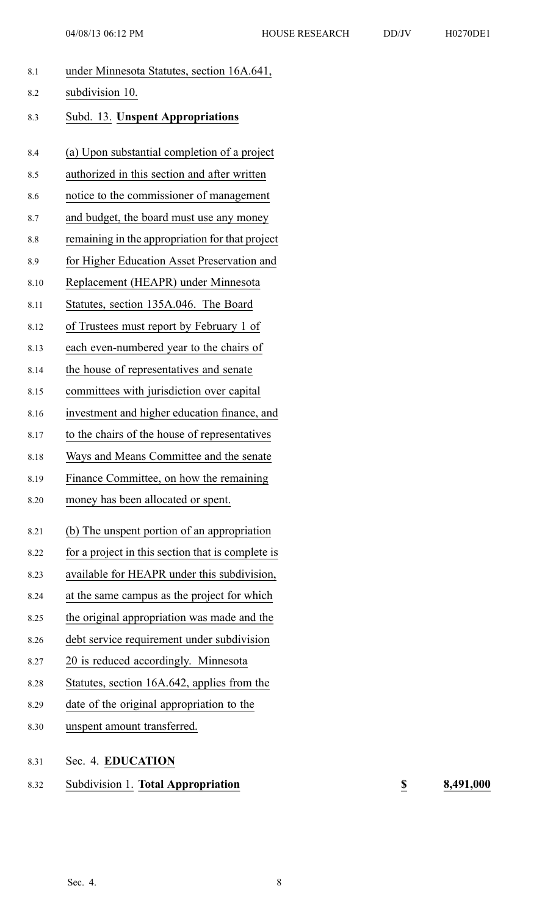| 8.1  | under Minnesota Statutes, section 16A.641,        |
|------|---------------------------------------------------|
| 8.2  | subdivision 10.                                   |
| 8.3  | <b>Subd. 13. Unspent Appropriations</b>           |
| 8.4  | (a) Upon substantial completion of a project      |
| 8.5  | authorized in this section and after written      |
| 8.6  | notice to the commissioner of management          |
| 8.7  | and budget, the board must use any money          |
| 8.8  | remaining in the appropriation for that project   |
| 8.9  | for Higher Education Asset Preservation and       |
| 8.10 | Replacement (HEAPR) under Minnesota               |
| 8.11 | Statutes, section 135A.046. The Board             |
| 8.12 | of Trustees must report by February 1 of          |
| 8.13 | each even-numbered year to the chairs of          |
| 8.14 | the house of representatives and senate           |
| 8.15 | committees with jurisdiction over capital         |
| 8.16 | investment and higher education finance, and      |
| 8.17 | to the chairs of the house of representatives     |
| 8.18 | Ways and Means Committee and the senate           |
| 8.19 | Finance Committee, on how the remaining           |
| 8.20 | money has been allocated or spent.                |
| 8.21 | (b) The unspent portion of an appropriation       |
| 8.22 | for a project in this section that is complete is |
| 8.23 | available for HEAPR under this subdivision,       |
| 8.24 | at the same campus as the project for which       |
| 8.25 | the original appropriation was made and the       |
| 8.26 | debt service requirement under subdivision        |
| 8.27 | 20 is reduced accordingly. Minnesota              |
| 8.28 | Statutes, section 16A.642, applies from the       |
| 8.29 | date of the original appropriation to the         |
| 8.30 | unspent amount transferred.                       |
|      |                                                   |

8.31 Sec. 4. **EDUCATION**

8.32 Subdivision 1. **Total Appropriation \$ 8,491,000**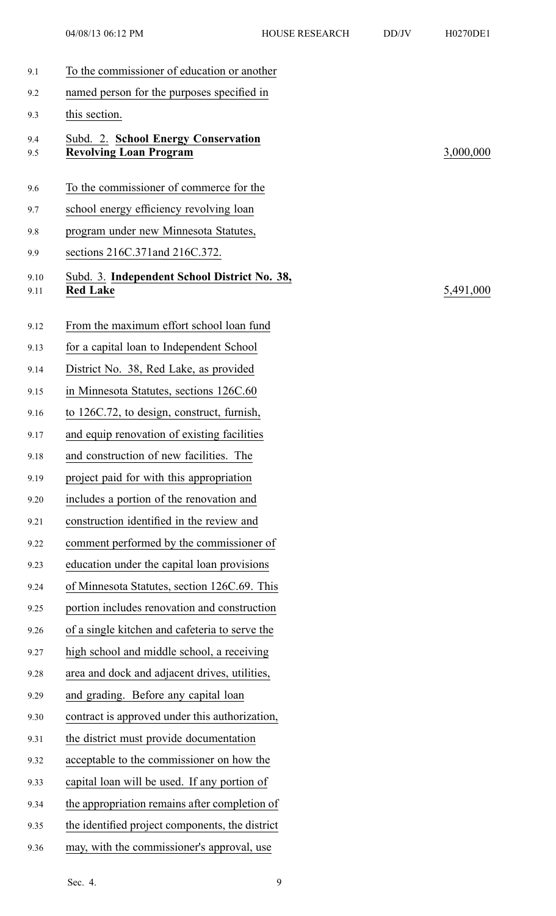9.5 **Revolving Loan Program** 3,000,000

5,491,000

| 9.1          | To the commissioner of education or another                          |
|--------------|----------------------------------------------------------------------|
| 9.2          | named person for the purposes specified in                           |
| 9.3          | this section.                                                        |
| 9.4<br>9.5   | Subd. 2. School Energy Conservation<br><b>Revolving Loan Program</b> |
| 9.6          | To the commissioner of commerce for the                              |
| 9.7          | school energy efficiency revolving loan                              |
| 9.8          | program under new Minnesota Statutes,                                |
| 9.9          | sections 216C.371 and 216C.372.                                      |
| 9.10<br>9.11 | Subd. 3. Independent School District No. 38,<br><b>Red Lake</b>      |
| 9.12         | From the maximum effort school loan fund                             |
| 9.13         | for a capital loan to Independent School                             |
| 9.14         | District No. 38, Red Lake, as provided                               |
| 9.15         | in Minnesota Statutes, sections 126C.60                              |
| 9.16         | to 126C.72, to design, construct, furnish,                           |
| 9.17         | and equip renovation of existing facilities                          |
| 9.18         | and construction of new facilities. The                              |
| 9.19         | project paid for with this appropriation                             |
| 9.20         | includes a portion of the renovation and                             |
| 9.21         | construction identified in the review and                            |
| 9.22         | comment performed by the commissioner of                             |
| 9.23         | education under the capital loan provisions                          |
| 9.24         | of Minnesota Statutes, section 126C.69. This                         |
| 9.25         | portion includes renovation and construction                         |
| 9.26         | of a single kitchen and cafeteria to serve the                       |
| 9.27         | high school and middle school, a receiving                           |
| 9.28         | area and dock and adjacent drives, utilities,                        |
| 9.29         | and grading. Before any capital loan                                 |
| 9.30         | contract is approved under this authorization,                       |
| 9.31         | the district must provide documentation                              |
| 9.32         | acceptable to the commissioner on how the                            |
| 9.33         | capital loan will be used. If any portion of                         |
| 9.34         | the appropriation remains after completion of                        |
| 9.35         | the identified project components, the district                      |
| 9.36         | may, with the commissioner's approval, use                           |

Sec. 4. 9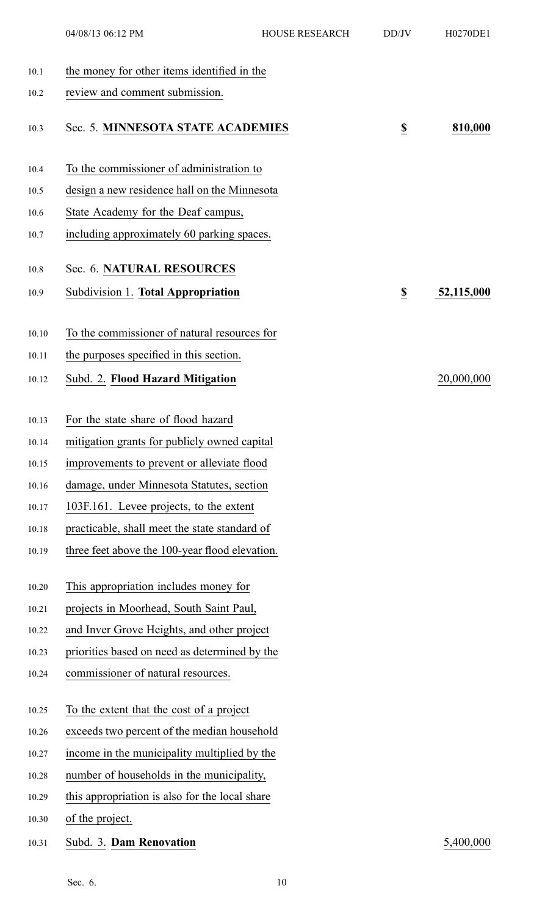|       | 04/08/13 06:12 PM                              | <b>HOUSE RESEARCH</b> | DD/JV                   | H0270DE1   |
|-------|------------------------------------------------|-----------------------|-------------------------|------------|
| 10.1  | the money for other items identified in the    |                       |                         |            |
| 10.2  | review and comment submission.                 |                       |                         |            |
| 10.3  | Sec. 5. MINNESOTA STATE ACADEMIES              |                       | $\overline{\mathbf{S}}$ | 810,000    |
| 10.4  | To the commissioner of administration to       |                       |                         |            |
| 10.5  | design a new residence hall on the Minnesota   |                       |                         |            |
| 10.6  | State Academy for the Deaf campus,             |                       |                         |            |
| 10.7  | including approximately 60 parking spaces.     |                       |                         |            |
| 10.8  | Sec. 6. NATURAL RESOURCES                      |                       |                         |            |
| 10.9  | Subdivision 1. Total Appropriation             |                       | $\overline{\mathbf{z}}$ | 52,115,000 |
| 10.10 | To the commissioner of natural resources for   |                       |                         |            |
| 10.11 | the purposes specified in this section.        |                       |                         |            |
| 10.12 | Subd. 2. Flood Hazard Mitigation               |                       |                         | 20,000,000 |
| 10.13 | For the state share of flood hazard            |                       |                         |            |
| 10.14 | mitigation grants for publicly owned capital   |                       |                         |            |
| 10.15 | improvements to prevent or alleviate flood     |                       |                         |            |
| 10.16 | damage, under Minnesota Statutes, section      |                       |                         |            |
| 10.17 | 103F.161. Levee projects, to the extent        |                       |                         |            |
| 10.18 | practicable, shall meet the state standard of  |                       |                         |            |
| 10.19 | three feet above the 100-year flood elevation. |                       |                         |            |
| 10.20 | This appropriation includes money for          |                       |                         |            |
| 10.21 | projects in Moorhead, South Saint Paul,        |                       |                         |            |
| 10.22 | and Inver Grove Heights, and other project     |                       |                         |            |
| 10.23 | priorities based on need as determined by the  |                       |                         |            |
| 10.24 | commissioner of natural resources.             |                       |                         |            |
| 10.25 | To the extent that the cost of a project       |                       |                         |            |
| 10.26 | exceeds two percent of the median household    |                       |                         |            |
| 10.27 | income in the municipality multiplied by the   |                       |                         |            |
| 10.28 | number of households in the municipality,      |                       |                         |            |
| 10.29 | this appropriation is also for the local share |                       |                         |            |
| 10.30 | of the project.                                |                       |                         |            |
| 10.31 | Subd. 3. Dam Renovation                        |                       |                         | 5,400,000  |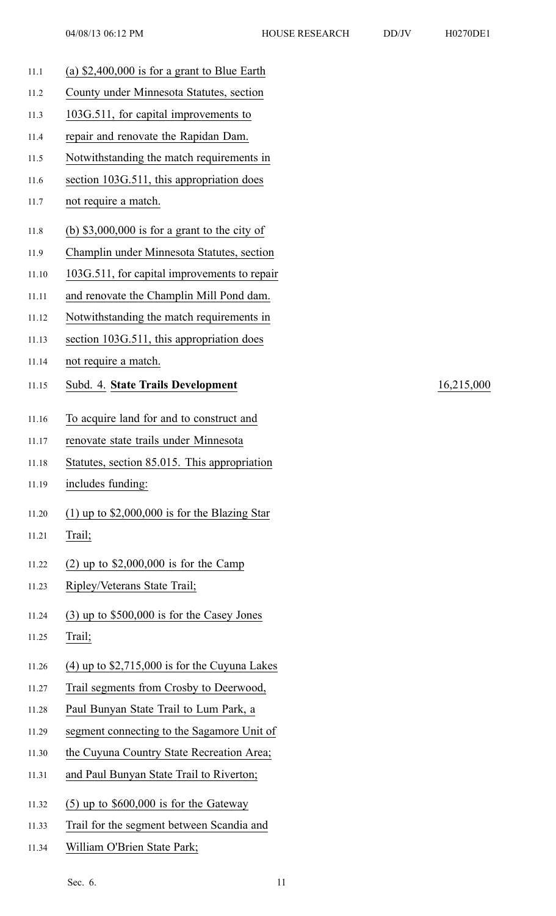- 
- 11.1 (a) \$2,400,000 is for <sup>a</sup> gran<sup>t</sup> to Blue Earth 11.2 County under Minnesota Statutes, section 11.3 103G.511, for capital improvements to 11.4 repair and renovate the Rapidan Dam. 11.5 Notwithstanding the match requirements in 11.6 section 103G.511, this appropriation does 11.7 not require <sup>a</sup> match. 11.8 (b) \$3,000,000 is for <sup>a</sup> gran<sup>t</sup> to the city of 11.9 Champlin under Minnesota Statutes, section 11.10 103G.511, for capital improvements to repair 11.11 and renovate the Champlin Mill Pond dam. 11.12 Notwithstanding the match requirements in 11.13 section 103G.511, this appropriation does 11.14 not require <sup>a</sup> match. 11.15 Subd. 4. **State Trails Development** 16,215,000 11.16 To acquire land for and to construct and 11.17 renovate state trails under Minnesota 11.18 Statutes, section 85.015. This appropriation 11.19 includes funding: 11.20 (1) up to \$2,000,000 is for the Blazing Star 11.21 Trail; 11.22 (2) up to \$2,000,000 is for the Camp 11.23 Ripley/Veterans State Trail; 11.24 (3) up to \$500,000 is for the Casey Jones 11.25 Trail; 11.26 (4) up to \$2,715,000 is for the Cuyuna Lakes 11.27 Trail segments from Crosby to Deerwood, 11.28 Paul Bunyan State Trail to Lum Park, <sup>a</sup> 11.29 segmen<sup>t</sup> connecting to the Sagamore Unit of 11.30 the Cuyuna Country State Recreation Area; 11.31 and Paul Bunyan State Trail to Riverton; 11.32 (5) up to \$600,000 is for the Gateway 11.33 Trail for the segmen<sup>t</sup> between Scandia and 11.34 William O'Brien State Park;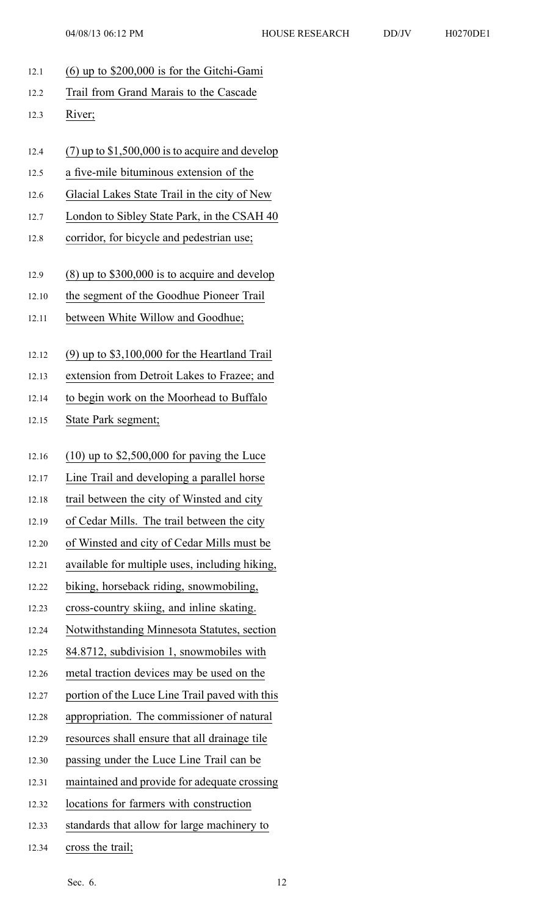12.1 (6) up to \$200,000 is for the Gitchi-Gami 12.2 Trail from Grand Marais to the Cascade 12.3 River; 12.4 (7) up to \$1,500,000 is to acquire and develop 12.5 <sup>a</sup> five-mile bituminous extension of the 12.6 Glacial Lakes State Trail in the city of New 12.7 London to Sibley State Park, in the CSAH 40 12.8 corridor, for bicycle and pedestrian use; 12.9 (8) up to \$300,000 is to acquire and develop 12.10 the segmen<sup>t</sup> of the Goodhue Pioneer Trail 12.11 between White Willow and Goodhue; 12.12 (9) up to \$3,100,000 for the Heartland Trail 12.13 extension from Detroit Lakes to Frazee; and 12.14 to begin work on the Moorhead to Buffalo 12.15 State Park segment; 12.16 (10) up to \$2,500,000 for paving the Luce 12.17 Line Trail and developing <sup>a</sup> parallel horse 12.18 trail between the city of Winsted and city 12.19 of Cedar Mills. The trail between the city 12.20 of Winsted and city of Cedar Mills must be 12.21 available for multiple uses, including hiking, 12.22 biking, horseback riding, snowmobiling, 12.23 cross-country skiing, and inline skating. 12.24 Notwithstanding Minnesota Statutes, section 12.25 84.8712, subdivision 1, snowmobiles with 12.26 metal traction devices may be used on the 12.27 portion of the Luce Line Trail paved with this 12.28 appropriation. The commissioner of natural 12.29 resources shall ensure that all drainage tile 12.30 passing under the Luce Line Trail can be 12.31 maintained and provide for adequate crossing 12.32 locations for farmers with construction 12.33 standards that allow for large machinery to 12.34 cross the trail;

Sec. 6. 12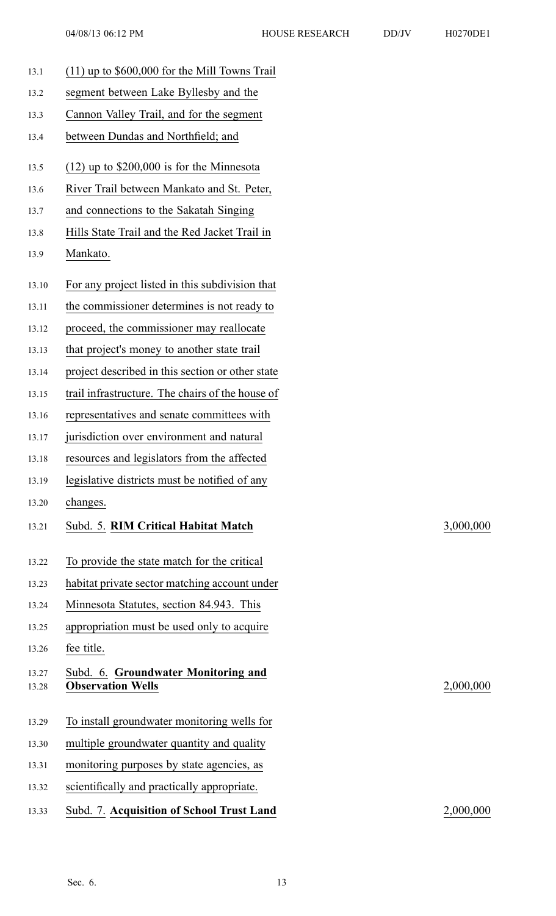13.1 (11) up to \$600,000 for the Mill Towns Trail 13.2 segmen<sup>t</sup> between Lake Byllesby and the 13.3 Cannon Valley Trail, and for the segmen<sup>t</sup> 13.4 between Dundas and Northfield; and 13.5 (12) up to \$200,000 is for the Minnesota 13.6 River Trail between Mankato and St. Peter, 13.7 and connections to the Sakatah Singing 13.8 Hills State Trail and the Red Jacket Trail in 13.9 Mankato. 13.10 For any project listed in this subdivision that 13.11 the commissioner determines is not ready to 13.12 proceed, the commissioner may reallocate 13.13 that project's money to another state trail 13.14 project described in this section or other state 13.15 trail infrastructure. The chairs of the house of 13.16 representatives and senate committees with 13.17 jurisdiction over environment and natural 13.18 resources and legislators from the affected 13.19 legislative districts must be notified of any 13.20 changes. 13.21 Subd. 5. **RIM Critical Habitat Match** 3,000,000 13.22 To provide the state match for the critical 13.23 habitat private sector matching account under 13.24 Minnesota Statutes, section 84.943. This 13.25 appropriation must be used only to acquire 13.26 fee title. 13.27 Subd. 6. **Groundwater Monitoring and** 13.28 **Observation Wells** 2,000,000 13.29 To install groundwater monitoring wells for 13.30 multiple groundwater quantity and quality 13.31 monitoring purposes by state agencies, as 13.32 scientifically and practically appropriate. 13.33 Subd. 7. **Acquisition of School Trust Land** 2,000,000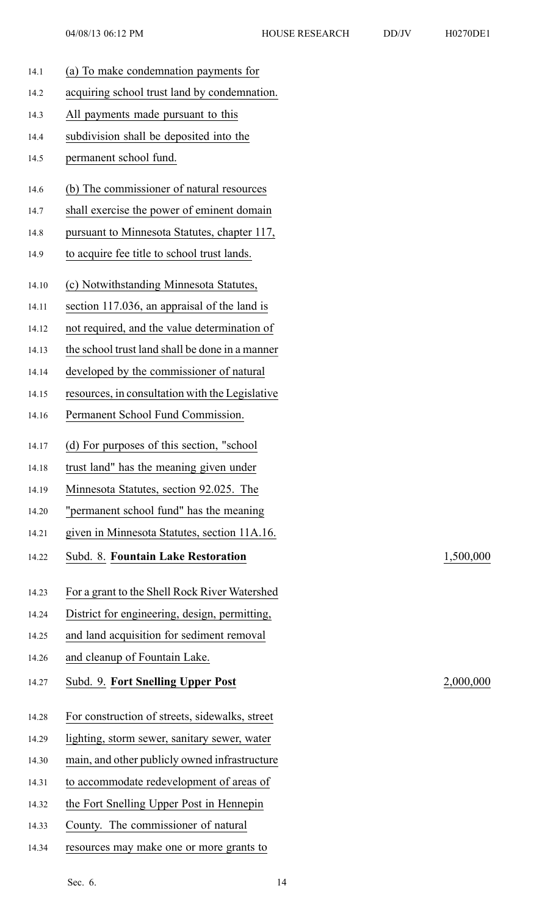| 14.1  | (a) To make condemnation payments for                                                          |
|-------|------------------------------------------------------------------------------------------------|
| 14.2  | acquiring school trust land by condemnation.                                                   |
| 14.3  | All payments made pursuant to this                                                             |
| 14.4  | subdivision shall be deposited into the                                                        |
| 14.5  | permanent school fund.                                                                         |
| 14.6  | (b) The commissioner of natural resources                                                      |
| 14.7  | shall exercise the power of eminent domain                                                     |
| 14.8  | pursuant to Minnesota Statutes, chapter 117,                                                   |
| 14.9  | to acquire fee title to school trust lands.                                                    |
| 14.10 | (c) Notwithstanding Minnesota Statutes,                                                        |
| 14.11 | section 117.036, an appraisal of the land is                                                   |
| 14.12 | not required, and the value determination of                                                   |
| 14.13 | the school trust land shall be done in a manner                                                |
| 14.14 | developed by the commissioner of natural                                                       |
| 14.15 | resources, in consultation with the Legislative                                                |
| 14.16 | Permanent School Fund Commission.                                                              |
| 14.17 | (d) For purposes of this section, "school                                                      |
| 14.18 | trust land" has the meaning given under                                                        |
| 14.19 | Minnesota Statutes, section 92.025. The                                                        |
| 14.20 | "permanent school fund" has the meaning                                                        |
| 14.21 | given in Minnesota Statutes, section 11A.16.                                                   |
| 14.22 | Subd. 8. Fountain Lake Restoration                                                             |
| 14.23 |                                                                                                |
|       |                                                                                                |
| 14.24 | For a grant to the Shell Rock River Watershed<br>District for engineering, design, permitting, |
| 14.25 | and land acquisition for sediment removal                                                      |
| 14.26 | and cleanup of Fountain Lake.                                                                  |
| 14.27 | Subd. 9. Fort Snelling Upper Post                                                              |
|       |                                                                                                |
| 14.28 | For construction of streets, sidewalks, street                                                 |
| 14.29 | lighting, storm sewer, sanitary sewer, water                                                   |
| 14.30 | main, and other publicly owned infrastructure                                                  |
| 14.31 | to accommodate redevelopment of areas of                                                       |
| 14.32 | the Fort Snelling Upper Post in Hennepin<br>County. The commissioner of natural                |

14.34 resources may make one or more grants to

## 14.22 Subd. 8. **Fountain Lake Restoration** 1,500,000

14.27 Subd. 9. **Fort Snelling Upper Post** 2,000,000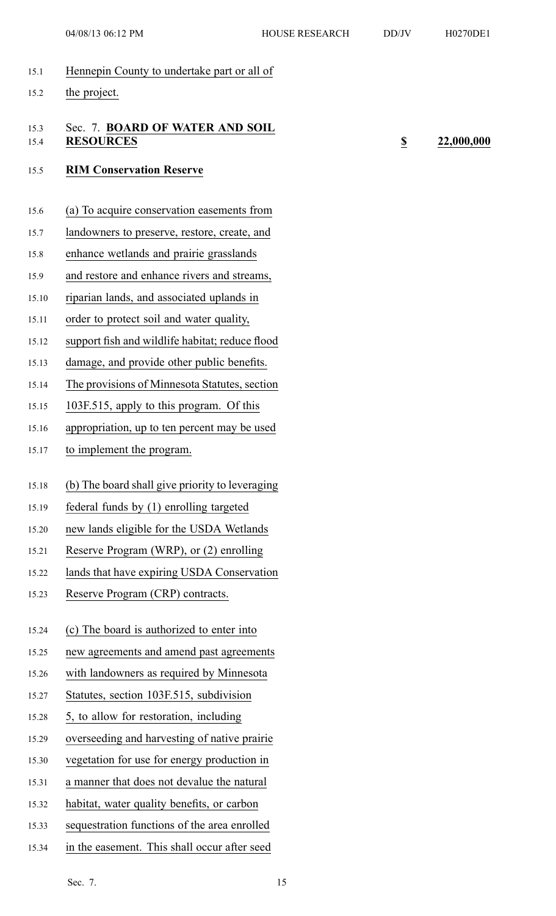- 15.1 Hennepin County to undertake par<sup>t</sup> or all of
- 15.2 the project.

## 15.3 Sec. 7. **BOARD OF WATER AND SOIL** 15.4 **RESOURCES \$ 22,000,000**

### 15.5 **RIM Conservation Reserve**

- 15.6 (a) To acquire conservation easements from
- 15.7 landowners to preserve, restore, create, and
- 15.8 enhance wetlands and prairie grasslands
- 15.9 and restore and enhance rivers and streams,
- 15.10 riparian lands, and associated uplands in
- 15.11 order to protect soil and water quality,
- 15.12 suppor<sup>t</sup> fish and wildlife habitat; reduce flood
- 15.13 damage, and provide other public benefits.
- 15.14 The provisions of Minnesota Statutes, section
- 15.15 103F.515, apply to this program. Of this
- 15.16 appropriation, up to ten percen<sup>t</sup> may be used
- 15.17 to implement the program.
- 15.18 (b) The board shall give priority to leveraging
- 15.19 federal funds by (1) enrolling targeted
- 15.20 new lands eligible for the USDA Wetlands
- 15.21 Reserve Program (WRP), or (2) enrolling
- 15.22 lands that have expiring USDA Conservation
- 15.23 Reserve Program (CRP) contracts.
- 15.24 (c) The board is authorized to enter into
- 15.25 new agreements and amend pas<sup>t</sup> agreements
- 15.26 with landowners as required by Minnesota
- 15.27 Statutes, section 103F.515, subdivision
- 15.28 5, to allow for restoration, including
- 15.29 overseeding and harvesting of native prairie
- 15.30 vegetation for use for energy production in
- 15.31 <sup>a</sup> manner that does not devalue the natural
- 15.32 habitat, water quality benefits, or carbon
- 15.33 sequestration functions of the area enrolled
- 15.34 in the easement. This shall occur after seed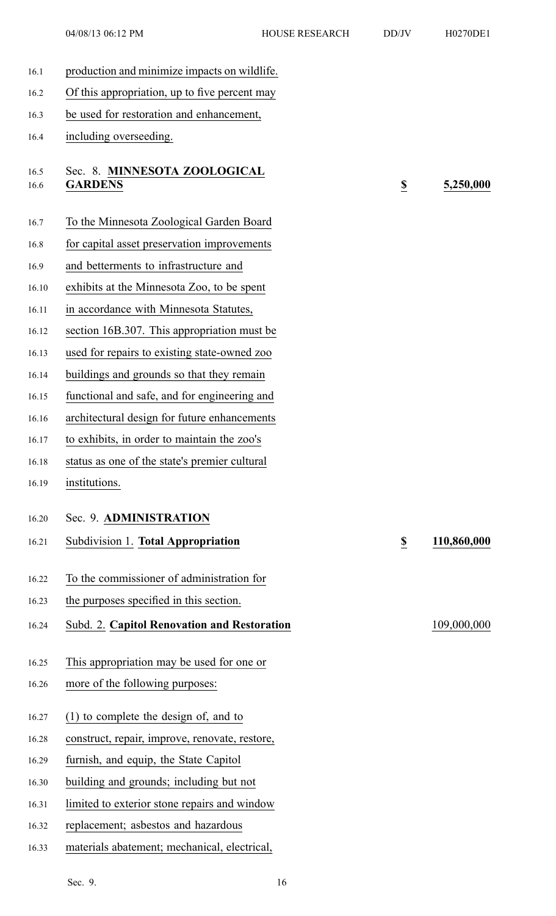- 16.1 production and minimize impacts on wildlife.
- 16.2 Of this appropriation, up to five percen<sup>t</sup> may
- 16.3 be used for restoration and enhancement,
- 16.4 including overseeding.

### 16.5 Sec. 8. **MINNESOTA ZOOLOGICAL** 16.6 **GARDENS \$ 5,250,000**

- 16.7 To the Minnesota Zoological Garden Board
- 16.8 for capital asset preservation improvements
- 16.9 and betterments to infrastructure and
- 16.10 exhibits at the Minnesota Zoo, to be spen<sup>t</sup>
- 16.11 in accordance with Minnesota Statutes,
- 16.12 section 16B.307. This appropriation must be
- 16.13 used for repairs to existing state-owned zoo
- 16.14 buildings and grounds so that they remain
- 16.15 functional and safe, and for engineering and
- 16.16 architectural design for future enhancements
- 16.17 to exhibits, in order to maintain the zoo's
- 16.18 status as one of the state's premier cultural
- 16.19 institutions.
- 16.20 Sec. 9. **ADMINISTRATION**
- 16.21 Subdivision 1. **Total Appropriation \$ 110,860,000**
- 16.22 To the commissioner of administration for
- 16.23 the purposes specified in this section.
- 16.24 Subd. 2. **Capitol Renovation and Restoration** 109,000,000
- 16.25 This appropriation may be used for one or
- 16.26 more of the following purposes:
- 16.27 (1) to complete the design of, and to
- 16.28 construct, repair, improve, renovate, restore,
- 16.29 furnish, and equip, the State Capitol
- 16.30 building and grounds; including but not
- 16.31 limited to exterior stone repairs and window
- 16.32 replacement; asbestos and hazardous
- 16.33 materials abatement; mechanical, electrical,

- -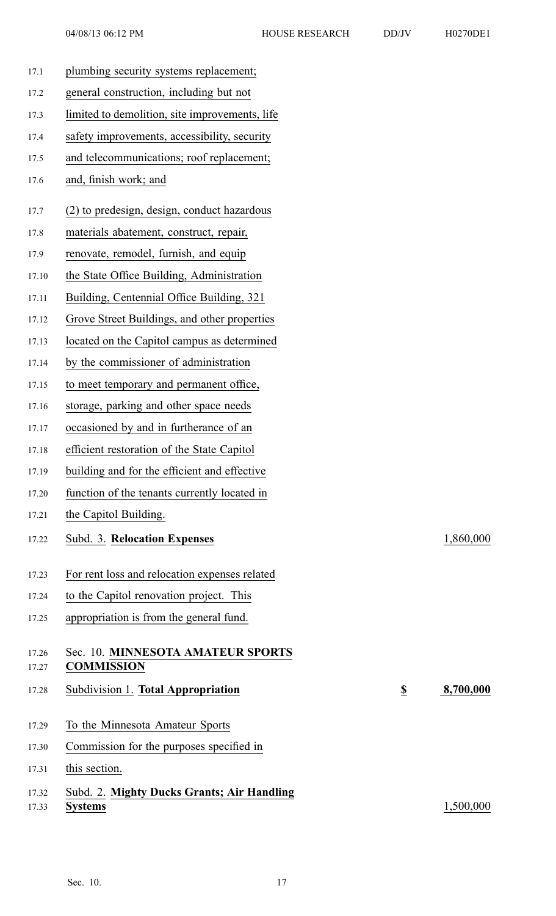| H0270DE1 |  |  |
|----------|--|--|
|          |  |  |

| 17.1  | plumbing security systems replacement;         |                         |           |
|-------|------------------------------------------------|-------------------------|-----------|
| 17.2  | general construction, including but not        |                         |           |
| 17.3  | limited to demolition, site improvements, life |                         |           |
| 17.4  | safety improvements, accessibility, security   |                         |           |
| 17.5  | and telecommunications; roof replacement;      |                         |           |
| 17.6  | and, finish work; and                          |                         |           |
| 17.7  | (2) to predesign, design, conduct hazardous    |                         |           |
| 17.8  | materials abatement, construct, repair,        |                         |           |
| 17.9  | renovate, remodel, furnish, and equip          |                         |           |
| 17.10 | the State Office Building, Administration      |                         |           |
| 17.11 | Building, Centennial Office Building, 321      |                         |           |
| 17.12 | Grove Street Buildings, and other properties   |                         |           |
| 17.13 | located on the Capitol campus as determined    |                         |           |
| 17.14 | by the commissioner of administration          |                         |           |
| 17.15 | to meet temporary and permanent office,        |                         |           |
| 17.16 | storage, parking and other space needs         |                         |           |
| 17.17 | occasioned by and in furtherance of an         |                         |           |
| 17.18 | efficient restoration of the State Capitol     |                         |           |
| 17.19 | building and for the efficient and effective   |                         |           |
| 17.20 | function of the tenants currently located in   |                         |           |
| 17.21 | the Capitol Building.                          |                         |           |
| 17.22 | Subd. 3. Relocation Expenses                   |                         | 1,860,000 |
| 17.23 | For rent loss and relocation expenses related  |                         |           |
| 17.24 | to the Capitol renovation project. This        |                         |           |
| 17.25 | appropriation is from the general fund.        |                         |           |
| 17.26 | Sec. 10. MINNESOTA AMATEUR SPORTS              |                         |           |
| 17.27 | <b>COMMISSION</b>                              |                         |           |
| 17.28 | Subdivision 1. Total Appropriation             | $\overline{\mathbf{z}}$ | 8,700,000 |
| 17.29 | To the Minnesota Amateur Sports                |                         |           |
| 17.30 | Commission for the purposes specified in       |                         |           |
| 17.31 | this section.                                  |                         |           |
| 17.32 | Subd. 2. Mighty Ducks Grants; Air Handling     |                         |           |
| 17.33 | <b>Systems</b>                                 |                         | 1,500,000 |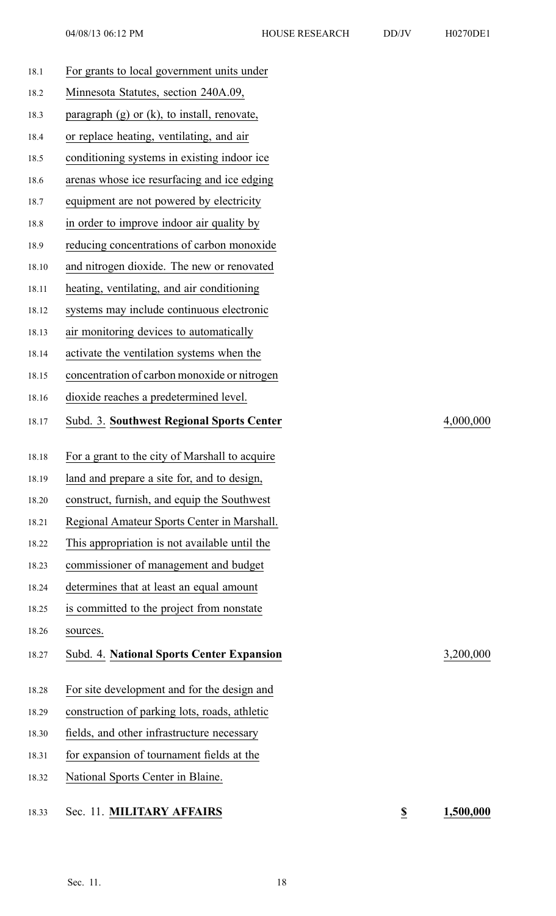| H0270DE1 |
|----------|
|          |

| 18.1  | For grants to local government units under       |
|-------|--------------------------------------------------|
| 18.2  | Minnesota Statutes, section 240A.09,             |
| 18.3  | paragraph $(g)$ or $(k)$ , to install, renovate, |
| 18.4  | or replace heating, ventilating, and air         |
| 18.5  | conditioning systems in existing indoor ice      |
| 18.6  | arenas whose ice resurfacing and ice edging      |
| 18.7  | equipment are not powered by electricity         |
| 18.8  | in order to improve indoor air quality by        |
| 18.9  | reducing concentrations of carbon monoxide       |
| 18.10 | and nitrogen dioxide. The new or renovated       |
| 18.11 | heating, ventilating, and air conditioning       |
| 18.12 | systems may include continuous electronic        |
| 18.13 | air monitoring devices to automatically          |
| 18.14 | activate the ventilation systems when the        |
| 18.15 | concentration of carbon monoxide or nitrogen     |
| 18.16 | dioxide reaches a predetermined level.           |
| 18.17 | <b>Subd. 3. Southwest Regional Sports Center</b> |
| 18.18 | For a grant to the city of Marshall to acquire   |
| 18.19 | land and prepare a site for, and to design,      |
| 18.20 | construct, furnish, and equip the Southwest      |
| 18.21 | Regional Amateur Sports Center in Marshall.      |
| 18.22 | This appropriation is not available until the    |
| 18.23 | commissioner of management and budget            |
| 18.24 | determines that at least an equal amount         |
| 18.25 | is committed to the project from nonstate        |
| 18.26 | sources.                                         |
| 18.27 | <b>Subd. 4. National Sports Center Expansion</b> |
| 18.28 | For site development and for the design and      |
| 18.29 | construction of parking lots, roads, athletic    |
|       |                                                  |
| 18.30 | fields, and other infrastructure necessary       |
| 18.31 | for expansion of tournament fields at the        |
| 18.32 | National Sports Center in Blaine.                |

18.17 Subd. 3. **Southwest Regional Sports Center** 4,000,000

18.27 Subd. 4. **National Sports Center Expansion** 3,200,000

18.33 Sec. 11. **MILITARY AFFAIRS \$ 1,500,000**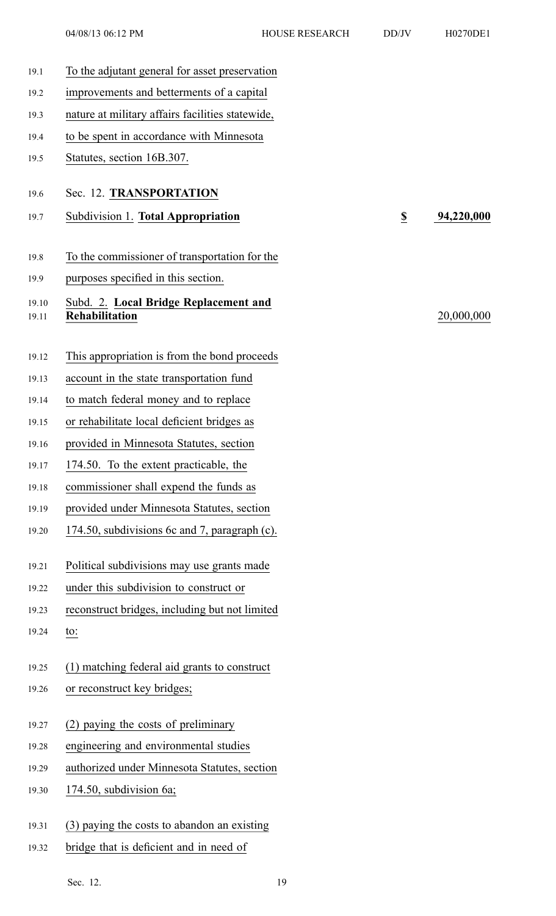04/08/13 06:12 PM HOUSE RESEARCH DD/JV H0270DE1

| 19.1           | To the adjutant general for asset preservation                 |                         |            |
|----------------|----------------------------------------------------------------|-------------------------|------------|
| 19.2           | improvements and betterments of a capital                      |                         |            |
| 19.3           | nature at military affairs facilities statewide,               |                         |            |
| 19.4           | to be spent in accordance with Minnesota                       |                         |            |
| 19.5           | Statutes, section 16B.307.                                     |                         |            |
| 19.6           | Sec. 12. TRANSPORTATION                                        |                         |            |
| 19.7           | Subdivision 1. Total Appropriation                             | $\overline{\mathbf{z}}$ | 94,220,000 |
| 19.8           | To the commissioner of transportation for the                  |                         |            |
| 19.9           | purposes specified in this section.                            |                         |            |
| 19.10<br>19.11 | Subd. 2. Local Bridge Replacement and<br><b>Rehabilitation</b> |                         | 20,000,000 |
| 19.12          | This appropriation is from the bond proceeds                   |                         |            |
| 19.13          | account in the state transportation fund                       |                         |            |
| 19.14          | to match federal money and to replace                          |                         |            |
| 19.15          | or rehabilitate local deficient bridges as                     |                         |            |
| 19.16          | provided in Minnesota Statutes, section                        |                         |            |
| 19.17          | 174.50. To the extent practicable, the                         |                         |            |
| 19.18          | commissioner shall expend the funds as                         |                         |            |
| 19.19          | provided under Minnesota Statutes, section                     |                         |            |
| 19.20          | 174.50, subdivisions 6c and 7, paragraph (c).                  |                         |            |
| 19.21          | Political subdivisions may use grants made                     |                         |            |
| 19.22          | under this subdivision to construct or                         |                         |            |
| 19.23          | reconstruct bridges, including but not limited                 |                         |            |
| 19.24          | to:                                                            |                         |            |
| 19.25          | (1) matching federal aid grants to construct                   |                         |            |
| 19.26          | or reconstruct key bridges;                                    |                         |            |
| 19.27          | (2) paying the costs of preliminary                            |                         |            |
| 19.28          | engineering and environmental studies                          |                         |            |
| 19.29          | authorized under Minnesota Statutes, section                   |                         |            |
| 19.30          | 174.50, subdivision 6a;                                        |                         |            |
| 19.31          | (3) paying the costs to abandon an existing                    |                         |            |
| 19.32          | bridge that is deficient and in need of                        |                         |            |

Sec. 12. 19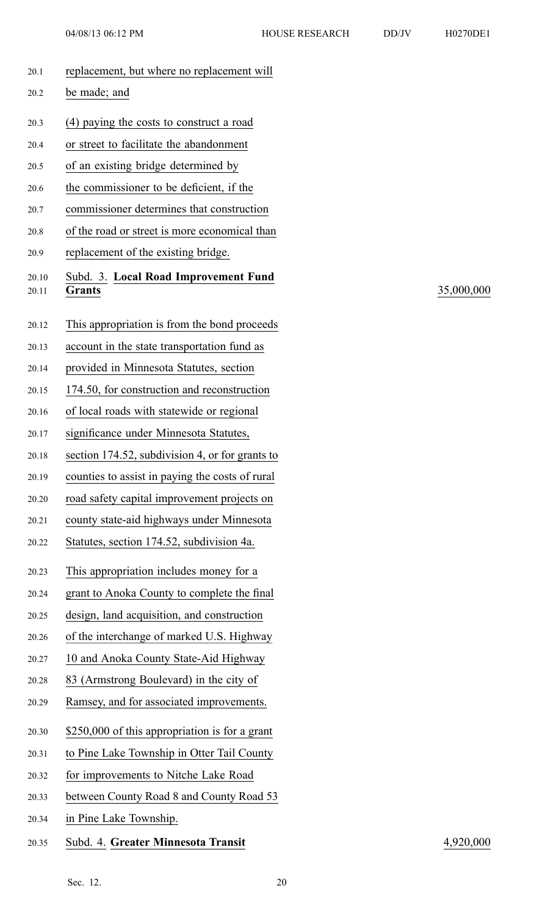| 20.1           | replacement, but where no replacement will      |
|----------------|-------------------------------------------------|
| 20.2           | be made; and                                    |
| 20.3           | (4) paying the costs to construct a road        |
| 20.4           | or street to facilitate the abandonment         |
| 20.5           | of an existing bridge determined by             |
| 20.6           | the commissioner to be deficient, if the        |
| 20.7           | commissioner determines that construction       |
| 20.8           | of the road or street is more economical than   |
| 20.9           | replacement of the existing bridge.             |
| 20.10<br>20.11 | Subd. 3. Local Road Improvement Fund<br>Grants  |
| 20.12          | This appropriation is from the bond proceeds    |
| 20.13          | account in the state transportation fund as     |
| 20.14          | provided in Minnesota Statutes, section         |
| 20.15          | 174.50, for construction and reconstruction     |
| 20.16          | of local roads with statewide or regional       |
| 20.17          | significance under Minnesota Statutes,          |
| 20.18          | section 174.52, subdivision 4, or for grants to |
| 20.19          | counties to assist in paying the costs of rural |
| 20.20          | road safety capital improvement projects on     |
| 20.21          | county state-aid highways under Minnesota       |
| 20.22          | Statutes, section 174.52, subdivision 4a.       |
| 20.23          | This appropriation includes money for a         |
| 20.24          | grant to Anoka County to complete the final     |
| 20.25          | design, land acquisition, and construction      |
| 20.26          | of the interchange of marked U.S. Highway       |
| 20.27          | 10 and Anoka County State-Aid Highway           |
| 20.28          | 83 (Armstrong Boulevard) in the city of         |
| 20.29          | Ramsey, and for associated improvements.        |
| 20.30          | \$250,000 of this appropriation is for a grant  |
| 20.31          | to Pine Lake Township in Otter Tail County      |
| 20.32          | for improvements to Nitche Lake Road            |
| 20.33          | between County Road 8 and County Road 53        |
| 20.34          | in Pine Lake Township.                          |
| 20.35          | Subd. 4. Greater Minnesota Transit              |

20.11 **Grants** 35,000,000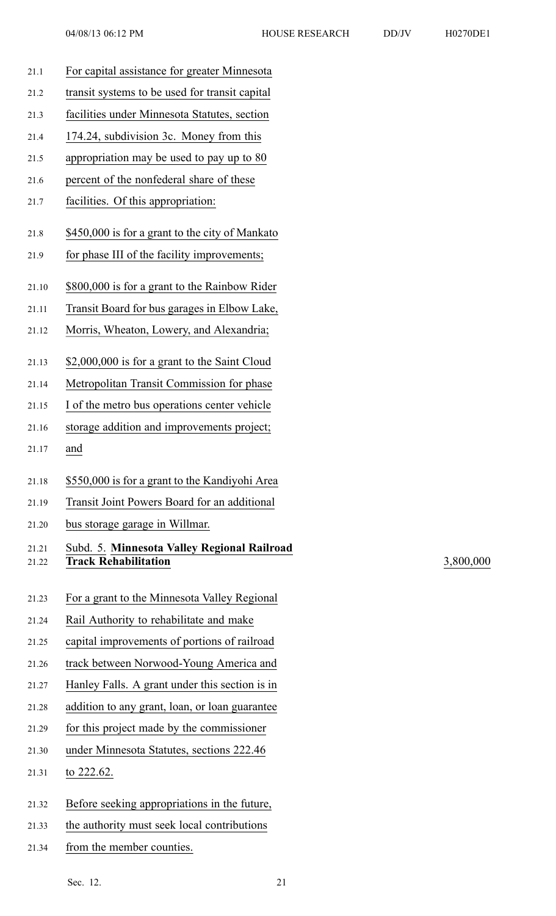- 21.1 For capital assistance for greater Minnesota 21.2 transit systems to be used for transit capital 21.3 facilities under Minnesota Statutes, section 21.4 174.24, subdivision 3c. Money from this 21.5 appropriation may be used to pay up to 80 21.6 percen<sup>t</sup> of the nonfederal share of these 21.7 facilities. Of this appropriation: 21.8 \$450,000 is for <sup>a</sup> gran<sup>t</sup> to the city of Mankato 21.9 for phase III of the facility improvements; 21.10 \$800,000 is for <sup>a</sup> gran<sup>t</sup> to the Rainbow Rider 21.11 Transit Board for bus garages in Elbow Lake, 21.12 Morris, Wheaton, Lowery, and Alexandria; 21.13 \$2,000,000 is for <sup>a</sup> gran<sup>t</sup> to the Saint Cloud 21.14 Metropolitan Transit Commission for phase 21.15 I of the metro bus operations center vehicle 21.16 storage addition and improvements project; 21.17 and 21.18 \$550,000 is for <sup>a</sup> gran<sup>t</sup> to the Kandiyohi Area 21.19 Transit Joint Powers Board for an additional 21.20 bus storage garage in Willmar. 21.21 Subd. 5. **Minnesota Valley Regional Railroad** 21.22 **Track Rehabilitation** 3,800,000 21.23 For <sup>a</sup> gran<sup>t</sup> to the Minnesota Valley Regional 21.24 Rail Authority to rehabilitate and make 21.25 capital improvements of portions of railroad 21.26 track between Norwood-Young America and 21.27 Hanley Falls. A gran<sup>t</sup> under this section is in 21.28 addition to any grant, loan, or loan guarantee 21.29 for this project made by the commissioner 21.30 under Minnesota Statutes, sections 222.46 21.31 to 222.62. 21.32 Before seeking appropriations in the future, 21.33 the authority must seek local contributions
- 21.34 from the member counties.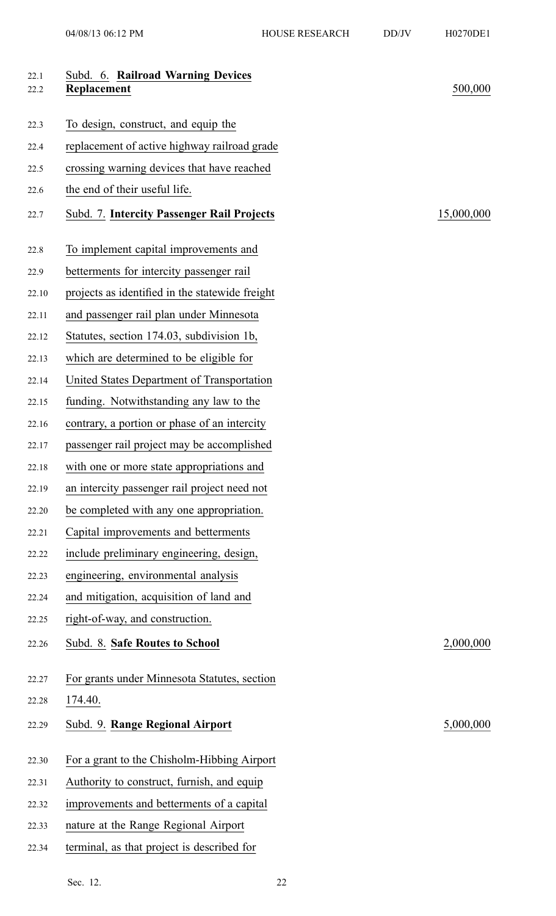| 22.1<br>22.2 | Subd. 6. Railroad Warning Devices<br>Replacement | 500,000    |
|--------------|--------------------------------------------------|------------|
|              |                                                  |            |
| 22.3         | To design, construct, and equip the              |            |
| 22.4         | replacement of active highway railroad grade     |            |
| 22.5         | crossing warning devices that have reached       |            |
| 22.6         | the end of their useful life.                    |            |
| 22.7         | Subd. 7. Intercity Passenger Rail Projects       | 15,000,000 |
| 22.8         | To implement capital improvements and            |            |
| 22.9         | betterments for intercity passenger rail         |            |
| 22.10        | projects as identified in the statewide freight  |            |
| 22.11        | and passenger rail plan under Minnesota          |            |
| 22.12        | Statutes, section 174.03, subdivision 1b,        |            |
| 22.13        | which are determined to be eligible for          |            |
| 22.14        | United States Department of Transportation       |            |
| 22.15        | funding. Notwithstanding any law to the          |            |
| 22.16        | contrary, a portion or phase of an intercity     |            |
| 22.17        | passenger rail project may be accomplished       |            |
| 22.18        | with one or more state appropriations and        |            |
| 22.19        | an intercity passenger rail project need not     |            |
| 22.20        | be completed with any one appropriation.         |            |
| 22.21        | Capital improvements and betterments             |            |
| 22.22        | include preliminary engineering, design,         |            |
| 22.23        | engineering, environmental analysis              |            |
| 22.24        | and mitigation, acquisition of land and          |            |
| 22.25        | right-of-way, and construction.                  |            |
| 22.26        | Subd. 8. Safe Routes to School                   | 2,000,000  |
| 22.27        | For grants under Minnesota Statutes, section     |            |
| 22.28        | 174.40.                                          |            |
| 22.29        | Subd. 9. Range Regional Airport                  | 5,000,000  |
| 22.30        | For a grant to the Chisholm-Hibbing Airport      |            |
| 22.31        | Authority to construct, furnish, and equip       |            |
| 22.32        | improvements and betterments of a capital        |            |
| 22.33        | nature at the Range Regional Airport             |            |
| 22.34        | terminal, as that project is described for       |            |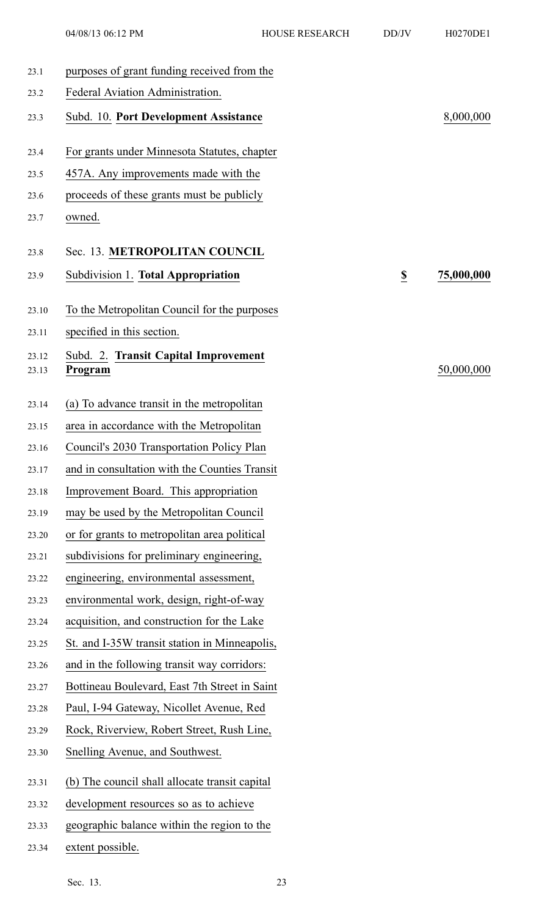| 23.1           | purposes of grant funding received from the     |                          |            |
|----------------|-------------------------------------------------|--------------------------|------------|
| 23.2           | Federal Aviation Administration.                |                          |            |
| 23.3           | Subd. 10. Port Development Assistance           |                          | 8,000,000  |
| 23.4           | For grants under Minnesota Statutes, chapter    |                          |            |
| 23.5           | 457A. Any improvements made with the            |                          |            |
| 23.6           | proceeds of these grants must be publicly       |                          |            |
| 23.7           | owned.                                          |                          |            |
| 23.8           | Sec. 13. METROPOLITAN COUNCIL                   |                          |            |
| 23.9           | Subdivision 1. Total Appropriation              | $\underline{\mathbb{S}}$ | 75,000,000 |
| 23.10          | To the Metropolitan Council for the purposes    |                          |            |
| 23.11          | specified in this section.                      |                          |            |
| 23.12<br>23.13 | Subd. 2. Transit Capital Improvement<br>Program |                          | 50,000,000 |
| 23.14          | (a) To advance transit in the metropolitan      |                          |            |
| 23.15          | area in accordance with the Metropolitan        |                          |            |
| 23.16          | Council's 2030 Transportation Policy Plan       |                          |            |
| 23.17          | and in consultation with the Counties Transit   |                          |            |
| 23.18          | Improvement Board. This appropriation           |                          |            |
| 23.19          | may be used by the Metropolitan Council         |                          |            |
| 23.20          | or for grants to metropolitan area political    |                          |            |
| 23.21          | subdivisions for preliminary engineering,       |                          |            |
| 23.22          | engineering, environmental assessment,          |                          |            |
| 23.23          | environmental work, design, right-of-way        |                          |            |
| 23.24          | acquisition, and construction for the Lake      |                          |            |
| 23.25          | St. and I-35W transit station in Minneapolis,   |                          |            |
| 23.26          | and in the following transit way corridors:     |                          |            |
| 23.27          | Bottineau Boulevard, East 7th Street in Saint   |                          |            |
| 23.28          | Paul, I-94 Gateway, Nicollet Avenue, Red        |                          |            |
| 23.29          | Rock, Riverview, Robert Street, Rush Line,      |                          |            |
| 23.30          | Snelling Avenue, and Southwest.                 |                          |            |
| 23.31          | (b) The council shall allocate transit capital  |                          |            |
| 23.32          | development resources so as to achieve          |                          |            |
| 23.33          | geographic balance within the region to the     |                          |            |
| 23.34          | extent possible.                                |                          |            |

Sec. 13. 23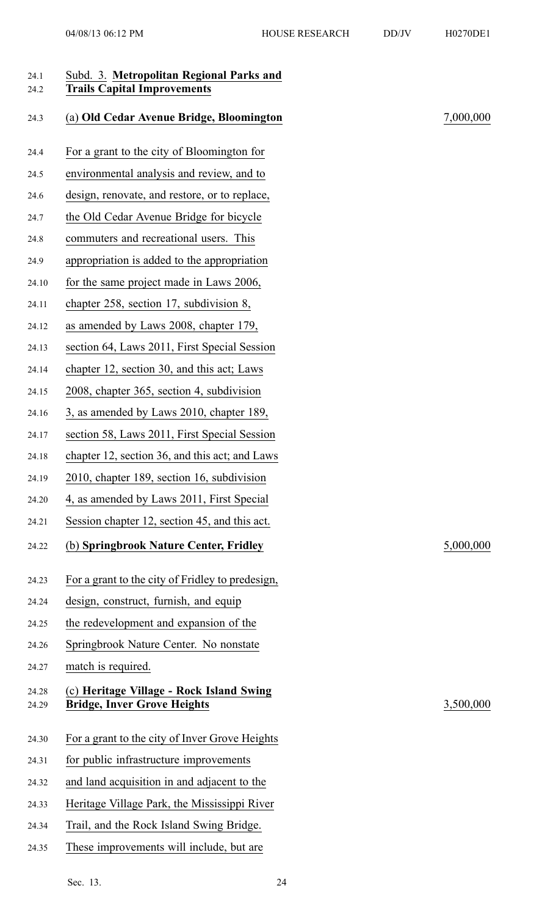| 24.1<br>24.2   | Subd. 3. Metropolitan Regional Parks and<br><b>Trails Capital Improvements</b> |           |
|----------------|--------------------------------------------------------------------------------|-----------|
| 24.3           | (a) Old Cedar Avenue Bridge, Bloomington                                       | 7,000,000 |
| 24.4           | For a grant to the city of Bloomington for                                     |           |
| 24.5           | environmental analysis and review, and to                                      |           |
| 24.6           | design, renovate, and restore, or to replace,                                  |           |
| 24.7           | the Old Cedar Avenue Bridge for bicycle                                        |           |
| 24.8           | commuters and recreational users. This                                         |           |
| 24.9           | appropriation is added to the appropriation                                    |           |
| 24.10          | for the same project made in Laws 2006,                                        |           |
| 24.11          | chapter 258, section 17, subdivision 8,                                        |           |
| 24.12          | as amended by Laws 2008, chapter 179,                                          |           |
| 24.13          | section 64, Laws 2011, First Special Session                                   |           |
| 24.14          | chapter 12, section 30, and this act; Laws                                     |           |
| 24.15          | 2008, chapter 365, section 4, subdivision                                      |           |
| 24.16          | 3, as amended by Laws 2010, chapter 189,                                       |           |
| 24.17          | section 58, Laws 2011, First Special Session                                   |           |
| 24.18          | chapter 12, section 36, and this act; and Laws                                 |           |
| 24.19          | 2010, chapter 189, section 16, subdivision                                     |           |
| 24.20          | 4, as amended by Laws 2011, First Special                                      |           |
| 24.21          | Session chapter 12, section 45, and this act.                                  |           |
| 24.22          | (b) Springbrook Nature Center, Fridley                                         | 5,000,000 |
| 24.23          | For a grant to the city of Fridley to predesign,                               |           |
| 24.24          | design, construct, furnish, and equip                                          |           |
| 24.25          | the redevelopment and expansion of the                                         |           |
| 24.26          | Springbrook Nature Center. No nonstate                                         |           |
| 24.27          | match is required.                                                             |           |
| 24.28<br>24.29 | (c) Heritage Village - Rock Island Swing<br><b>Bridge, Inver Grove Heights</b> | 3,500,000 |
| 24.30          | For a grant to the city of Inver Grove Heights                                 |           |
| 24.31          | for public infrastructure improvements                                         |           |
| 24.32          | and land acquisition in and adjacent to the                                    |           |
| 24.33          | Heritage Village Park, the Mississippi River                                   |           |
| 24.34          | Trail, and the Rock Island Swing Bridge.                                       |           |
| 24.35          | These improvements will include, but are                                       |           |
|                |                                                                                |           |
|                | Sec $13$<br>24                                                                 |           |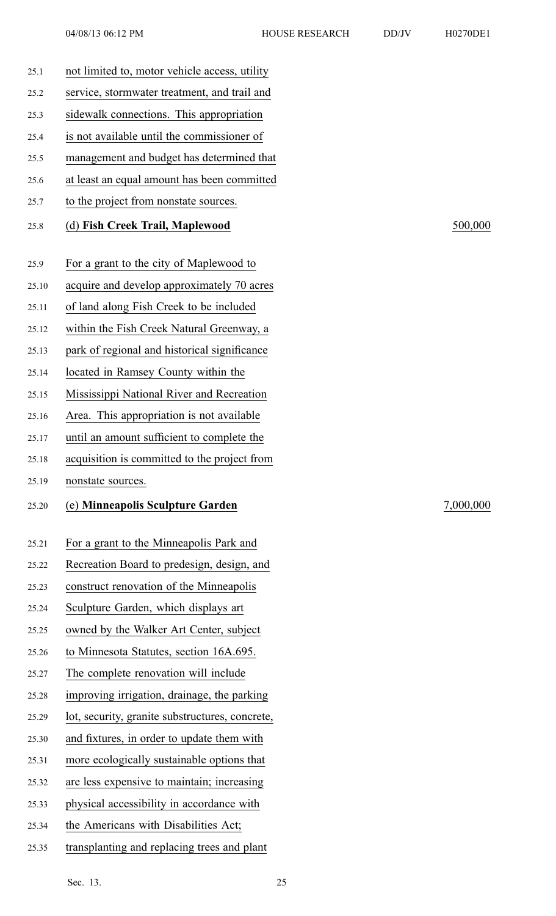| 25.1  | not limited to, motor vehicle access, utility   |           |
|-------|-------------------------------------------------|-----------|
| 25.2  | service, stormwater treatment, and trail and    |           |
| 25.3  | sidewalk connections. This appropriation        |           |
| 25.4  | is not available until the commissioner of      |           |
| 25.5  | management and budget has determined that       |           |
| 25.6  | at least an equal amount has been committed     |           |
| 25.7  | to the project from nonstate sources.           |           |
| 25.8  | (d) Fish Creek Trail, Maplewood                 | 500,000   |
| 25.9  | For a grant to the city of Maplewood to         |           |
| 25.10 | acquire and develop approximately 70 acres      |           |
| 25.11 | of land along Fish Creek to be included         |           |
| 25.12 | within the Fish Creek Natural Greenway, a       |           |
| 25.13 | park of regional and historical significance    |           |
| 25.14 | located in Ramsey County within the             |           |
| 25.15 | Mississippi National River and Recreation       |           |
| 25.16 | Area. This appropriation is not available       |           |
| 25.17 | until an amount sufficient to complete the      |           |
| 25.18 | acquisition is committed to the project from    |           |
| 25.19 | nonstate sources.                               |           |
| 25.20 | (e) Minneapolis Sculpture Garden                | 7,000,000 |
| 25.21 | For a grant to the Minneapolis Park and         |           |
| 25.22 | Recreation Board to predesign, design, and      |           |
| 25.23 | construct renovation of the Minneapolis         |           |
| 25.24 | Sculpture Garden, which displays art            |           |
| 25.25 | owned by the Walker Art Center, subject         |           |
| 25.26 | to Minnesota Statutes, section 16A.695.         |           |
| 25.27 | The complete renovation will include            |           |
| 25.28 | improving irrigation, drainage, the parking     |           |
| 25.29 | lot, security, granite substructures, concrete, |           |
| 25.30 | and fixtures, in order to update them with      |           |
| 25.31 | more ecologically sustainable options that      |           |
| 25.32 | are less expensive to maintain; increasing      |           |
| 25.33 | physical accessibility in accordance with       |           |
| 25.34 |                                                 |           |
|       | the Americans with Disabilities Act;            |           |

Sec. 13. 25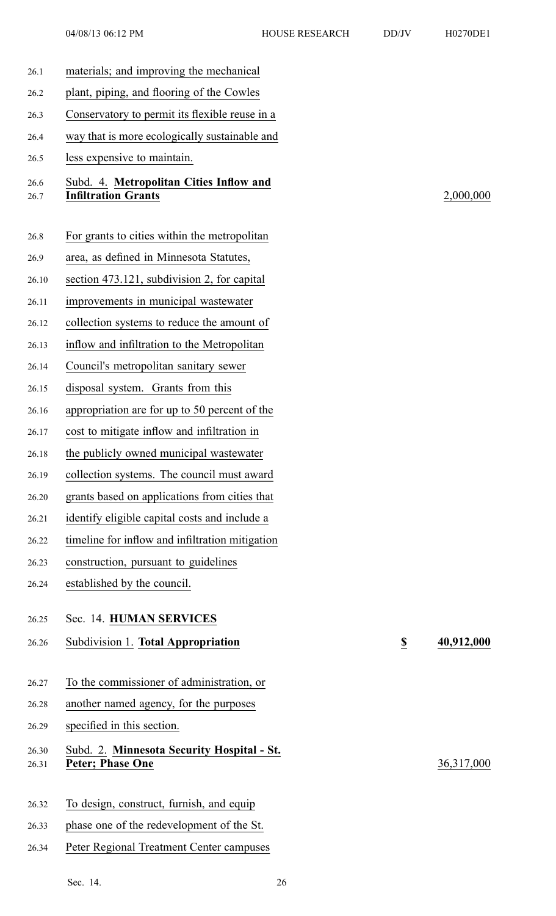26.7 **Infiltration Grants** 2,000,000

26.26 Subdivision 1. **Total Appropriation \$ 40,912,000**

26.31 **Peter; Phase One** 36,317,000

| 26.1         | materials; and improving the mechanical                               |                         |
|--------------|-----------------------------------------------------------------------|-------------------------|
| 26.2         | plant, piping, and flooring of the Cowles                             |                         |
| 26.3         | Conservatory to permit its flexible reuse in a                        |                         |
| 26.4         | way that is more ecologically sustainable and                         |                         |
| 26.5         | less expensive to maintain.                                           |                         |
| 26.6<br>26.7 | Subd. 4. Metropolitan Cities Inflow and<br><b>Infiltration Grants</b> |                         |
| 26.8         | For grants to cities within the metropolitan                          |                         |
| 26.9         | area, as defined in Minnesota Statutes,                               |                         |
| 26.10        | section 473.121, subdivision 2, for capital                           |                         |
| 26.11        | improvements in municipal wastewater                                  |                         |
| 26.12        | collection systems to reduce the amount of                            |                         |
| 26.13        | inflow and infiltration to the Metropolitan                           |                         |
| 26.14        | Council's metropolitan sanitary sewer                                 |                         |
| 26.15        | disposal system. Grants from this                                     |                         |
| 26.16        | appropriation are for up to 50 percent of the                         |                         |
| 26.17        | cost to mitigate inflow and infiltration in                           |                         |
| 26.18        | the publicly owned municipal wastewater                               |                         |
| 26.19        | collection systems. The council must award                            |                         |
| 26.20        | grants based on applications from cities that                         |                         |
| 26.21        | identify eligible capital costs and include a                         |                         |
| 26.22        | timeline for inflow and infiltration mitigation                       |                         |
| 26.23        | construction, pursuant to guidelines                                  |                         |
| 26.24        | established by the council.                                           |                         |
| 26.25        | Sec. 14. HUMAN SERVICES                                               |                         |
| 26.26        | Subdivision 1. Total Appropriation                                    | $\overline{\mathbf{z}}$ |
|              |                                                                       |                         |
| 26.27        | To the commissioner of administration, or                             |                         |
| 26.28        | another named agency, for the purposes                                |                         |
| 26.29        | specified in this section.                                            |                         |
| 26.30        | Subd. 2. Minnesota Security Hospital - St.                            |                         |
| 26.31        | <b>Peter; Phase One</b>                                               |                         |
|              |                                                                       |                         |
| 26.32        | To design, construct, furnish, and equip                              |                         |
| 26.33        | phase one of the redevelopment of the St.                             |                         |
| 26.34        | Peter Regional Treatment Center campuses                              |                         |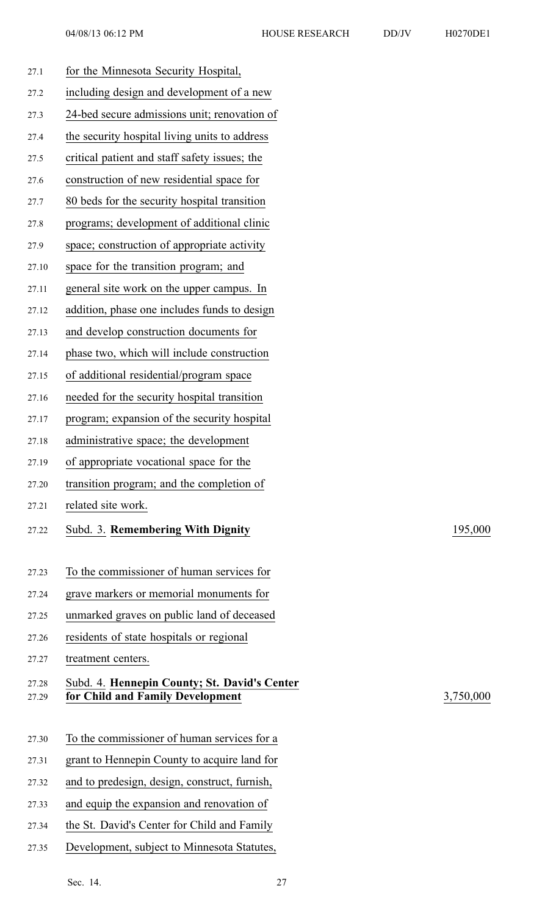| 27.1           | for the Minnesota Security Hospital,                                             |           |
|----------------|----------------------------------------------------------------------------------|-----------|
| 27.2           | including design and development of a new                                        |           |
| 27.3           | 24-bed secure admissions unit; renovation of                                     |           |
| 27.4           | the security hospital living units to address                                    |           |
| 27.5           | critical patient and staff safety issues; the                                    |           |
| 27.6           | construction of new residential space for                                        |           |
| 27.7           | 80 beds for the security hospital transition                                     |           |
| 27.8           | programs; development of additional clinic                                       |           |
| 27.9           | space; construction of appropriate activity                                      |           |
| 27.10          | space for the transition program; and                                            |           |
| 27.11          | general site work on the upper campus. In                                        |           |
| 27.12          | addition, phase one includes funds to design                                     |           |
| 27.13          | and develop construction documents for                                           |           |
| 27.14          | phase two, which will include construction                                       |           |
| 27.15          | of additional residential/program space                                          |           |
| 27.16          | needed for the security hospital transition                                      |           |
| 27.17          | program; expansion of the security hospital                                      |           |
| 27.18          | administrative space; the development                                            |           |
| 27.19          | of appropriate vocational space for the                                          |           |
| 27.20          | transition program; and the completion of                                        |           |
| 27.21          | related site work.                                                               |           |
| 27.22          | Subd. 3. Remembering With Dignity                                                | 195,000   |
| 27.23          | To the commissioner of human services for                                        |           |
| 27.24          | grave markers or memorial monuments for                                          |           |
| 27.25          | unmarked graves on public land of deceased                                       |           |
| 27.26          | residents of state hospitals or regional                                         |           |
| 27.27          | treatment centers.                                                               |           |
| 27.28<br>27.29 | Subd. 4. Hennepin County; St. David's Center<br>for Child and Family Development | 3,750,000 |
| 27.30          | To the commissioner of human services for a                                      |           |
| 27.31          | grant to Hennepin County to acquire land for                                     |           |
| 27.32          | and to predesign, design, construct, furnish,                                    |           |
| 27.33          | and equip the expansion and renovation of                                        |           |
| 27.34          | the St. David's Center for Child and Family                                      |           |
| 27.35          | Development, subject to Minnesota Statutes,                                      |           |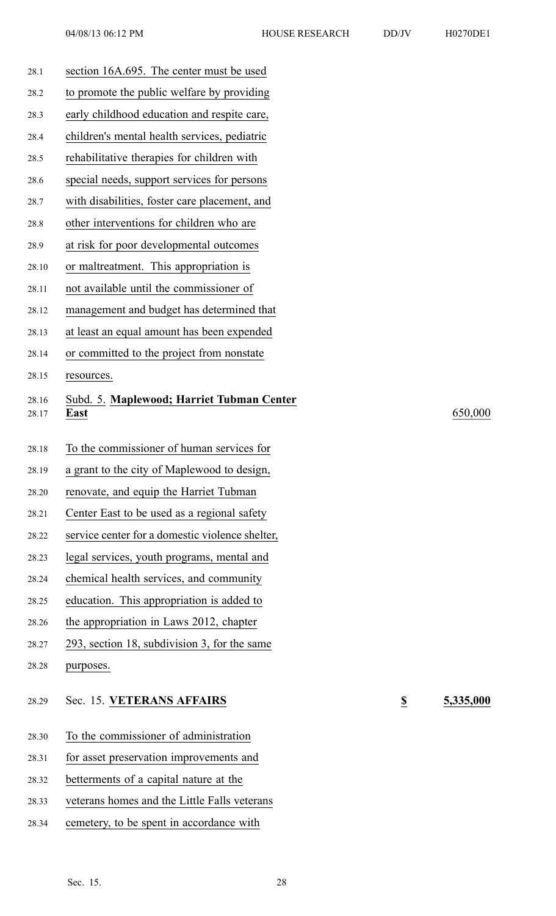| 28.1           | section 16A.695. The center must be used          |                          |           |
|----------------|---------------------------------------------------|--------------------------|-----------|
| 28.2           | to promote the public welfare by providing        |                          |           |
| 28.3           | early childhood education and respite care,       |                          |           |
| 28.4           | children's mental health services, pediatric      |                          |           |
| 28.5           | rehabilitative therapies for children with        |                          |           |
| 28.6           | special needs, support services for persons       |                          |           |
| 28.7           | with disabilities, foster care placement, and     |                          |           |
| 28.8           | other interventions for children who are          |                          |           |
| 28.9           | at risk for poor developmental outcomes           |                          |           |
| 28.10          | or maltreatment. This appropriation is            |                          |           |
| 28.11          | not available until the commissioner of           |                          |           |
| 28.12          | management and budget has determined that         |                          |           |
| 28.13          | at least an equal amount has been expended        |                          |           |
| 28.14          | or committed to the project from nonstate         |                          |           |
| 28.15          | resources.                                        |                          |           |
| 28.16<br>28.17 | Subd. 5. Maplewood; Harriet Tubman Center<br>East |                          | 650,000   |
| 28.18          | To the commissioner of human services for         |                          |           |
| 28.19          | a grant to the city of Maplewood to design,       |                          |           |
| 28.20          | renovate, and equip the Harriet Tubman            |                          |           |
| 28.21          | Center East to be used as a regional safety       |                          |           |
| 28.22          | service center for a domestic violence shelter,   |                          |           |
| 28.23          | legal services, youth programs, mental and        |                          |           |
| 28.24          | chemical health services, and community           |                          |           |
| 28.25          | education. This appropriation is added to         |                          |           |
| 28.26          | the appropriation in Laws 2012, chapter           |                          |           |
| 28.27          | 293, section 18, subdivision 3, for the same      |                          |           |
| 28.28          | purposes.                                         |                          |           |
| 28.29          | Sec. 15. VETERANS AFFAIRS                         | $\underline{\mathbb{S}}$ | 5,335,000 |
| 28.30          | To the commissioner of administration             |                          |           |
| 28.31          | for asset preservation improvements and           |                          |           |
| 28.32          | betterments of a capital nature at the            |                          |           |
| 28.33          | veterans homes and the Little Falls veterans      |                          |           |
| 28.34          | cemetery, to be spent in accordance with          |                          |           |
|                |                                                   |                          |           |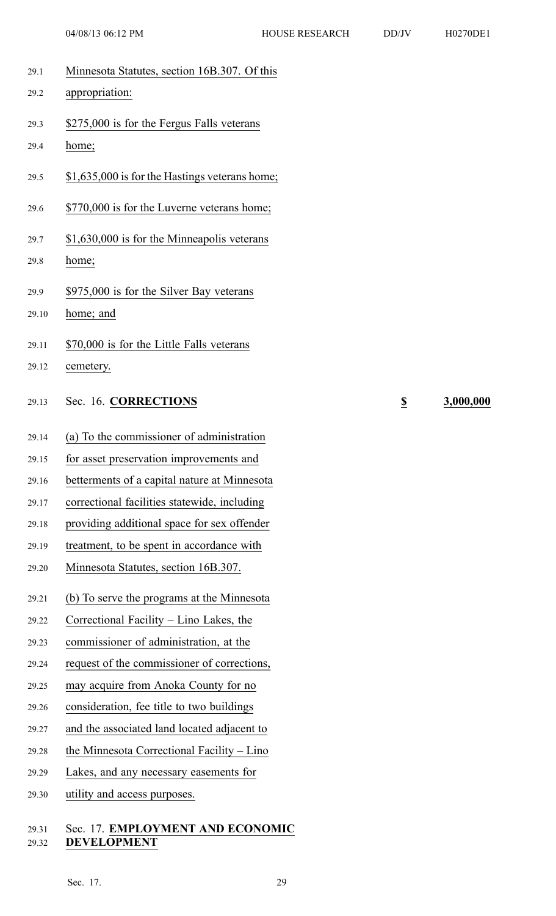- 29.1 Minnesota Statutes, section 16B.307. Of this
- 29.2 appropriation:
- 29.3 \$275,000 is for the Fergus Falls veterans
- 29.4 home;
- 29.5 \$1,635,000 is for the Hastings veterans home;
- 29.6 \$770,000 is for the Luverne veterans home;
- 29.7 \$1,630,000 is for the Minneapolis veterans
- 29.8 home;
- 29.9 \$975,000 is for the Silver Bay veterans
- 29.10 home; and
- 29.11 \$70,000 is for the Little Falls veterans
- 29.12 cemetery.
- 29.13 Sec. 16. **CORRECTIONS \$ 3,000,000**
- 29.14 (a) To the commissioner of administration
- 29.15 for asset preservation improvements and
- 29.16 betterments of <sup>a</sup> capital nature at Minnesota
- 29.17 correctional facilities statewide, including
- 29.18 providing additional space for sex offender
- 29.19 treatment, to be spen<sup>t</sup> in accordance with
- 29.20 Minnesota Statutes, section 16B.307.
- 29.21 (b) To serve the programs at the Minnesota
- 29.22 Correctional Facility Lino Lakes, the
- 29.23 commissioner of administration, at the
- 29.24 reques<sup>t</sup> of the commissioner of corrections,
- 29.25 may acquire from Anoka County for no
- 29.26 consideration, fee title to two buildings
- 29.27 and the associated land located adjacent to
- 29.28 the Minnesota Correctional Facility Lino
- 29.29 Lakes, and any necessary easements for
- 29.30 utility and access purposes.

### 29.31 Sec. 17. **EMPLOYMENT AND ECONOMIC** 29.32 **DEVELOPMENT**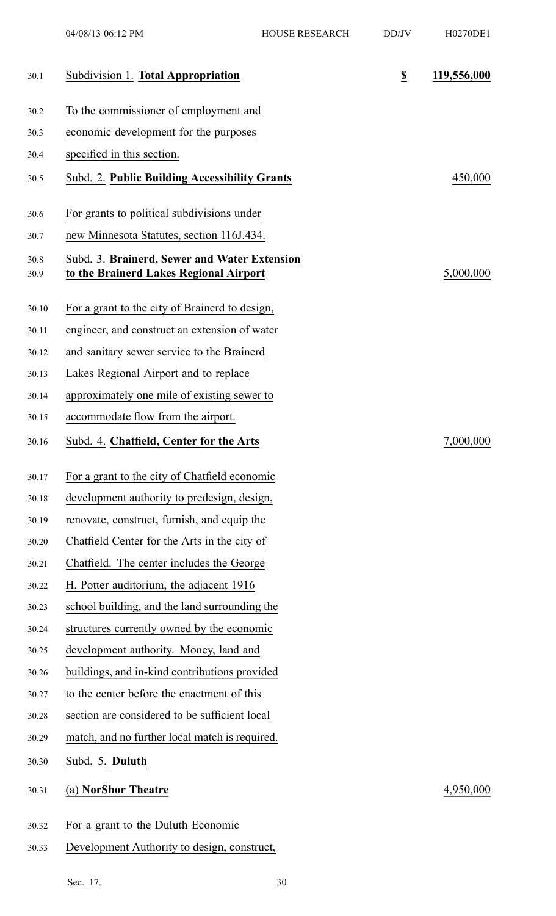| 30.1         | Subdivision 1. Total Appropriation                                                     | $\underline{\$}$ | 119,556,000 |
|--------------|----------------------------------------------------------------------------------------|------------------|-------------|
| 30.2         | To the commissioner of employment and                                                  |                  |             |
| 30.3         | economic development for the purposes                                                  |                  |             |
| 30.4         | specified in this section.                                                             |                  |             |
| 30.5         | Subd. 2. Public Building Accessibility Grants                                          |                  | 450,000     |
| 30.6         | For grants to political subdivisions under                                             |                  |             |
| 30.7         | new Minnesota Statutes, section 116J.434.                                              |                  |             |
| 30.8<br>30.9 | Subd. 3. Brainerd, Sewer and Water Extension<br>to the Brainerd Lakes Regional Airport |                  | 5,000,000   |
| 30.10        | For a grant to the city of Brainerd to design,                                         |                  |             |
| 30.11        | engineer, and construct an extension of water                                          |                  |             |
| 30.12        | and sanitary sewer service to the Brainerd                                             |                  |             |
| 30.13        | Lakes Regional Airport and to replace                                                  |                  |             |
| 30.14        | approximately one mile of existing sewer to                                            |                  |             |
| 30.15        | accommodate flow from the airport.                                                     |                  |             |
| 30.16        | Subd. 4. Chatfield, Center for the Arts                                                |                  | 7,000,000   |
| 30.17        | For a grant to the city of Chatfield economic                                          |                  |             |
| 30.18        | development authority to predesign, design,                                            |                  |             |
| 30.19        | renovate, construct, furnish, and equip the                                            |                  |             |
| 30.20        | Chatfield Center for the Arts in the city of                                           |                  |             |
| 30.21        | Chatfield. The center includes the George                                              |                  |             |
| 30.22        | H. Potter auditorium, the adjacent 1916                                                |                  |             |
| 30.23        | school building, and the land surrounding the                                          |                  |             |
| 30.24        | structures currently owned by the economic                                             |                  |             |
| 30.25        | development authority. Money, land and                                                 |                  |             |
| 30.26        | buildings, and in-kind contributions provided                                          |                  |             |
| 30.27        | to the center before the enactment of this                                             |                  |             |
| 30.28        | section are considered to be sufficient local                                          |                  |             |
| 30.29        | match, and no further local match is required.                                         |                  |             |
| 30.30        | Subd. 5. Duluth                                                                        |                  |             |
| 30.31        | (a) NorShor Theatre                                                                    |                  | 4,950,000   |
| 30.32        | For a grant to the Duluth Economic                                                     |                  |             |
| 30.33        | Development Authority to design, construct,                                            |                  |             |
|              | Sec. 17.<br>30                                                                         |                  |             |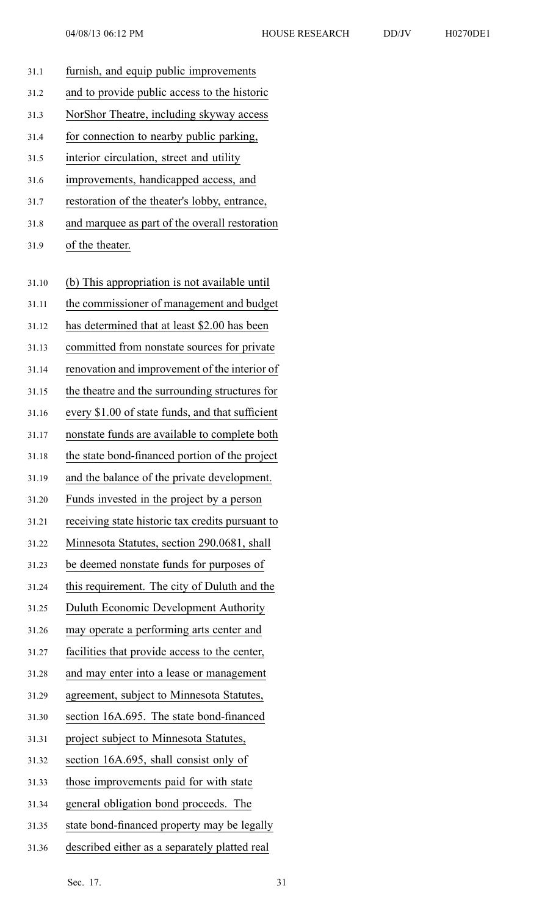|  | 70D | H |
|--|-----|---|
|  |     |   |

| 31.1  | furnish, and equip public improvements           |
|-------|--------------------------------------------------|
| 31.2  | and to provide public access to the historic     |
| 31.3  | NorShor Theatre, including skyway access         |
| 31.4  | for connection to nearby public parking,         |
| 31.5  | interior circulation, street and utility         |
| 31.6  | improvements, handicapped access, and            |
| 31.7  | restoration of the theater's lobby, entrance,    |
| 31.8  | and marquee as part of the overall restoration   |
| 31.9  | of the theater.                                  |
|       |                                                  |
| 31.10 | (b) This appropriation is not available until    |
| 31.11 | the commissioner of management and budget        |
| 31.12 | has determined that at least \$2.00 has been     |
| 31.13 | committed from nonstate sources for private      |
| 31.14 | renovation and improvement of the interior of    |
| 31.15 | the theatre and the surrounding structures for   |
| 31.16 | every \$1.00 of state funds, and that sufficient |
| 31.17 | nonstate funds are available to complete both    |
| 31.18 | the state bond-financed portion of the project   |
| 31.19 | and the balance of the private development.      |
| 31.20 | Funds invested in the project by a person        |
| 31.21 | receiving state historic tax credits pursuant to |
| 31.22 | Minnesota Statutes, section 290.0681, shall      |
| 31.23 | be deemed nonstate funds for purposes of         |
| 31.24 | this requirement. The city of Duluth and the     |
| 31.25 | Duluth Economic Development Authority            |
| 31.26 | may operate a performing arts center and         |
| 31.27 | facilities that provide access to the center,    |
| 31.28 | and may enter into a lease or management         |
| 31.29 | agreement, subject to Minnesota Statutes,        |
| 31.30 | section 16A.695. The state bond-financed         |
| 31.31 | project subject to Minnesota Statutes,           |
| 31.32 | section 16A.695, shall consist only of           |
| 31.33 | those improvements paid for with state           |
| 31.34 | general obligation bond proceeds. The            |
| 31.35 | state bond-financed property may be legally      |
| 31.36 | described either as a separately platted real    |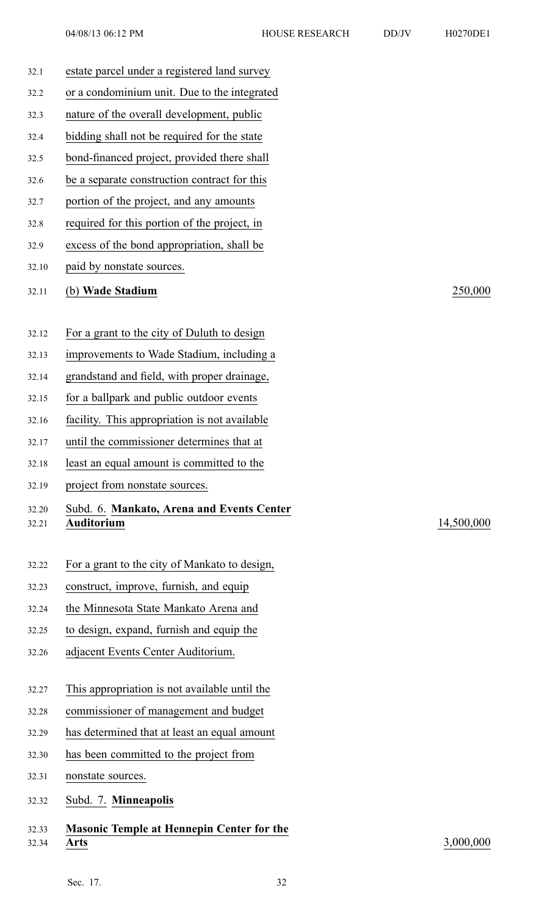| 32.1  | estate parcel under a registered land survey     |            |
|-------|--------------------------------------------------|------------|
| 32.2  | or a condominium unit. Due to the integrated     |            |
| 32.3  | nature of the overall development, public        |            |
| 32.4  | bidding shall not be required for the state      |            |
| 32.5  | bond-financed project, provided there shall      |            |
| 32.6  | be a separate construction contract for this     |            |
| 32.7  | portion of the project, and any amounts          |            |
| 32.8  | required for this portion of the project, in     |            |
| 32.9  | excess of the bond appropriation, shall be       |            |
| 32.10 | paid by nonstate sources.                        |            |
| 32.11 | (b) Wade Stadium                                 | 250,000    |
|       |                                                  |            |
| 32.12 | For a grant to the city of Duluth to design      |            |
| 32.13 | improvements to Wade Stadium, including a        |            |
| 32.14 | grandstand and field, with proper drainage,      |            |
| 32.15 | for a ballpark and public outdoor events         |            |
| 32.16 | facility. This appropriation is not available    |            |
| 32.17 | until the commissioner determines that at        |            |
| 32.18 | least an equal amount is committed to the        |            |
| 32.19 | project from nonstate sources.                   |            |
| 32.20 | Subd. 6. Mankato, Arena and Events Center        |            |
| 32.21 | <b>Auditorium</b>                                | 14,500,000 |
| 32.22 | For a grant to the city of Mankato to design,    |            |
| 32.23 | construct, improve, furnish, and equip           |            |
| 32.24 | the Minnesota State Mankato Arena and            |            |
| 32.25 | to design, expand, furnish and equip the         |            |
| 32.26 | adjacent Events Center Auditorium.               |            |
|       |                                                  |            |
| 32.27 | This appropriation is not available until the    |            |
| 32.28 | commissioner of management and budget            |            |
| 32.29 | has determined that at least an equal amount     |            |
| 32.30 | has been committed to the project from           |            |
| 32.31 | nonstate sources.                                |            |
| 32.32 | Subd. 7. Minneapolis                             |            |
| 32.33 | <b>Masonic Temple at Hennepin Center for the</b> |            |
| 32.34 | <b>Arts</b>                                      | 3,000,000  |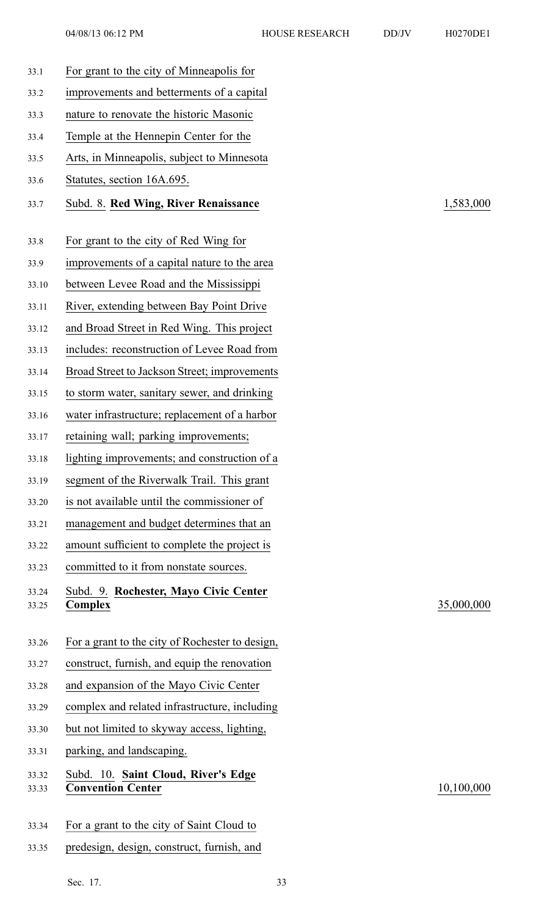| 33.1           | For grant to the city of Minneapolis for                        |
|----------------|-----------------------------------------------------------------|
| 33.2           | improvements and betterments of a capital                       |
| 33.3           | nature to renovate the historic Masonic                         |
| 33.4           | Temple at the Hennepin Center for the                           |
| 33.5           | Arts, in Minneapolis, subject to Minnesota                      |
| 33.6           | Statutes, section 16A.695.                                      |
| 33.7           | Subd. 8. Red Wing, River Renaissance                            |
| 33.8           | For grant to the city of Red Wing for                           |
| 33.9           | improvements of a capital nature to the area                    |
| 33.10          | between Levee Road and the Mississippi                          |
| 33.11          | River, extending between Bay Point Drive                        |
| 33.12          | and Broad Street in Red Wing. This project                      |
| 33.13          | includes: reconstruction of Levee Road from                     |
| 33.14          | Broad Street to Jackson Street; improvements                    |
| 33.15          | to storm water, sanitary sewer, and drinking                    |
| 33.16          | water infrastructure; replacement of a harbor                   |
| 33.17          | retaining wall; parking improvements;                           |
| 33.18          | lighting improvements; and construction of a                    |
| 33.19          | segment of the Riverwalk Trail. This grant                      |
| 33.20          | is not available until the commissioner of                      |
| 33.21          | management and budget determines that an                        |
| 33.22          | amount sufficient to complete the project is                    |
| 33.23          | committed to it from nonstate sources.                          |
| 33.24<br>33.25 | Subd. 9. Rochester, Mayo Civic Center<br>Complex                |
| 33.26          | For a grant to the city of Rochester to design,                 |
| 33.27          | construct, furnish, and equip the renovation                    |
| 33.28          | and expansion of the Mayo Civic Center                          |
| 33.29          | complex and related infrastructure, including                   |
| 33.30          | but not limited to skyway access, lighting,                     |
| 33.31          | parking, and landscaping.                                       |
| 33.32<br>33.33 | Subd. 10. Saint Cloud, River's Edge<br><b>Convention Center</b> |
|                |                                                                 |

- 33.34 For <sup>a</sup> gran<sup>t</sup> to the city of Saint Cloud to
- 33.35 predesign, design, construct, furnish, and

33.7 Subd. 8. **Red Wing, River Renaissance** 1,583,000

33.25 **Complex** 35,000,000

33.33 **Convention Center** 10,100,000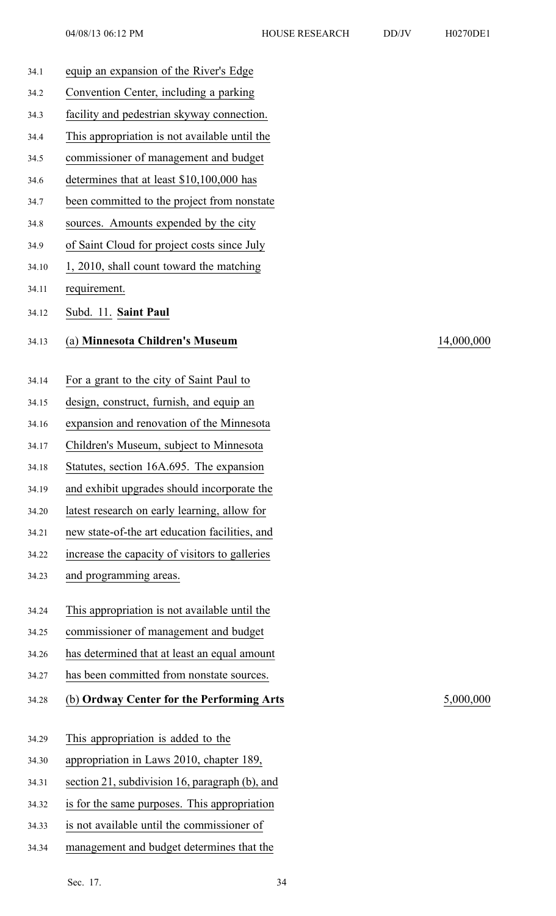| H0270DE1 |  |
|----------|--|

| 34.1  | equip an expansion of the River's Edge         |
|-------|------------------------------------------------|
| 34.2  | Convention Center, including a parking         |
| 34.3  | facility and pedestrian skyway connection.     |
| 34.4  | This appropriation is not available until the  |
| 34.5  | commissioner of management and budget          |
| 34.6  | determines that at least \$10,100,000 has      |
| 34.7  | been committed to the project from nonstate    |
| 34.8  | sources. Amounts expended by the city          |
| 34.9  | of Saint Cloud for project costs since July    |
| 34.10 | 1, 2010, shall count toward the matching       |
| 34.11 | requirement.                                   |
| 34.12 | Subd. 11. Saint Paul                           |
| 34.13 | (a) Minnesota Children's Museum                |
|       |                                                |
| 34.14 | For a grant to the city of Saint Paul to       |
| 34.15 | design, construct, furnish, and equip an       |
| 34.16 | expansion and renovation of the Minnesota      |
| 34.17 | Children's Museum, subject to Minnesota        |
| 34.18 | Statutes, section 16A.695. The expansion       |
| 34.19 | and exhibit upgrades should incorporate the    |
| 34.20 | latest research on early learning, allow for   |
| 34.21 | new state-of-the art education facilities, and |
| 34.22 | increase the capacity of visitors to galleries |
| 34.23 | and programming areas.                         |
| 34.24 | This appropriation is not available until the  |
| 34.25 | commissioner of management and budget          |
| 34.26 | has determined that at least an equal amount   |
| 34.27 | has been committed from nonstate sources.      |
| 34.28 | (b) Ordway Center for the Performing Arts      |
|       |                                                |
| 34.29 | This appropriation is added to the             |
| 34.30 | appropriation in Laws 2010, chapter 189,       |
| 34.31 | section 21, subdivision 16, paragraph (b), and |
| 34.32 | is for the same purposes. This appropriation   |
| 34.33 | is not available until the commissioner of     |
| 34.34 | management and budget determines that the      |

## 34.13 (a) **Minnesota Children's Museum** 14,000,000

# 34.28 (b) **Ordway Center for the Performing Arts** 5,000,000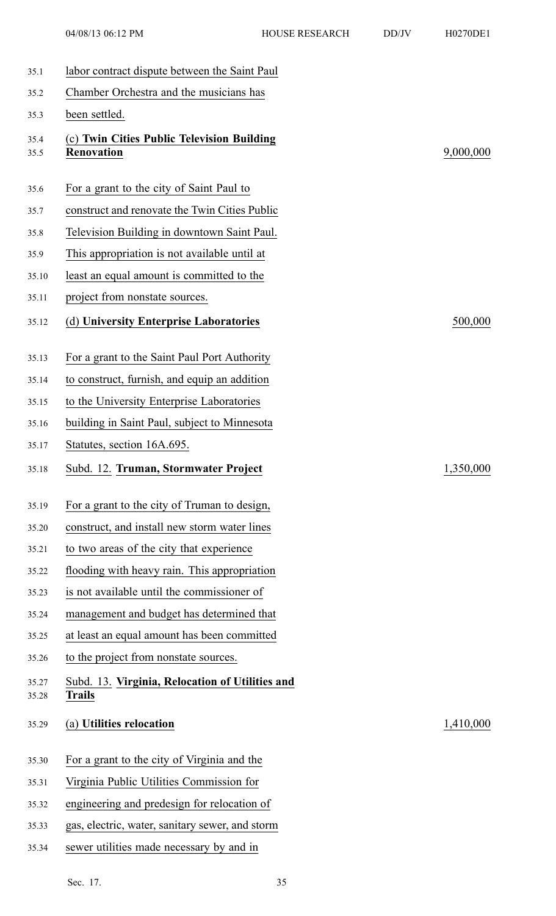| 35.1           | labor contract dispute between the Saint Paul                    |           |
|----------------|------------------------------------------------------------------|-----------|
| 35.2           | Chamber Orchestra and the musicians has                          |           |
| 35.3           | been settled.                                                    |           |
| 35.4<br>35.5   | (c) Twin Cities Public Television Building<br><b>Renovation</b>  | 9,000,000 |
| 35.6           | For a grant to the city of Saint Paul to                         |           |
| 35.7           | construct and renovate the Twin Cities Public                    |           |
| 35.8           | Television Building in downtown Saint Paul.                      |           |
| 35.9           | This appropriation is not available until at                     |           |
| 35.10          | least an equal amount is committed to the                        |           |
| 35.11          | project from nonstate sources.                                   |           |
| 35.12          | (d) University Enterprise Laboratories                           | 500,000   |
| 35.13          | For a grant to the Saint Paul Port Authority                     |           |
| 35.14          | to construct, furnish, and equip an addition                     |           |
| 35.15          | to the University Enterprise Laboratories                        |           |
| 35.16          | building in Saint Paul, subject to Minnesota                     |           |
|                | Statutes, section 16A.695.                                       |           |
| 35.17          |                                                                  |           |
| 35.18          | Subd. 12. Truman, Stormwater Project                             | 1,350,000 |
| 35.19          | For a grant to the city of Truman to design,                     |           |
| 35.20          | construct, and install new storm water lines                     |           |
| 35.21          | to two areas of the city that experience                         |           |
| 35.22          | flooding with heavy rain. This appropriation                     |           |
| 35.23          | is not available until the commissioner of                       |           |
| 35.24          | management and budget has determined that                        |           |
| 35.25          | at least an equal amount has been committed                      |           |
| 35.26          | to the project from nonstate sources.                            |           |
| 35.27<br>35.28 | Subd. 13. Virginia, Relocation of Utilities and<br><b>Trails</b> |           |
| 35.29          | (a) Utilities relocation                                         | 1,410,000 |
| 35.30          | For a grant to the city of Virginia and the                      |           |
| 35.31          | Virginia Public Utilities Commission for                         |           |
| 35.32          | engineering and predesign for relocation of                      |           |
| 35.33          | gas, electric, water, sanitary sewer, and storm                  |           |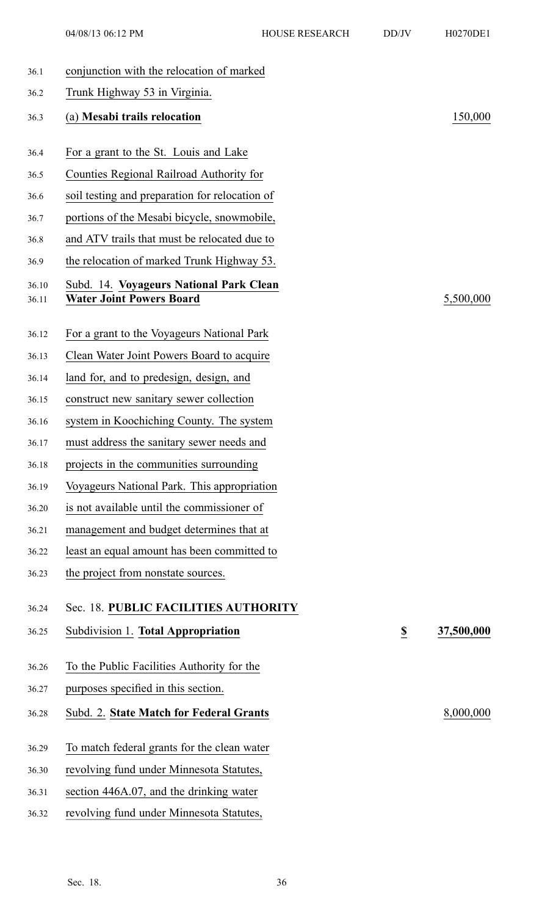04/08/13 06:12 PM HOUSE RESEARCH DD/JV H0270DE1

| 36.1  | conjunction with the relocation of marked      |                         |            |
|-------|------------------------------------------------|-------------------------|------------|
| 36.2  | Trunk Highway 53 in Virginia.                  |                         |            |
| 36.3  | (a) Mesabi trails relocation                   |                         | 150,000    |
| 36.4  | For a grant to the St. Louis and Lake          |                         |            |
| 36.5  | Counties Regional Railroad Authority for       |                         |            |
| 36.6  | soil testing and preparation for relocation of |                         |            |
| 36.7  | portions of the Mesabi bicycle, snowmobile,    |                         |            |
| 36.8  | and ATV trails that must be relocated due to   |                         |            |
| 36.9  | the relocation of marked Trunk Highway 53.     |                         |            |
| 36.10 | Subd. 14. Voyageurs National Park Clean        |                         |            |
| 36.11 | <b>Water Joint Powers Board</b>                |                         | 5,500,000  |
|       |                                                |                         |            |
| 36.12 | For a grant to the Voyageurs National Park     |                         |            |
| 36.13 | Clean Water Joint Powers Board to acquire      |                         |            |
| 36.14 | land for, and to predesign, design, and        |                         |            |
| 36.15 | construct new sanitary sewer collection        |                         |            |
| 36.16 | system in Koochiching County. The system       |                         |            |
| 36.17 | must address the sanitary sewer needs and      |                         |            |
| 36.18 | projects in the communities surrounding        |                         |            |
| 36.19 | Voyageurs National Park. This appropriation    |                         |            |
| 36.20 | is not available until the commissioner of     |                         |            |
| 36.21 | management and budget determines that at       |                         |            |
| 36.22 | least an equal amount has been committed to    |                         |            |
| 36.23 | the project from nonstate sources.             |                         |            |
| 36.24 | Sec. 18. PUBLIC FACILITIES AUTHORITY           |                         |            |
| 36.25 | Subdivision 1. Total Appropriation             | $\overline{\mathbf{z}}$ | 37,500,000 |
| 36.26 | To the Public Facilities Authority for the     |                         |            |
| 36.27 | purposes specified in this section.            |                         |            |
| 36.28 | Subd. 2. State Match for Federal Grants        |                         | 8,000,000  |
| 36.29 | To match federal grants for the clean water    |                         |            |
| 36.30 | revolving fund under Minnesota Statutes,       |                         |            |
| 36.31 | section 446A.07, and the drinking water        |                         |            |
| 36.32 | revolving fund under Minnesota Statutes,       |                         |            |
|       |                                                |                         |            |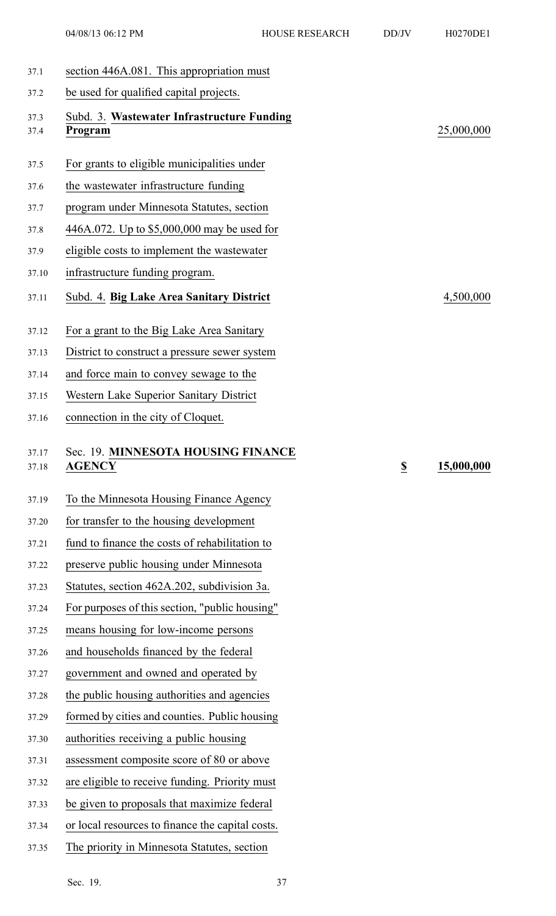- 37.1 section 446A.081. This appropriation must 37.2 be used for qualified capital projects. 37.3 Subd. 3. **Wastewater Infrastructure Funding** 37.4 **Program** 25,000,000 37.5 For grants to eligible municipalities under 37.6 the wastewater infrastructure funding 37.7 program under Minnesota Statutes, section 37.8 446A.072. Up to \$5,000,000 may be used for 37.9 eligible costs to implement the wastewater 37.10 infrastructure funding program. 37.11 Subd. 4. **Big Lake Area Sanitary District** 4,500,000 37.12 For <sup>a</sup> gran<sup>t</sup> to the Big Lake Area Sanitary 37.13 District to construct <sup>a</sup> pressure sewer system 37.14 and force main to convey sewage to the 37.15 Western Lake Superior Sanitary District 37.16 connection in the city of Cloquet. 37.17 Sec. 19. **MINNESOTA HOUSING FINANCE** 37.18 **AGENCY \$ 15,000,000** 37.19 To the Minnesota Housing Finance Agency 37.20 for transfer to the housing development 37.21 fund to finance the costs of rehabilitation to 37.22 preserve public housing under Minnesota 37.23 Statutes, section 462A.202, subdivision 3a. 37.24 For purposes of this section, "public housing" 37.25 means housing for low-income persons 37.26 and households financed by the federal 37.27 governmen<sup>t</sup> and owned and operated by 37.28 the public housing authorities and agencies
- 37.29 formed by cities and counties. Public housing
- 37.30 authorities receiving <sup>a</sup> public housing
- 37.31 assessment composite score of 80 or above
- 37.32 are eligible to receive funding. Priority must
- 37.33 be given to proposals that maximize federal
- 37.34 or local resources to finance the capital costs.
- 37.35 The priority in Minnesota Statutes, section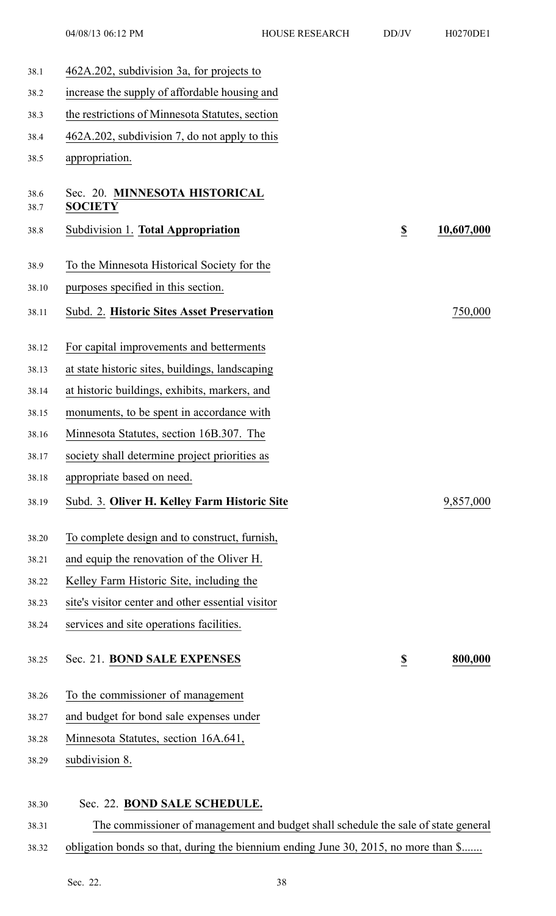| 38.1         | 462A.202, subdivision 3a, for projects to                                          |                          |            |
|--------------|------------------------------------------------------------------------------------|--------------------------|------------|
| 38.2         | increase the supply of affordable housing and                                      |                          |            |
| 38.3         | the restrictions of Minnesota Statutes, section                                    |                          |            |
| 38.4         | 462A.202, subdivision 7, do not apply to this                                      |                          |            |
| 38.5         | appropriation.                                                                     |                          |            |
| 38.6<br>38.7 | Sec. 20. MINNESOTA HISTORICAL<br><b>SOCIETY</b>                                    |                          |            |
| 38.8         | Subdivision 1. Total Appropriation                                                 | $\underline{\mathbb{S}}$ | 10,607,000 |
| 38.9         | To the Minnesota Historical Society for the                                        |                          |            |
| 38.10        | purposes specified in this section.                                                |                          |            |
| 38.11        | Subd. 2. Historic Sites Asset Preservation                                         |                          | 750,000    |
| 38.12        | For capital improvements and betterments                                           |                          |            |
| 38.13        | at state historic sites, buildings, landscaping                                    |                          |            |
| 38.14        | at historic buildings, exhibits, markers, and                                      |                          |            |
| 38.15        | monuments, to be spent in accordance with                                          |                          |            |
| 38.16        | Minnesota Statutes, section 16B.307. The                                           |                          |            |
| 38.17        | society shall determine project priorities as                                      |                          |            |
| 38.18        | appropriate based on need.                                                         |                          |            |
| 38.19        | Subd. 3. Oliver H. Kelley Farm Historic Site                                       |                          | 9,857,000  |
| 38.20        | To complete design and to construct, furnish,                                      |                          |            |
| 38.21        | and equip the renovation of the Oliver H.                                          |                          |            |
| 38.22        | Kelley Farm Historic Site, including the                                           |                          |            |
| 38.23        | site's visitor center and other essential visitor                                  |                          |            |
| 38.24        | services and site operations facilities.                                           |                          |            |
| 38.25        | Sec. 21. BOND SALE EXPENSES                                                        | $\underline{\mathbb{S}}$ | 800,000    |
| 38.26        | To the commissioner of management                                                  |                          |            |
| 38.27        | and budget for bond sale expenses under                                            |                          |            |
| 38.28        | Minnesota Statutes, section 16A.641,                                               |                          |            |
| 38.29        | subdivision 8.                                                                     |                          |            |
| 38.30        | Sec. 22. BOND SALE SCHEDULE.                                                       |                          |            |
| 38.31        | The commissioner of management and budget shall schedule the sale of state general |                          |            |

38.32 obligation bonds so that, during the biennium ending June 30, 2015, no more than \$.......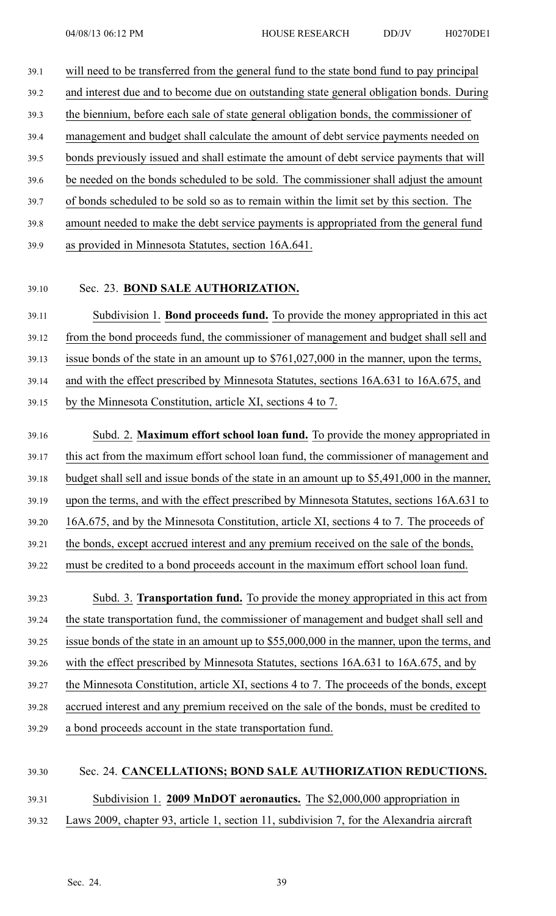- 39.1 will need to be transferred from the general fund to the state bond fund to pay principal 39.2 and interest due and to become due on outstanding state general obligation bonds. During 39.3 the biennium, before each sale of state general obligation bonds, the commissioner of 39.4 managemen<sup>t</sup> and budget shall calculate the amount of debt service payments needed on 39.5 bonds previously issued and shall estimate the amount of debt service payments that will 39.6 be needed on the bonds scheduled to be sold. The commissioner shall adjust the amount 39.7 of bonds scheduled to be sold so as to remain within the limit set by this section. The 39.8 amount needed to make the debt service payments is appropriated from the general fund
- 39.9 as provided in Minnesota Statutes, section 16A.641.
- 

## 39.10 Sec. 23. **BOND SALE AUTHORIZATION.**

39.11 Subdivision 1. **Bond proceeds fund.** To provide the money appropriated in this act 39.12 from the bond proceeds fund, the commissioner of managemen<sup>t</sup> and budget shall sell and 39.13 issue bonds of the state in an amount up to \$761,027,000 in the manner, upon the terms, 39.14 and with the effect prescribed by Minnesota Statutes, sections 16A.631 to 16A.675, and

39.15 by the Minnesota Constitution, article XI, sections 4 to 7.

39.16 Subd. 2. **Maximum effort school loan fund.** To provide the money appropriated in 39.17 this act from the maximum effort school loan fund, the commissioner of managemen<sup>t</sup> and 39.18 budget shall sell and issue bonds of the state in an amount up to \$5,491,000 in the manner, 39.19 upon the terms, and with the effect prescribed by Minnesota Statutes, sections 16A.631 to 39.20 16A.675, and by the Minnesota Constitution, article XI, sections 4 to 7. The proceeds of 39.21 the bonds, excep<sup>t</sup> accrued interest and any premium received on the sale of the bonds, 39.22 must be credited to <sup>a</sup> bond proceeds account in the maximum effort school loan fund. 39.23 Subd. 3. **Transportation fund.** To provide the money appropriated in this act from 39.24 the state transportation fund, the commissioner of managemen<sup>t</sup> and budget shall sell and

39.25 issue bonds of the state in an amount up to \$55,000,000 in the manner, upon the terms, and

39.26 with the effect prescribed by Minnesota Statutes, sections 16A.631 to 16A.675, and by

39.27 the Minnesota Constitution, article XI, sections 4 to 7. The proceeds of the bonds, excep<sup>t</sup>

39.28 accrued interest and any premium received on the sale of the bonds, must be credited to

39.29 <sup>a</sup> bond proceeds account in the state transportation fund.

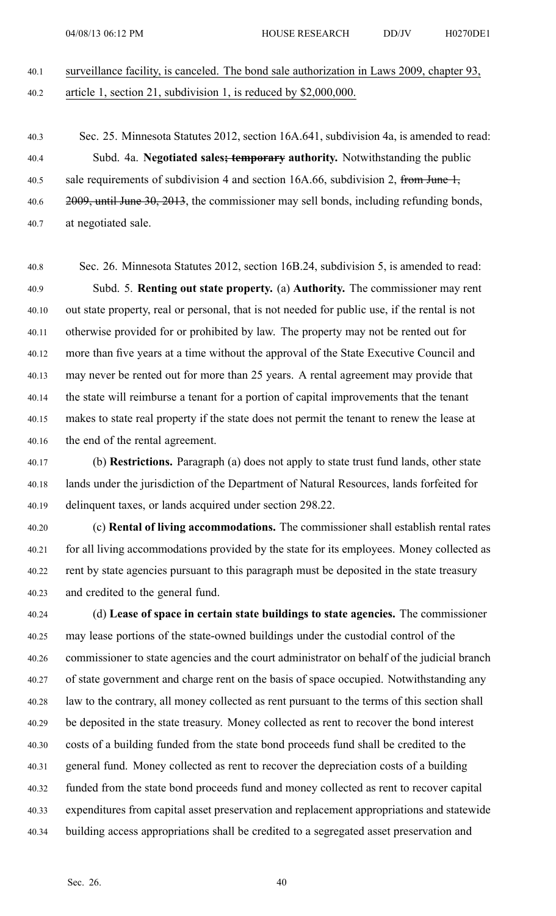## 40.1 surveillance facility, is canceled. The bond sale authorization in Laws 2009, chapter 93, 40.2 article 1, section 21, subdivision 1, is reduced by \$2,000,000.

40.3 Sec. 25. Minnesota Statutes 2012, section 16A.641, subdivision 4a, is amended to read: 40.4 Subd. 4a. **Negotiated sales; temporary authority.** Notwithstanding the public 40.5 sale requirements of subdivision 4 and section 16A.66, subdivision 2, from June  $\frac{1}{2}$ , 40.6 2009, until June 30, 2013, the commissioner may sell bonds, including refunding bonds, 40.7 at negotiated sale.

40.8 Sec. 26. Minnesota Statutes 2012, section 16B.24, subdivision 5, is amended to read: 40.9 Subd. 5. **Renting out state property.** (a) **Authority.** The commissioner may rent 40.10 out state property, real or personal, that is not needed for public use, if the rental is not 40.11 otherwise provided for or prohibited by law. The property may not be rented out for 40.12 more than five years at <sup>a</sup> time without the approval of the State Executive Council and 40.13 may never be rented out for more than 25 years. A rental agreemen<sup>t</sup> may provide that 40.14 the state will reimburse <sup>a</sup> tenant for <sup>a</sup> portion of capital improvements that the tenant 40.15 makes to state real property if the state does not permit the tenant to renew the lease at 40.16 the end of the rental agreement.

40.17 (b) **Restrictions.** Paragraph (a) does not apply to state trust fund lands, other state 40.18 lands under the jurisdiction of the Department of Natural Resources, lands forfeited for 40.19 delinquent taxes, or lands acquired under section 298.22.

40.20 (c) **Rental of living accommodations.** The commissioner shall establish rental rates 40.21 for all living accommodations provided by the state for its employees. Money collected as 40.22 rent by state agencies pursuan<sup>t</sup> to this paragraph must be deposited in the state treasury 40.23 and credited to the general fund.

40.24 (d) **Lease of space in certain state buildings to state agencies.** The commissioner 40.25 may lease portions of the state-owned buildings under the custodial control of the 40.26 commissioner to state agencies and the court administrator on behalf of the judicial branch 40.27 of state governmen<sup>t</sup> and charge rent on the basis of space occupied. Notwithstanding any 40.28 law to the contrary, all money collected as rent pursuan<sup>t</sup> to the terms of this section shall 40.29 be deposited in the state treasury. Money collected as rent to recover the bond interest 40.30 costs of <sup>a</sup> building funded from the state bond proceeds fund shall be credited to the 40.31 general fund. Money collected as rent to recover the depreciation costs of <sup>a</sup> building 40.32 funded from the state bond proceeds fund and money collected as rent to recover capital 40.33 expenditures from capital asset preservation and replacement appropriations and statewide 40.34 building access appropriations shall be credited to <sup>a</sup> segregated asset preservation and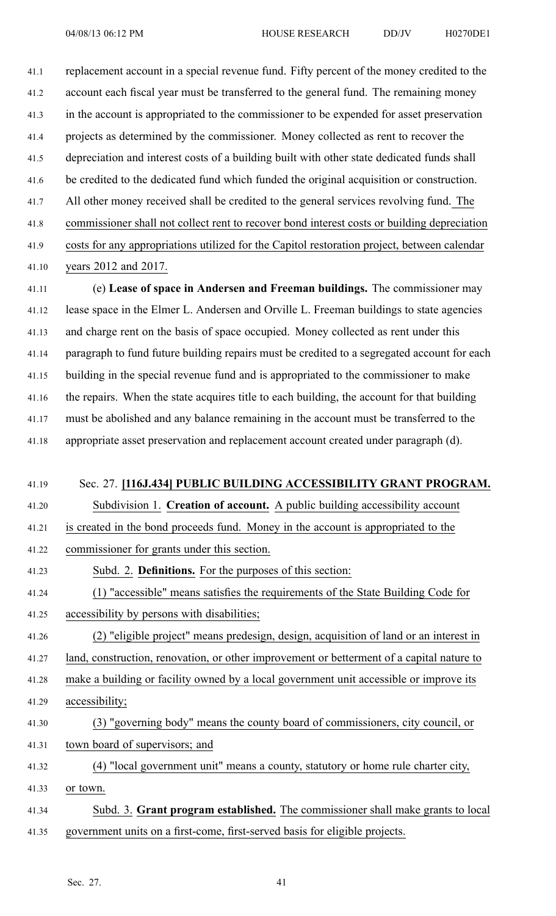41.1 replacement account in <sup>a</sup> special revenue fund. Fifty percen<sup>t</sup> of the money credited to the 41.2 account each fiscal year must be transferred to the general fund. The remaining money 41.3 in the account is appropriated to the commissioner to be expended for asset preservation 41.4 projects as determined by the commissioner. Money collected as rent to recover the 41.5 depreciation and interest costs of <sup>a</sup> building built with other state dedicated funds shall 41.6 be credited to the dedicated fund which funded the original acquisition or construction. 41.7 All other money received shall be credited to the general services revolving fund. The 41.8 commissioner shall not collect rent to recover bond interest costs or building depreciation 41.9 costs for any appropriations utilized for the Capitol restoration project, between calendar

41.10 years 2012 and 2017.

41.11 (e) **Lease of space in Andersen and Freeman buildings.** The commissioner may 41.12 lease space in the Elmer L. Andersen and Orville L. Freeman buildings to state agencies 41.13 and charge rent on the basis of space occupied. Money collected as rent under this 41.14 paragraph to fund future building repairs must be credited to <sup>a</sup> segregated account for each 41.15 building in the special revenue fund and is appropriated to the commissioner to make 41.16 the repairs. When the state acquires title to each building, the account for that building 41.17 must be abolished and any balance remaining in the account must be transferred to the 41.18 appropriate asset preservation and replacement account created under paragraph (d).

## 41.19 Sec. 27. **[116J.434] PUBLIC BUILDING ACCESSIBILITY GRANT PROGRAM.**

41.20 Subdivision 1. **Creation of account.** A public building accessibility account

41.21 is created in the bond proceeds fund. Money in the account is appropriated to the

- 41.22 commissioner for grants under this section.
- 41.23 Subd. 2. **Definitions.** For the purposes of this section:
- 41.24 (1) "accessible" means satisfies the requirements of the State Building Code for
- 41.25 accessibility by persons with disabilities;
- 41.26 (2) "eligible project" means predesign, design, acquisition of land or an interest in

41.27 land, construction, renovation, or other improvement or betterment of <sup>a</sup> capital nature to

41.28 make <sup>a</sup> building or facility owned by <sup>a</sup> local governmen<sup>t</sup> unit accessible or improve its 41.29 accessibility;

- 41.30 (3) "governing body" means the county board of commissioners, city council, or 41.31 town board of supervisors; and
- 41.32 (4) "local governmen<sup>t</sup> unit" means <sup>a</sup> county, statutory or home rule charter city,
- 41.33 or town.
- 41.34 Subd. 3. **Grant program established.** The commissioner shall make grants to local 41.35 governmen<sup>t</sup> units on <sup>a</sup> first-come, first-served basis for eligible projects.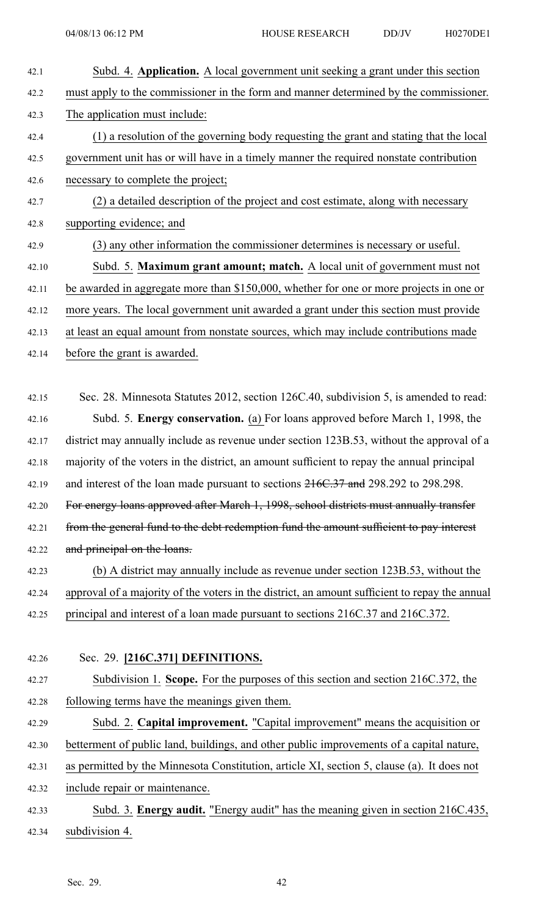| Subd. 4. Application. A local government unit seeking a grant under this section               |
|------------------------------------------------------------------------------------------------|
| must apply to the commissioner in the form and manner determined by the commissioner.          |
| The application must include:                                                                  |
| (1) a resolution of the governing body requesting the grant and stating that the local         |
| government unit has or will have in a timely manner the required nonstate contribution         |
| necessary to complete the project;                                                             |
| (2) a detailed description of the project and cost estimate, along with necessary              |
| supporting evidence; and                                                                       |
| (3) any other information the commissioner determines is necessary or useful.                  |
| Subd. 5. Maximum grant amount; match. A local unit of government must not                      |
| be awarded in aggregate more than \$150,000, whether for one or more projects in one or        |
| more years. The local government unit awarded a grant under this section must provide          |
| at least an equal amount from nonstate sources, which may include contributions made           |
| before the grant is awarded.                                                                   |
|                                                                                                |
| Sec. 28. Minnesota Statutes 2012, section 126C.40, subdivision 5, is amended to read:          |
| Subd. 5. Energy conservation. (a) For loans approved before March 1, 1998, the                 |
| district may annually include as revenue under section 123B.53, without the approval of a      |
| majority of the voters in the district, an amount sufficient to repay the annual principal     |
| and interest of the loan made pursuant to sections 216C.37 and 298.292 to 298.298.             |
| For energy loans approved after March 1, 1998, school districts must annually transfer         |
| from the general fund to the debt redemption fund the amount sufficient to pay interest        |
| and principal on the loans.                                                                    |
| (b) A district may annually include as revenue under section 123B.53, without the              |
| approval of a majority of the voters in the district, an amount sufficient to repay the annual |
| principal and interest of a loan made pursuant to sections 216C.37 and 216C.372.               |
|                                                                                                |
| Sec. 29. [216C.371] DEFINITIONS.                                                               |
| Subdivision 1. Scope. For the purposes of this section and section 216C.372, the               |
| following terms have the meanings given them.                                                  |
| Subd. 2. Capital improvement. "Capital improvement" means the acquisition or                   |
| betterment of public land, buildings, and other public improvements of a capital nature,       |
| as permitted by the Minnesota Constitution, article XI, section 5, clause (a). It does not     |
| include repair or maintenance.                                                                 |
| Subd. 3. Energy audit. "Energy audit" has the meaning given in section 216C.435,               |
| subdivision 4.                                                                                 |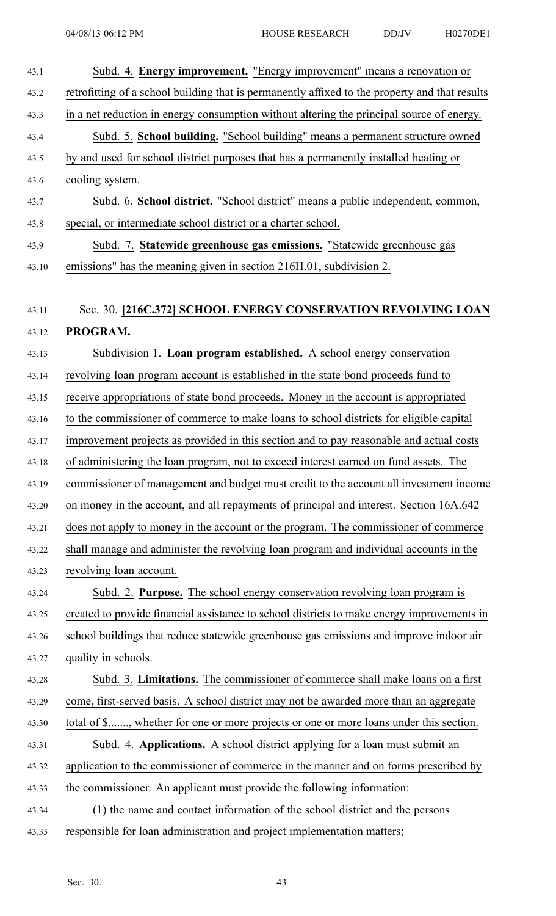| 43.1  | Subd. 4. Energy improvement. "Energy improvement" means a renovation or                        |
|-------|------------------------------------------------------------------------------------------------|
| 43.2  | retrofitting of a school building that is permanently affixed to the property and that results |
| 43.3  | in a net reduction in energy consumption without altering the principal source of energy.      |
| 43.4  | Subd. 5. School building. "School building" means a permanent structure owned                  |
| 43.5  | by and used for school district purposes that has a permanently installed heating or           |
| 43.6  | cooling system.                                                                                |
| 43.7  | Subd. 6. School district. "School district" means a public independent, common,                |
| 43.8  | special, or intermediate school district or a charter school.                                  |
| 43.9  | Subd. 7. Statewide greenhouse gas emissions. "Statewide greenhouse gas                         |
| 43.10 | emissions" has the meaning given in section 216H.01, subdivision 2.                            |
|       |                                                                                                |
| 43.11 | Sec. 30. [216C.372] SCHOOL ENERGY CONSERVATION REVOLVING LOAN                                  |
| 43.12 | PROGRAM.                                                                                       |
| 43.13 | Subdivision 1. Loan program established. A school energy conservation                          |
| 43.14 | revolving loan program account is established in the state bond proceeds fund to               |
| 43.15 | receive appropriations of state bond proceeds. Money in the account is appropriated            |
| 43.16 | to the commissioner of commerce to make loans to school districts for eligible capital         |
| 43.17 | improvement projects as provided in this section and to pay reasonable and actual costs        |
| 43.18 | of administering the loan program, not to exceed interest earned on fund assets. The           |
| 43.19 | commissioner of management and budget must credit to the account all investment income         |
| 43.20 | on money in the account, and all repayments of principal and interest. Section 16A.642         |
| 43.21 | does not apply to money in the account or the program. The commissioner of commerce            |
| 43.22 | shall manage and administer the revolving loan program and individual accounts in the          |
| 43.23 | revolving loan account.                                                                        |
| 43.24 | Subd. 2. Purpose. The school energy conservation revolving loan program is                     |
| 43.25 | created to provide financial assistance to school districts to make energy improvements in     |
| 43.26 | school buildings that reduce statewide greenhouse gas emissions and improve indoor air         |
| 43.27 | quality in schools.                                                                            |
| 43.28 | Subd. 3. Limitations. The commissioner of commerce shall make loans on a first                 |
| 43.29 | come, first-served basis. A school district may not be awarded more than an aggregate          |
| 43.30 | total of \$, whether for one or more projects or one or more loans under this section.         |
| 43.31 | Subd. 4. Applications. A school district applying for a loan must submit an                    |
| 43.32 | application to the commissioner of commerce in the manner and on forms prescribed by           |
| 43.33 | the commissioner. An applicant must provide the following information:                         |
| 43.34 | (1) the name and contact information of the school district and the persons                    |
| 43.35 | responsible for loan administration and project implementation matters;                        |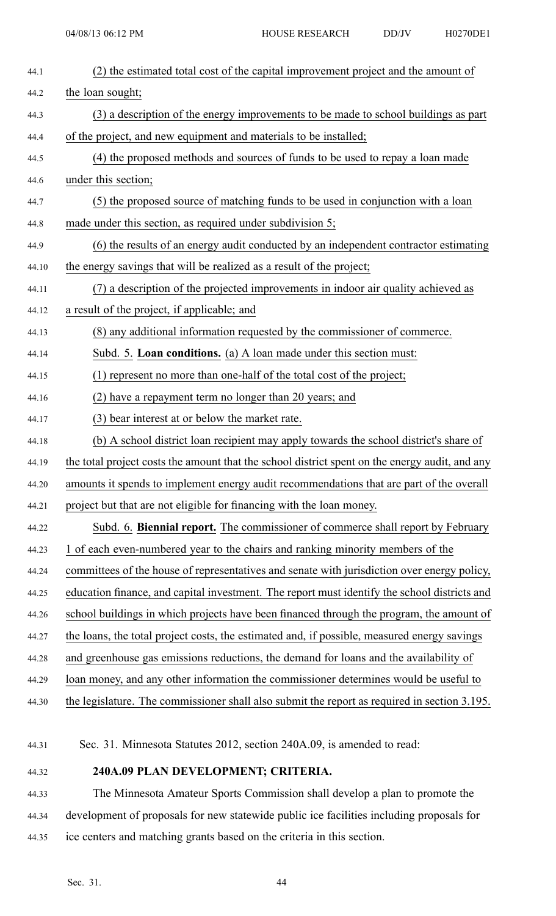| 44.1  | (2) the estimated total cost of the capital improvement project and the amount of              |
|-------|------------------------------------------------------------------------------------------------|
| 44.2  | the loan sought;                                                                               |
| 44.3  | (3) a description of the energy improvements to be made to school buildings as part            |
| 44.4  | of the project, and new equipment and materials to be installed;                               |
| 44.5  | (4) the proposed methods and sources of funds to be used to repay a loan made                  |
| 44.6  | under this section;                                                                            |
| 44.7  | (5) the proposed source of matching funds to be used in conjunction with a loan                |
| 44.8  | made under this section, as required under subdivision $5$ ;                                   |
| 44.9  | (6) the results of an energy audit conducted by an independent contractor estimating           |
| 44.10 | the energy savings that will be realized as a result of the project;                           |
| 44.11 | (7) a description of the projected improvements in indoor air quality achieved as              |
| 44.12 | a result of the project, if applicable; and                                                    |
| 44.13 | (8) any additional information requested by the commissioner of commerce.                      |
| 44.14 | Subd. 5. Loan conditions. (a) A loan made under this section must:                             |
| 44.15 | (1) represent no more than one-half of the total cost of the project;                          |
| 44.16 | (2) have a repayment term no longer than 20 years; and                                         |
| 44.17 | (3) bear interest at or below the market rate.                                                 |
| 44.18 | (b) A school district loan recipient may apply towards the school district's share of          |
| 44.19 | the total project costs the amount that the school district spent on the energy audit, and any |
| 44.20 | amounts it spends to implement energy audit recommendations that are part of the overall       |
| 44.21 | project but that are not eligible for financing with the loan money.                           |
| 44.22 | Subd. 6. Biennial report. The commissioner of commerce shall report by February                |
| 44.23 | 1 of each even-numbered year to the chairs and ranking minority members of the                 |
| 44.24 | committees of the house of representatives and senate with jurisdiction over energy policy,    |
| 44.25 | education finance, and capital investment. The report must identify the school districts and   |
| 44.26 | school buildings in which projects have been financed through the program, the amount of       |
| 44.27 | the loans, the total project costs, the estimated and, if possible, measured energy savings    |
| 44.28 | and greenhouse gas emissions reductions, the demand for loans and the availability of          |
| 44.29 | loan money, and any other information the commissioner determines would be useful to           |
| 44.30 | the legislature. The commissioner shall also submit the report as required in section 3.195.   |

- 44.31 Sec. 31. Minnesota Statutes 2012, section 240A.09, is amended to read:
- 44.32 **240A.09 PLAN DEVELOPMENT; CRITERIA.**
- 44.33 The Minnesota Amateur Sports Commission shall develop <sup>a</sup> plan to promote the 44.34 development of proposals for new statewide public ice facilities including proposals for 44.35 ice centers and matching grants based on the criteria in this section.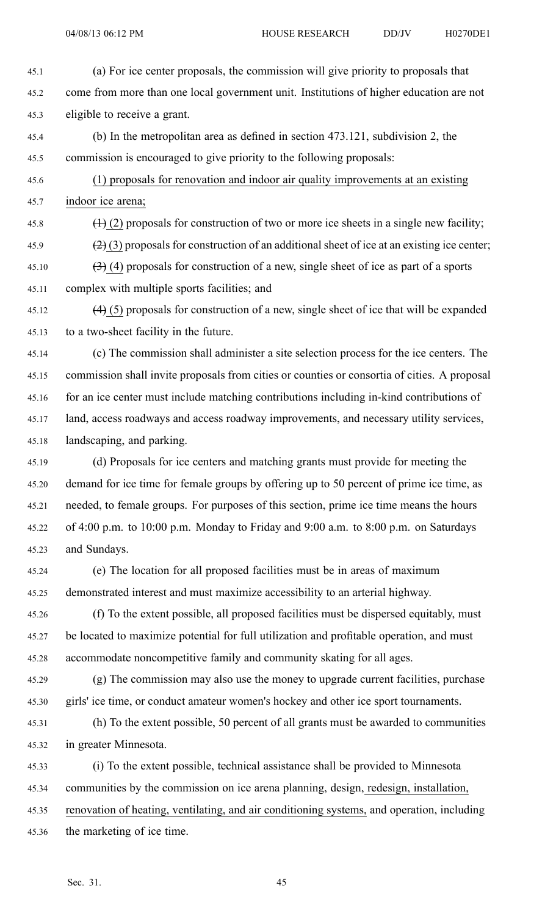04/08/13 06:12 PM HOUSE RESEARCH DD/JV H0270DE1

- 45.1 (a) For ice center proposals, the commission will give priority to proposals that 45.2 come from more than one local governmen<sup>t</sup> unit. Institutions of higher education are not 45.3 eligible to receive <sup>a</sup> grant.
- 45.4 (b) In the metropolitan area as defined in section 473.121, subdivision 2, the 45.5 commission is encouraged to give priority to the following proposals:
- 45.6 (1) proposals for renovation and indoor air quality improvements at an existing 45.7 indoor ice arena;
- 45.8  $(1)$  (2) proposals for construction of two or more ice sheets in a single new facility;
- 45.9 (2) (3) proposals for construction of an additional sheet of ice at an existing ice center;
- 45.10  $(3)$  (4) proposals for construction of a new, single sheet of ice as part of a sports 45.11 complex with multiple sports facilities; and
- 45.12  $(4)$  (5) proposals for construction of a new, single sheet of ice that will be expanded 45.13 to <sup>a</sup> two-sheet facility in the future.
- 45.14 (c) The commission shall administer <sup>a</sup> site selection process for the ice centers. The 45.15 commission shall invite proposals from cities or counties or consortia of cities. A proposal 45.16 for an ice center must include matching contributions including in-kind contributions of 45.17 land, access roadways and access roadway improvements, and necessary utility services, 45.18 landscaping, and parking.
- 45.19 (d) Proposals for ice centers and matching grants must provide for meeting the 45.20 demand for ice time for female groups by offering up to 50 percen<sup>t</sup> of prime ice time, as 45.21 needed, to female groups. For purposes of this section, prime ice time means the hours 45.22 of 4:00 p.m. to 10:00 p.m. Monday to Friday and 9:00 a.m. to 8:00 p.m. on Saturdays 45.23 and Sundays.
- 45.24 (e) The location for all proposed facilities must be in areas of maximum 45.25 demonstrated interest and must maximize accessibility to an arterial highway.
- 45.26 (f) To the extent possible, all proposed facilities must be dispersed equitably, must 45.27 be located to maximize potential for full utilization and profitable operation, and must 45.28 accommodate noncompetitive family and community skating for all ages.
- 45.29 (g) The commission may also use the money to upgrade current facilities, purchase 45.30 girls' ice time, or conduct amateur women's hockey and other ice spor<sup>t</sup> tournaments.
- 45.31 (h) To the extent possible, 50 percen<sup>t</sup> of all grants must be awarded to communities 45.32 in greater Minnesota.
- 45.33 (i) To the extent possible, technical assistance shall be provided to Minnesota 45.34 communities by the commission on ice arena planning, design, redesign, installation, 45.35 renovation of heating, ventilating, and air conditioning systems, and operation, including 45.36 the marketing of ice time.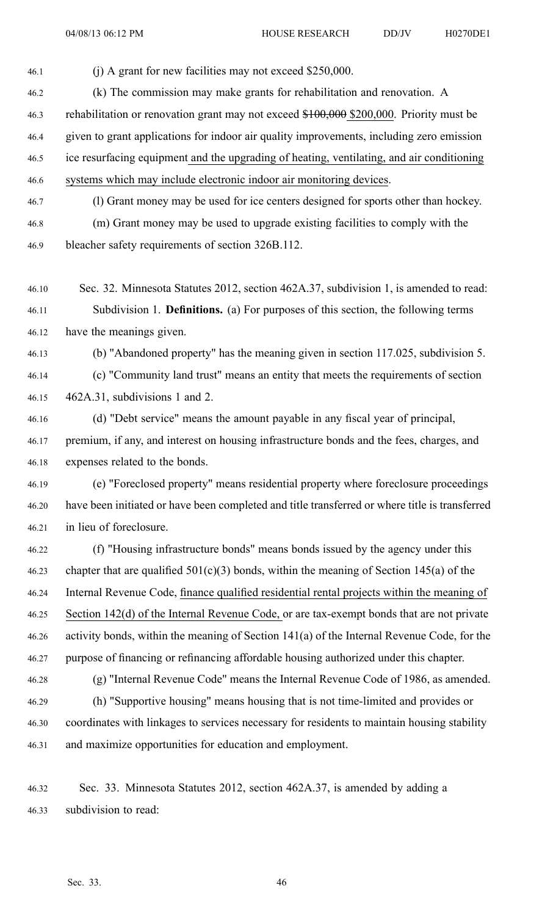46.1 (j) A gran<sup>t</sup> for new facilities may not exceed \$250,000.

- 46.2 (k) The commission may make grants for rehabilitation and renovation. A 46.3 rehabilitation or renovation grant may not exceed \$100,000 \$200,000. Priority must be 46.4 given to gran<sup>t</sup> applications for indoor air quality improvements, including zero emission 46.5 ice resurfacing equipment and the upgrading of heating, ventilating, and air conditioning 46.6 systems which may include electronic indoor air monitoring devices.
- 46.7 (l) Grant money may be used for ice centers designed for sports other than hockey. 46.8 (m) Grant money may be used to upgrade existing facilities to comply with the 46.9 bleacher safety requirements of section 326B.112.
- 46.10 Sec. 32. Minnesota Statutes 2012, section 462A.37, subdivision 1, is amended to read: 46.11 Subdivision 1. **Definitions.** (a) For purposes of this section, the following terms 46.12 have the meanings given.
- 46.13 (b) "Abandoned property" has the meaning given in section 117.025, subdivision 5.
- 46.14 (c) "Community land trust" means an entity that meets the requirements of section 46.15 462A.31, subdivisions 1 and 2.
- 46.16 (d) "Debt service" means the amount payable in any fiscal year of principal, 46.17 premium, if any, and interest on housing infrastructure bonds and the fees, charges, and 46.18 expenses related to the bonds.
- 46.19 (e) "Foreclosed property" means residential property where foreclosure proceedings 46.20 have been initiated or have been completed and title transferred or where title is transferred 46.21 in lieu of foreclosure.
- 46.22 (f) "Housing infrastructure bonds" means bonds issued by the agency under this 46.23 chapter that are qualified  $501(c)(3)$  bonds, within the meaning of Section 145(a) of the 46.24 Internal Revenue Code, finance qualified residential rental projects within the meaning of 46.25 Section 142(d) of the Internal Revenue Code, or are tax-exempt bonds that are not private 46.26 activity bonds, within the meaning of Section 141(a) of the Internal Revenue Code, for the 46.27 purpose of financing or refinancing affordable housing authorized under this chapter.
- 46.28 (g) "Internal Revenue Code" means the Internal Revenue Code of 1986, as amended. 46.29 (h) "Supportive housing" means housing that is not time-limited and provides or 46.30 coordinates with linkages to services necessary for residents to maintain housing stability 46.31 and maximize opportunities for education and employment.
- 46.32 Sec. 33. Minnesota Statutes 2012, section 462A.37, is amended by adding <sup>a</sup> 46.33 subdivision to read: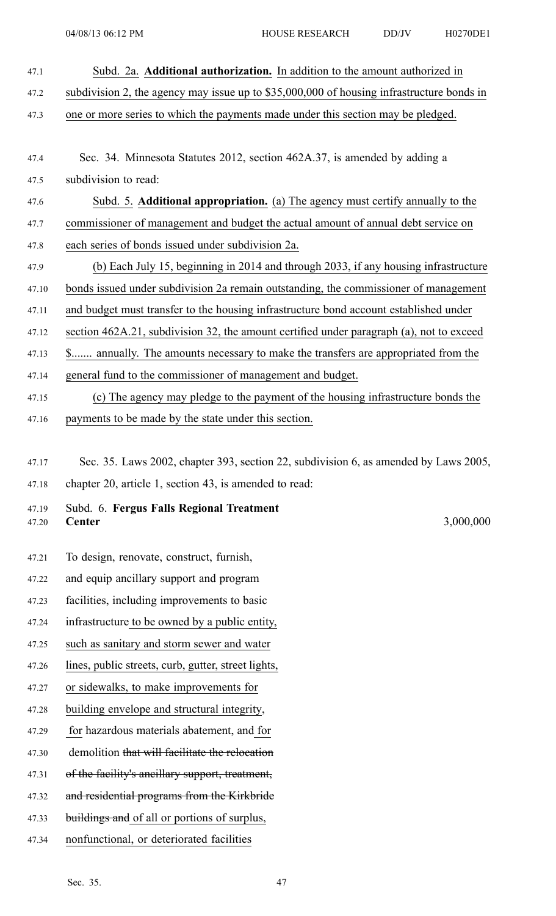- 47.1 Subd. 2a. **Additional authorization.** In addition to the amount authorized in 47.2 subdivision 2, the agency may issue up to \$35,000,000 of housing infrastructure bonds in 47.3 one or more series to which the payments made under this section may be pledged. 47.4 Sec. 34. Minnesota Statutes 2012, section 462A.37, is amended by adding <sup>a</sup> 47.5 subdivision to read: 47.6 Subd. 5. **Additional appropriation.** (a) The agency must certify annually to the 47.7 commissioner of managemen<sup>t</sup> and budget the actual amount of annual debt service on 47.8 each series of bonds issued under subdivision 2a. 47.9 (b) Each July 15, beginning in 2014 and through 2033, if any housing infrastructure 47.10 bonds issued under subdivision 2a remain outstanding, the commissioner of managemen<sup>t</sup> 47.11 and budget must transfer to the housing infrastructure bond account established under 47.12 section 462A.21, subdivision 32, the amount certified under paragraph (a), not to exceed 47.13 \$....... annually. The amounts necessary to make the transfers are appropriated from the 47.14 general fund to the commissioner of managemen<sup>t</sup> and budget.
- 47.15 (c) The agency may pledge to the paymen<sup>t</sup> of the housing infrastructure bonds the
- 47.16 payments to be made by the state under this section.
- 47.17 Sec. 35. Laws 2002, chapter 393, section 22, subdivision 6, as amended by Laws 2005, 47.18 chapter 20, article 1, section 43, is amended to read:
- 47.19 Subd. 6. **Fergus Falls Regional Treatment** 47.20 **Center** 3,000,000

- 47.21 To design, renovate, construct, furnish,
- 47.22 and equip ancillary suppor<sup>t</sup> and program
- 47.23 facilities, including improvements to basic
- 47.24 infrastructure to be owned by <sup>a</sup> public entity,
- 47.25 such as sanitary and storm sewer and water
- 47.26 lines, public streets, curb, gutter, street lights,
- 47.27 or sidewalks, to make improvements for
- 47.28 building envelope and structural integrity,
- 47.29 for hazardous materials abatement, and for
- 47.30 demolition that will facilitate the relocation
- 47.31 of the facility's ancillary support, treatment,
- 47.32 and residential programs from the Kirkbride
- 47.33 buildings and of all or portions of surplus,
- 47.34 nonfunctional, or deteriorated facilities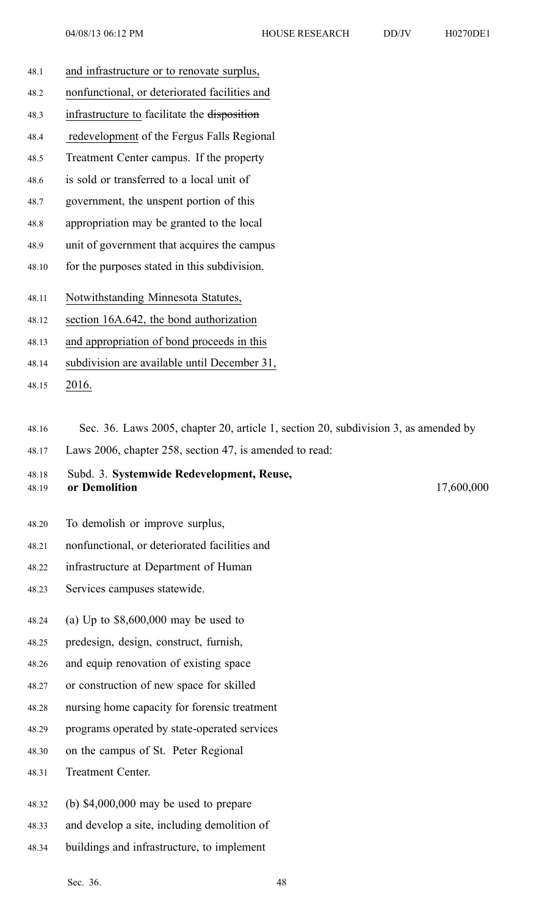- 48.1 and infrastructure or to renovate surplus,
- 48.2 nonfunctional, or deteriorated facilities and
- 48.3 infrastructure to facilitate the disposition
- 48.4 redevelopment of the Fergus Falls Regional
- 48.5 Treatment Center campus. If the property
- 48.6 is sold or transferred to <sup>a</sup> local unit of
- 48.7 government, the unspen<sup>t</sup> portion of this
- 48.8 appropriation may be granted to the local
- 48.9 unit of governmen<sup>t</sup> that acquires the campus
- 48.10 for the purposes stated in this subdivision.
- 48.11 Notwithstanding Minnesota Statutes,
- 48.12 section 16A.642, the bond authorization
- 48.13 and appropriation of bond proceeds in this
- 48.14 subdivision are available until December 31,
- 48.15 2016.
- 48.16 Sec. 36. Laws 2005, chapter 20, article 1, section 20, subdivision 3, as amended by
- 48.17 Laws 2006, chapter 258, section 47, is amended to read:

48.18 Subd. 3. **Systemwide Redevelopment, Reuse,** 48.19 **or Demolition** 17,600,000

- 48.20 To demolish or improve surplus,
- 48.21 nonfunctional, or deteriorated facilities and
- 48.22 infrastructure at Department of Human
- 48.23 Services campuses statewide.
- 48.24 (a) Up to \$8,600,000 may be used to
- 48.25 predesign, design, construct, furnish,
- 48.26 and equip renovation of existing space
- 48.27 or construction of new space for skilled
- 48.28 nursing home capacity for forensic treatment
- 48.29 programs operated by state-operated services
- 48.30 on the campus of St. Peter Regional
- 48.31 Treatment Center.
- 48.32 (b) \$4,000,000 may be used to prepare
- 48.33 and develop <sup>a</sup> site, including demolition of
- 48.34 buildings and infrastructure, to implement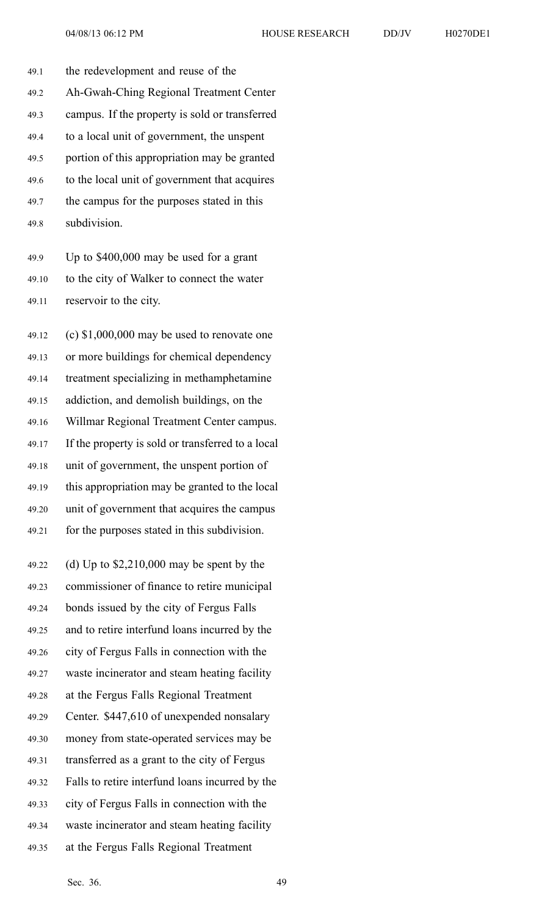49.1 the redevelopment and reuse of the 49.2 Ah-Gwah-Ching Regional Treatment Center 49.3 campus. If the property is sold or transferred 49.4 to <sup>a</sup> local unit of government, the unspen<sup>t</sup> 49.5 portion of this appropriation may be granted 49.6 to the local unit of governmen<sup>t</sup> that acquires 49.7 the campus for the purposes stated in this

49.8 subdivision.

49.9 Up to \$400,000 may be used for <sup>a</sup> gran<sup>t</sup> 49.10 to the city of Walker to connect the water 49.11 reservoir to the city.

49.12 (c) \$1,000,000 may be used to renovate one 49.13 or more buildings for chemical dependency 49.14 treatment specializing in methamphetamine 49.15 addiction, and demolish buildings, on the 49.16 Willmar Regional Treatment Center campus. 49.17 If the property is sold or transferred to <sup>a</sup> local 49.18 unit of government, the unspen<sup>t</sup> portion of 49.19 this appropriation may be granted to the local 49.20 unit of governmen<sup>t</sup> that acquires the campus 49.21 for the purposes stated in this subdivision.

49.22 (d) Up to \$2,210,000 may be spen<sup>t</sup> by the 49.23 commissioner of finance to retire municipal 49.24 bonds issued by the city of Fergus Falls 49.25 and to retire interfund loans incurred by the 49.26 city of Fergus Falls in connection with the 49.27 waste incinerator and steam heating facility 49.28 at the Fergus Falls Regional Treatment 49.29 Center. \$447,610 of unexpended nonsalary 49.30 money from state-operated services may be 49.31 transferred as <sup>a</sup> gran<sup>t</sup> to the city of Fergus 49.32 Falls to retire interfund loans incurred by the 49.33 city of Fergus Falls in connection with the 49.34 waste incinerator and steam heating facility 49.35 at the Fergus Falls Regional Treatment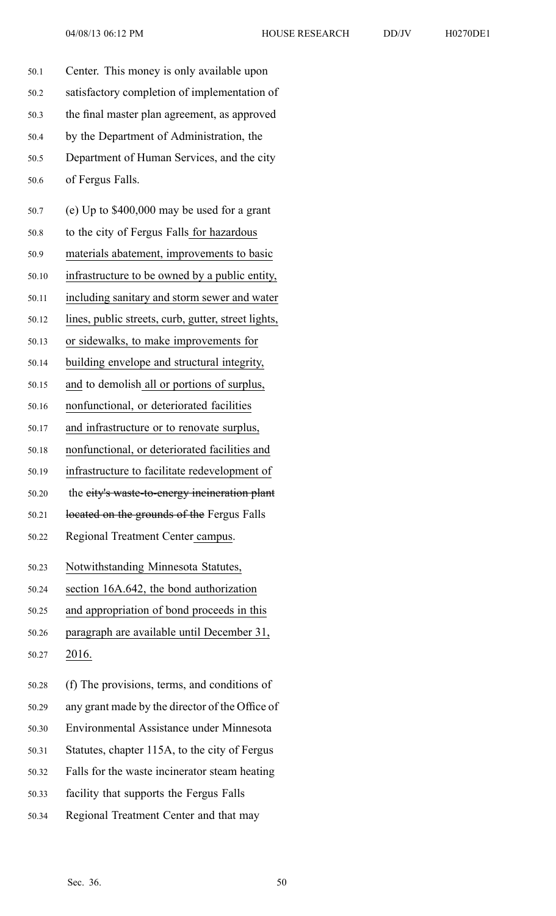| 50.1  | Center. This money is only available upon           |
|-------|-----------------------------------------------------|
| 50.2  | satisfactory completion of implementation of        |
| 50.3  | the final master plan agreement, as approved        |
| 50.4  | by the Department of Administration, the            |
| 50.5  | Department of Human Services, and the city          |
| 50.6  | of Fergus Falls.                                    |
| 50.7  | (e) Up to $$400,000$ may be used for a grant        |
| 50.8  | to the city of Fergus Falls for hazardous           |
| 50.9  | materials abatement, improvements to basic          |
| 50.10 | infrastructure to be owned by a public entity,      |
| 50.11 | including sanitary and storm sewer and water        |
| 50.12 | lines, public streets, curb, gutter, street lights, |
| 50.13 | or sidewalks, to make improvements for              |
| 50.14 | building envelope and structural integrity,         |
| 50.15 | and to demolish all or portions of surplus,         |
| 50.16 | nonfunctional, or deteriorated facilities           |
| 50.17 | and infrastructure or to renovate surplus,          |
| 50.18 | nonfunctional, or deteriorated facilities and       |
| 50.19 | infrastructure to facilitate redevelopment of       |
| 50.20 | the eity's waste-to-energy incineration plant       |
| 50.21 | located on the grounds of the Fergus Falls          |
| 50.22 | Regional Treatment Center campus.                   |
| 50.23 | Notwithstanding Minnesota Statutes,                 |
| 50.24 | section 16A.642, the bond authorization             |
| 50.25 | and appropriation of bond proceeds in this          |
| 50.26 | paragraph are available until December 31,          |
| 50.27 | 2016.                                               |
| 50.28 | (f) The provisions, terms, and conditions of        |
| 50.29 | any grant made by the director of the Office of     |
| 50.30 | Environmental Assistance under Minnesota            |
| 50.31 | Statutes, chapter 115A, to the city of Fergus       |
| 50.32 | Falls for the waste incinerator steam heating       |

- 50.33 facility that supports the Fergus Falls
- 50.34 Regional Treatment Center and that may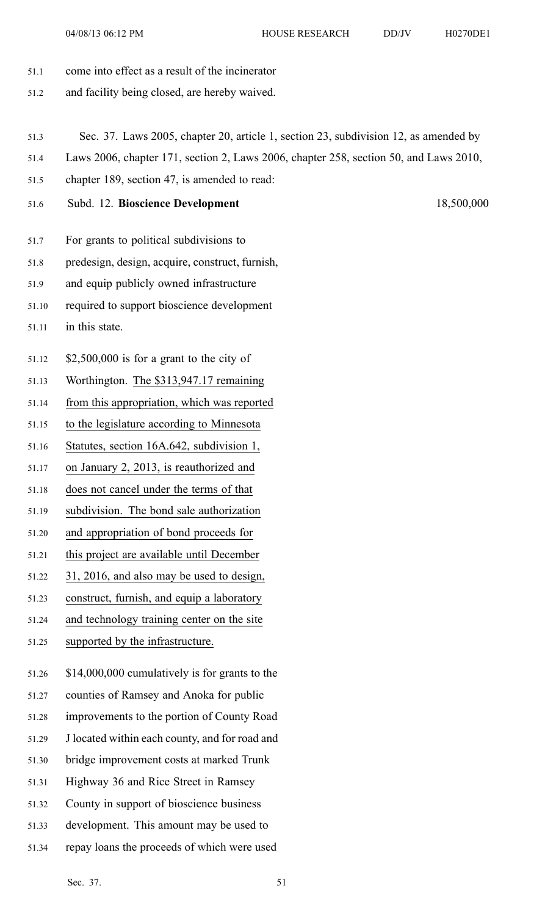- 51.1 come into effect as <sup>a</sup> result of the incinerator
- 51.2 and facility being closed, are hereby waived.
- 51.3 Sec. 37. Laws 2005, chapter 20, article 1, section 23, subdivision 12, as amended by
- 51.4 Laws 2006, chapter 171, section 2, Laws 2006, chapter 258, section 50, and Laws 2010,
- 51.5 chapter 189, section 47, is amended to read:
- 51.6 Subd. 12. **Bioscience Development** 18,500,000
- 51.7 For grants to political subdivisions to
- 51.8 predesign, design, acquire, construct, furnish,
- 51.9 and equip publicly owned infrastructure
- 51.10 required to suppor<sup>t</sup> bioscience development
- 51.11 in this state.
- 51.12 \$2,500,000 is for <sup>a</sup> gran<sup>t</sup> to the city of
- 51.13 Worthington. The \$313,947.17 remaining
- 51.14 from this appropriation, which was reported
- 51.15 to the legislature according to Minnesota
- 51.16 Statutes, section 16A.642, subdivision 1,
- 51.17 on January 2, 2013, is reauthorized and
- 51.18 does not cancel under the terms of that
- 51.19 subdivision. The bond sale authorization
- 51.20 and appropriation of bond proceeds for
- 51.21 this project are available until December
- 51.22 31, 2016, and also may be used to design,
- 51.23 construct, furnish, and equip <sup>a</sup> laboratory
- 51.24 and technology training center on the site
- 51.25 supported by the infrastructure.
- 51.26 \$14,000,000 cumulatively is for grants to the
- 51.27 counties of Ramsey and Anoka for public
- 51.28 improvements to the portion of County Road
- 51.29 J located within each county, and for road and
- 51.30 bridge improvement costs at marked Trunk
- 51.31 Highway 36 and Rice Street in Ramsey
- 51.32 County in suppor<sup>t</sup> of bioscience business
- 51.33 development. This amount may be used to
- 51.34 repay loans the proceeds of which were used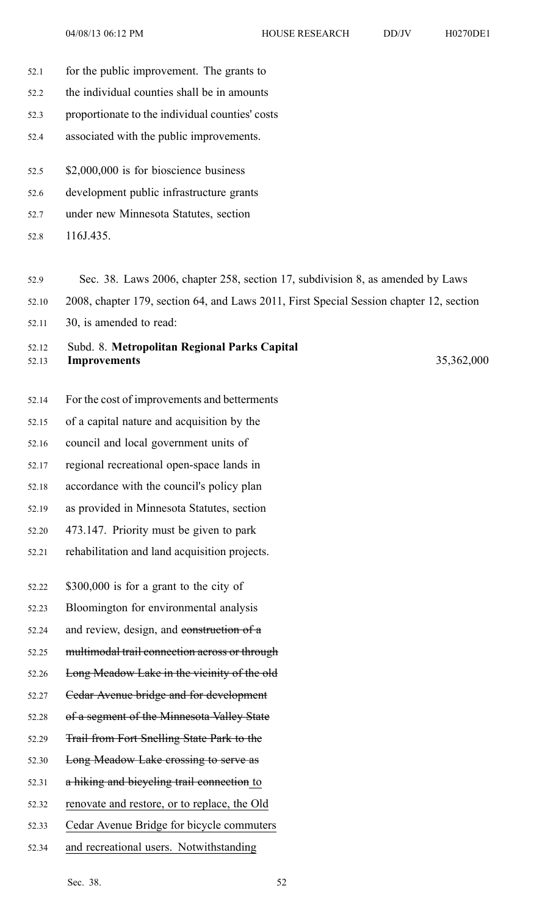- 52.1 for the public improvement. The grants to
- 52.2 the individual counties shall be in amounts
- 52.3 proportionate to the individual counties' costs
- 52.4 associated with the public improvements.
- 52.5 \$2,000,000 is for bioscience business
- 52.6 development public infrastructure grants
- 52.7 under new Minnesota Statutes, section
- 52.8 116J.435.
- 52.9 Sec. 38. Laws 2006, chapter 258, section 17, subdivision 8, as amended by Laws
- 52.10 2008, chapter 179, section 64, and Laws 2011, First Special Session chapter 12, section
- 52.11 30, is amended to read:

## 52.12 Subd. 8. **Metropolitan Regional Parks Capital** 52.13 **Improvements** 35,362,000

- 52.14 For the cost of improvements and betterments
- 52.15 of <sup>a</sup> capital nature and acquisition by the
- 52.16 council and local governmen<sup>t</sup> units of
- 52.17 regional recreational open-space lands in
- 52.18 accordance with the council's policy plan
- 52.19 as provided in Minnesota Statutes, section
- 52.20 473.147. Priority must be given to park
- 52.21 rehabilitation and land acquisition projects.
- 52.22 \$300,000 is for <sup>a</sup> gran<sup>t</sup> to the city of
- 52.23 Bloomington for environmental analysis
- 52.24 and review, design, and construction of <sup>a</sup>
- 52.25 multimodal trail connection across or through
- 52.26 Long Meadow Lake in the vicinity of the old
- 52.27 Cedar Avenue bridge and for development
- 52.28 of <sup>a</sup> segmen<sup>t</sup> of the Minnesota Valley State
- 52.29 Trail from Fort Snelling State Park to the
- 52.30 Long Meadow Lake crossing to serve as
- 52.31 <sup>a</sup> hiking and bicycling trail connection to
- 52.32 renovate and restore, or to replace, the Old
- 52.33 Cedar Avenue Bridge for bicycle commuters
- 52.34 and recreational users. Notwithstanding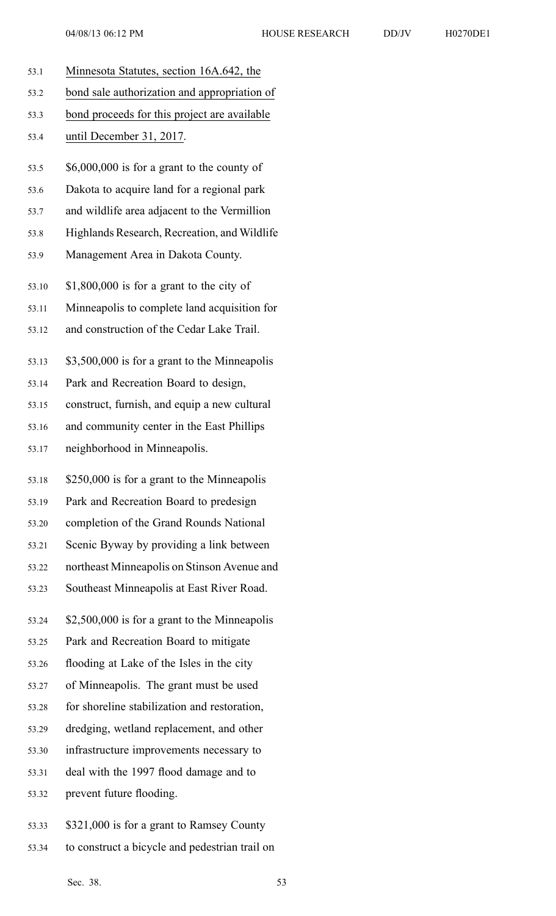- 53.1 Minnesota Statutes, section 16A.642, the 53.2 bond sale authorization and appropriation of 53.3 bond proceeds for this project are available 53.4 until December 31, 2017. 53.5 \$6,000,000 is for <sup>a</sup> gran<sup>t</sup> to the county of 53.6 Dakota to acquire land for <sup>a</sup> regional park 53.7 and wildlife area adjacent to the Vermillion 53.8 Highlands Research, Recreation, and Wildlife 53.9 Management Area in Dakota County. 53.10 \$1,800,000 is for <sup>a</sup> gran<sup>t</sup> to the city of 53.11 Minneapolis to complete land acquisition for 53.12 and construction of the Cedar Lake Trail. 53.13 \$3,500,000 is for <sup>a</sup> gran<sup>t</sup> to the Minneapolis 53.14 Park and Recreation Board to design, 53.15 construct, furnish, and equip <sup>a</sup> new cultural 53.16 and community center in the East Phillips 53.17 neighborhood in Minneapolis. 53.18 \$250,000 is for <sup>a</sup> gran<sup>t</sup> to the Minneapolis 53.19 Park and Recreation Board to predesign 53.20 completion of the Grand Rounds National 53.21 Scenic Byway by providing <sup>a</sup> link between 53.22 northeast Minneapolis on Stinson Avenue and 53.23 Southeast Minneapolis at East River Road. 53.24 \$2,500,000 is for <sup>a</sup> gran<sup>t</sup> to the Minneapolis 53.25 Park and Recreation Board to mitigate 53.26 flooding at Lake of the Isles in the city 53.27 of Minneapolis. The gran<sup>t</sup> must be used 53.28 for shoreline stabilization and restoration, 53.29 dredging, wetland replacement, and other 53.30 infrastructure improvements necessary to 53.31 deal with the 1997 flood damage and to 53.32 preven<sup>t</sup> future flooding. 53.33 \$321,000 is for <sup>a</sup> gran<sup>t</sup> to Ramsey County
- 53.34 to construct <sup>a</sup> bicycle and pedestrian trail on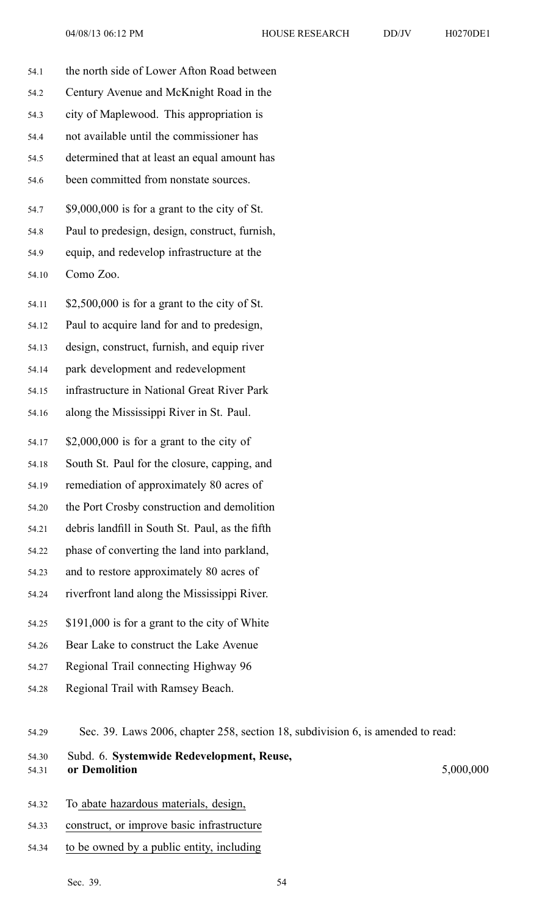- 
- 54.1 the north side of Lower Afton Road between 54.2 Century Avenue and McKnight Road in the 54.3 city of Maplewood. This appropriation is 54.4 not available until the commissioner has 54.5 determined that at least an equal amount has 54.6 been committed from nonstate sources. 54.7 \$9,000,000 is for <sup>a</sup> gran<sup>t</sup> to the city of St. 54.8 Paul to predesign, design, construct, furnish, 54.9 equip, and redevelop infrastructure at the 54.10 Como Zoo. 54.11 \$2,500,000 is for <sup>a</sup> gran<sup>t</sup> to the city of St. 54.12 Paul to acquire land for and to predesign, 54.13 design, construct, furnish, and equip river 54.14 park development and redevelopment 54.15 infrastructure in National Great River Park 54.16 along the Mississippi River in St. Paul. 54.17 \$2,000,000 is for <sup>a</sup> gran<sup>t</sup> to the city of 54.18 South St. Paul for the closure, capping, and 54.19 remediation of approximately 80 acres of 54.20 the Port Crosby construction and demolition 54.21 debris landfill in South St. Paul, as the fifth 54.22 phase of converting the land into parkland, 54.23 and to restore approximately 80 acres of 54.24 riverfront land along the Mississippi River. 54.25 \$191,000 is for <sup>a</sup> gran<sup>t</sup> to the city of White 54.26 Bear Lake to construct the Lake Avenue 54.27 Regional Trail connecting Highway 96 54.28 Regional Trail with Ramsey Beach. 54.29 Sec. 39. Laws 2006, chapter 258, section 18, subdivision 6, is amended to read: 54.30 Subd. 6. **Systemwide Redevelopment, Reuse,**
- 54.31 **or Demolition** 5,000,000
- 54.32 To abate hazardous materials, design,
- 54.33 construct, or improve basic infrastructure
- 54.34 to be owned by <sup>a</sup> public entity, including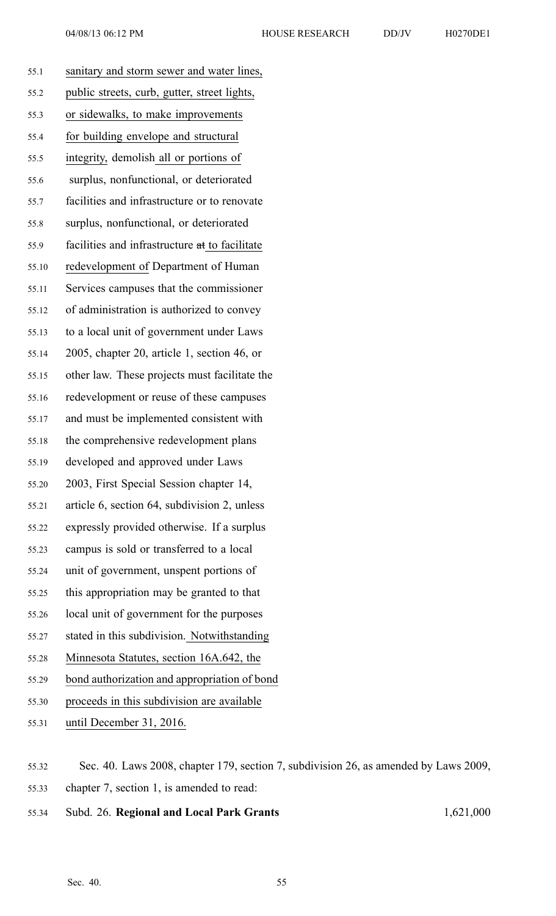| H0270DE1 |  |
|----------|--|

| 55.1  | sanitary and storm sewer and water lines,                                                                                                      |
|-------|------------------------------------------------------------------------------------------------------------------------------------------------|
| 55.2  | public streets, curb, gutter, street lights,                                                                                                   |
| 55.3  | or sidewalks, to make improvements                                                                                                             |
| 55.4  | for building envelope and structural                                                                                                           |
| 55.5  | integrity, demolish all or portions of                                                                                                         |
| 55.6  | surplus, nonfunctional, or deteriorated                                                                                                        |
| 55.7  | facilities and infrastructure or to renovate                                                                                                   |
| 55.8  | surplus, nonfunctional, or deteriorated                                                                                                        |
| 55.9  | facilities and infrastructure at to facilitate                                                                                                 |
| 55.10 | redevelopment of Department of Human                                                                                                           |
| 55.11 | Services campuses that the commissioner                                                                                                        |
| 55.12 | of administration is authorized to convey                                                                                                      |
| 55.13 | to a local unit of government under Laws                                                                                                       |
| 55.14 | 2005, chapter 20, article 1, section 46, or                                                                                                    |
| 55.15 | other law. These projects must facilitate the                                                                                                  |
| 55.16 | redevelopment or reuse of these campuses                                                                                                       |
| 55.17 | and must be implemented consistent with                                                                                                        |
| 55.18 | the comprehensive redevelopment plans                                                                                                          |
| 55.19 | developed and approved under Laws                                                                                                              |
| 55.20 | 2003, First Special Session chapter 14,                                                                                                        |
| 55.21 | article 6, section 64, subdivision 2, unless                                                                                                   |
| 55.22 | expressly provided otherwise. If a surplus                                                                                                     |
| 55.23 | campus is sold or transferred to a local                                                                                                       |
| 55.24 | unit of government, unspent portions of                                                                                                        |
| 55.25 | this appropriation may be granted to that                                                                                                      |
| 55.26 | local unit of government for the purposes                                                                                                      |
| 55.27 | stated in this subdivision. Notwithstanding                                                                                                    |
| 55.28 | Minnesota Statutes, section 16A.642, the                                                                                                       |
| 55.29 | bond authorization and appropriation of bond                                                                                                   |
| 55.30 | proceeds in this subdivision are available                                                                                                     |
| 55.31 | until December 31, 2016.                                                                                                                       |
|       | $\alpha$ $\alpha$ $\beta$ $\alpha$ $\beta$ $\alpha$ $\beta$ $\beta$ $\beta$ $\beta$ $\beta$ $\beta$ $\gamma$ $\beta$ $\gamma$ $\beta$ $\gamma$ |
|       |                                                                                                                                                |

55.32 Sec. 40. Laws 2008, chapter 179, section 7, subdivision 26, as amended by Laws 2009, 55.33 chapter 7, section 1, is amended to read:

55.34 Subd. 26. **Regional and Local Park Grants** 1,621,000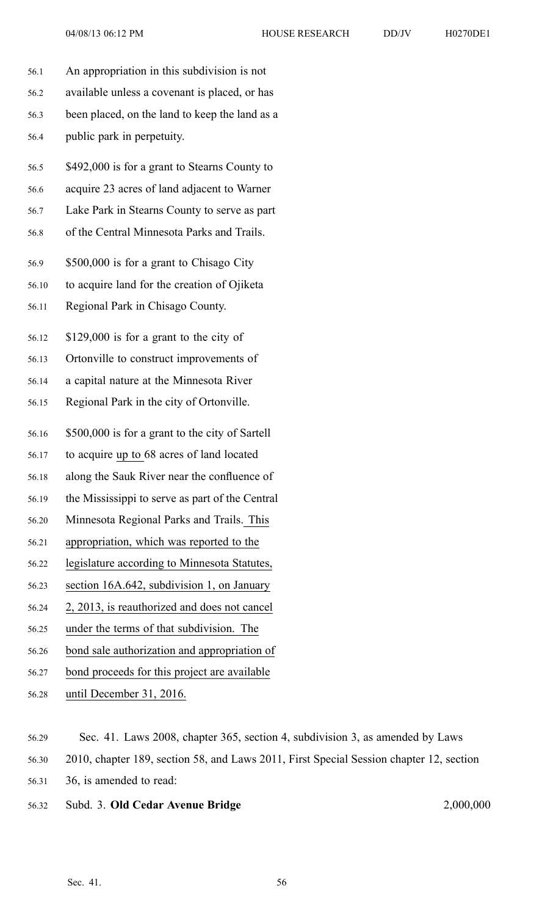- 56.1 An appropriation in this subdivision is not 56.2 available unless <sup>a</sup> covenant is placed, or has 56.3 been placed, on the land to keep the land as <sup>a</sup> 56.4 public park in perpetuity. 56.5 \$492,000 is for <sup>a</sup> gran<sup>t</sup> to Stearns County to 56.6 acquire 23 acres of land adjacent to Warner 56.7 Lake Park in Stearns County to serve as par<sup>t</sup> 56.8 of the Central Minnesota Parks and Trails. 56.9 \$500,000 is for <sup>a</sup> gran<sup>t</sup> to Chisago City 56.10 to acquire land for the creation of Ojiketa 56.11 Regional Park in Chisago County. 56.12 \$129,000 is for <sup>a</sup> gran<sup>t</sup> to the city of 56.13 Ortonville to construct improvements of 56.14 <sup>a</sup> capital nature at the Minnesota River 56.15 Regional Park in the city of Ortonville. 56.16 \$500,000 is for <sup>a</sup> gran<sup>t</sup> to the city of Sartell 56.17 to acquire up to 68 acres of land located 56.18 along the Sauk River near the confluence of 56.19 the Mississippi to serve as par<sup>t</sup> of the Central 56.20 Minnesota Regional Parks and Trails. This 56.21 appropriation, which was reported to the 56.22 legislature according to Minnesota Statutes,
- 56.23 section 16A.642, subdivision 1, on January
- 56.24 2, 2013, is reauthorized and does not cancel
- 56.25 under the terms of that subdivision. The
- 56.26 bond sale authorization and appropriation of
- 56.27 bond proceeds for this project are available
- 56.28 until December 31, 2016.
- 56.29 Sec. 41. Laws 2008, chapter 365, section 4, subdivision 3, as amended by Laws
- 56.30 2010, chapter 189, section 58, and Laws 2011, First Special Session chapter 12, section
- 56.31 36, is amended to read:
- 56.32 Subd. 3. **Old Cedar Avenue Bridge** 2,000,000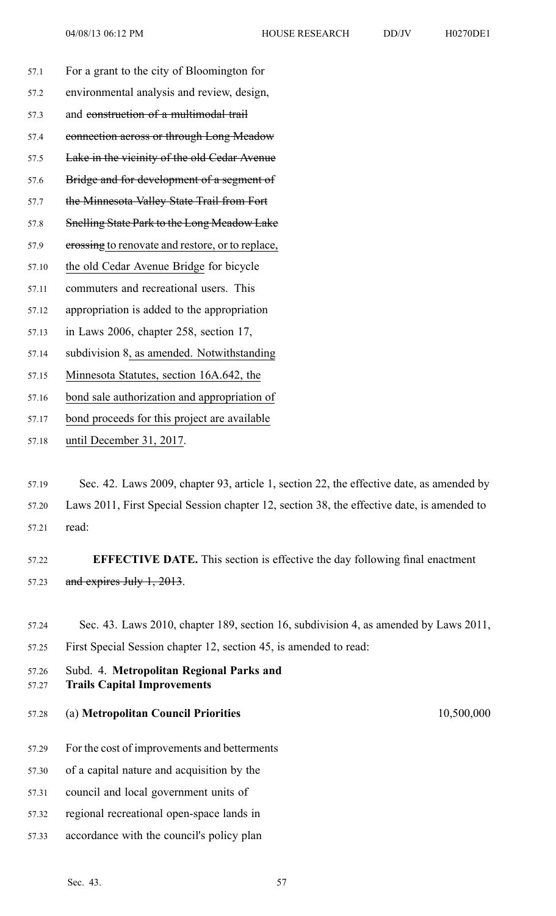- 57.1 For <sup>a</sup> gran<sup>t</sup> to the city of Bloomington for 57.2 environmental analysis and review, design, 57.3 and construction of <sup>a</sup> multimodal trail 57.4 connection across or through Long Meadow 57.5 Lake in the vicinity of the old Cedar Avenue 57.6 Bridge and for development of a segment of 57.7 the Minnesota Valley State Trail from Fort 57.8 Snelling State Park to the Long Meadow Lake 57.9 erossing to renovate and restore, or to replace, 57.10 the old Cedar Avenue Bridge for bicycle 57.11 commuters and recreational users. This 57.12 appropriation is added to the appropriation 57.13 in Laws 2006, chapter 258, section 17, 57.14 subdivision 8, as amended. Notwithstanding 57.15 Minnesota Statutes, section 16A.642, the
- 57.16 bond sale authorization and appropriation of
- 57.17 bond proceeds for this project are available
- 57.18 until December 31, 2017.

57.19 Sec. 42. Laws 2009, chapter 93, article 1, section 22, the effective date, as amended by 57.20 Laws 2011, First Special Session chapter 12, section 38, the effective date, is amended to 57.21 read:

57.22 **EFFECTIVE DATE.** This section is effective the day following final enactment 57.23 and expires July 1, 2013.

- 57.24 Sec. 43. Laws 2010, chapter 189, section 16, subdivision 4, as amended by Laws 2011, 57.25 First Special Session chapter 12, section 45, is amended to read:
- 57.26 Subd. 4. **Metropolitan Regional Parks and** 57.27 **Trails Capital Improvements**
- 57.28 (a) **Metropolitan Council Priorities** 10,500,000
- 57.29 For the cost of improvements and betterments
- 57.30 of <sup>a</sup> capital nature and acquisition by the
- 57.31 council and local governmen<sup>t</sup> units of
- 57.32 regional recreational open-space lands in
- 57.33 accordance with the council's policy plan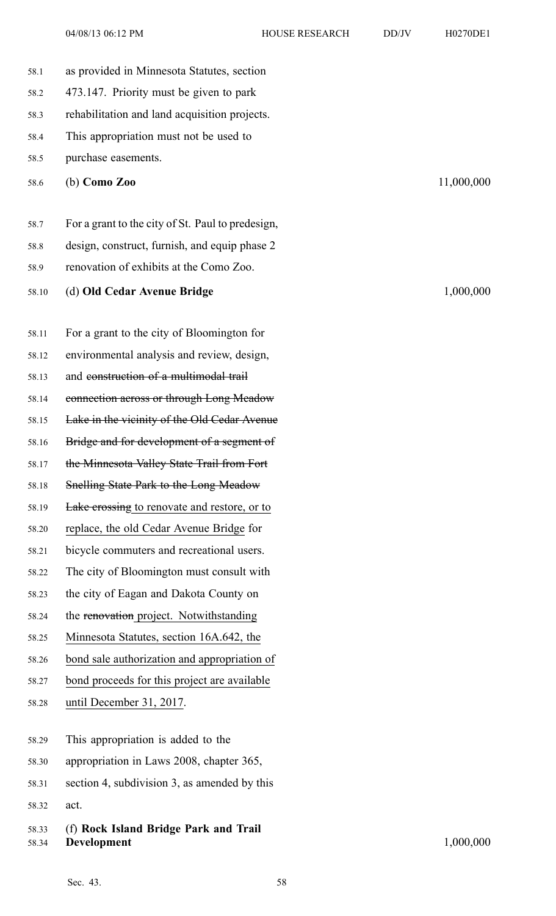04/08/13 06:12 PM HOUSE RESEARCH DD/JV H0270DE1

58.1 as provided in Minnesota Statutes, section 58.2 473.147. Priority must be given to park 58.3 rehabilitation and land acquisition projects. 58.4 This appropriation must not be used to 58.5 purchase easements. 58.6 (b) **Como Zoo** 11,000,000 58.7 For <sup>a</sup> gran<sup>t</sup> to the city of St. Paul to predesign, 58.8 design, construct, furnish, and equip phase 2 58.9 renovation of exhibits at the Como Zoo. 58.10 (d) **Old Cedar Avenue Bridge** 1,000,000 58.11 For <sup>a</sup> gran<sup>t</sup> to the city of Bloomington for 58.12 environmental analysis and review, design, 58.13 and construction of <sup>a</sup> multimodal trail 58.14 connection across or through Long Meadow 58.15 Lake in the vicinity of the Old Cedar Avenue 58.16 Bridge and for development of a segment of 58.17 the Minnesota Valley State Trail from Fort 58.18 Snelling State Park to the Long Meadow 58.19 **Lake crossing to renovate and restore, or to** 58.20 replace, the old Cedar Avenue Bridge for 58.21 bicycle commuters and recreational users. 58.22 The city of Bloomington must consult with 58.23 the city of Eagan and Dakota County on 58.24 the renovation project. Notwithstanding 58.25 Minnesota Statutes, section 16A.642, the 58.26 bond sale authorization and appropriation of 58.27 bond proceeds for this project are available 58.28 until December 31, 2017. 58.29 This appropriation is added to the 58.30 appropriation in Laws 2008, chapter 365, 58.31 section 4, subdivision 3, as amended by this 58.32 act. 58.33 (f) **Rock Island Bridge Park and Trail** 58.34 **Development** 1,000,000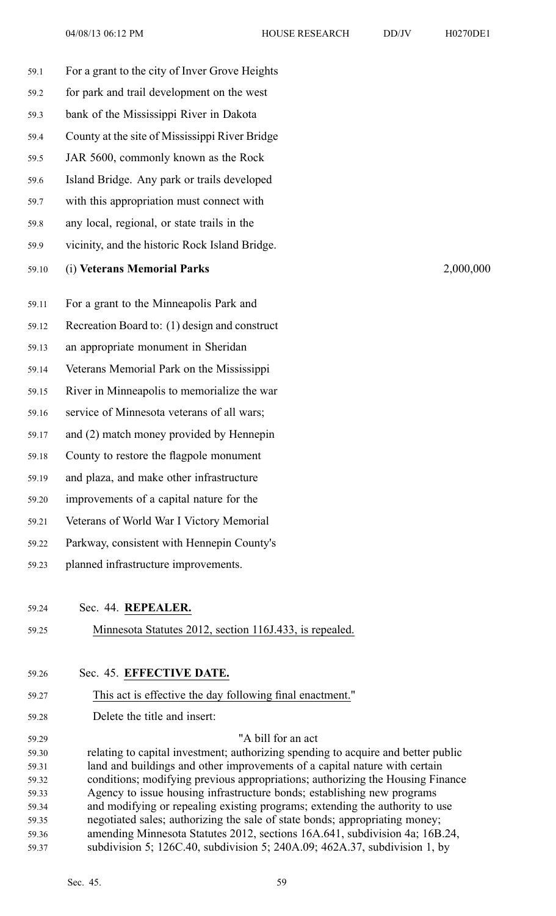| 59.1           | For a grant to the city of Inver Grove Heights                                                                                                          |
|----------------|---------------------------------------------------------------------------------------------------------------------------------------------------------|
| 59.2           | for park and trail development on the west                                                                                                              |
| 59.3           | bank of the Mississippi River in Dakota                                                                                                                 |
| 59.4           | County at the site of Mississippi River Bridge                                                                                                          |
| 59.5           | JAR 5600, commonly known as the Rock                                                                                                                    |
| 59.6           | Island Bridge. Any park or trails developed                                                                                                             |
| 59.7           | with this appropriation must connect with                                                                                                               |
|                |                                                                                                                                                         |
| 59.8           | any local, regional, or state trails in the                                                                                                             |
| 59.9           | vicinity, and the historic Rock Island Bridge.                                                                                                          |
| 59.10          | (i) Veterans Memorial Parks<br>2,000,000                                                                                                                |
| 59.11          | For a grant to the Minneapolis Park and                                                                                                                 |
| 59.12          | Recreation Board to: (1) design and construct                                                                                                           |
| 59.13          | an appropriate monument in Sheridan                                                                                                                     |
| 59.14          | Veterans Memorial Park on the Mississippi                                                                                                               |
| 59.15          | River in Minneapolis to memorialize the war                                                                                                             |
| 59.16          | service of Minnesota veterans of all wars;                                                                                                              |
| 59.17          | and (2) match money provided by Hennepin                                                                                                                |
| 59.18          | County to restore the flagpole monument                                                                                                                 |
|                | and plaza, and make other infrastructure                                                                                                                |
| 59.19          |                                                                                                                                                         |
| 59.20          | improvements of a capital nature for the                                                                                                                |
| 59.21          | Veterans of World War I Victory Memorial                                                                                                                |
| 59.22          | Parkway, consistent with Hennepin County's                                                                                                              |
| 59.23          | planned infrastructure improvements.                                                                                                                    |
| 59.24          | Sec. 44. REPEALER.                                                                                                                                      |
| 59.25          | Minnesota Statutes 2012, section 116J.433, is repealed.                                                                                                 |
|                |                                                                                                                                                         |
| 59.26          | Sec. 45. EFFECTIVE DATE.                                                                                                                                |
| 59.27          | This act is effective the day following final enactment."                                                                                               |
| 59.28          | Delete the title and insert:                                                                                                                            |
| 59.29          | "A bill for an act                                                                                                                                      |
| 59.30          | relating to capital investment; authorizing spending to acquire and better public                                                                       |
| 59.31          | land and buildings and other improvements of a capital nature with certain                                                                              |
| 59.32          | conditions; modifying previous appropriations; authorizing the Housing Finance                                                                          |
| 59.33<br>59.34 | Agency to issue housing infrastructure bonds; establishing new programs<br>and modifying or repealing existing programs; extending the authority to use |
| 59.35          | negotiated sales; authorizing the sale of state bonds; appropriating money;                                                                             |
| 59.36          | amending Minnesota Statutes 2012, sections 16A.641, subdivision 4a; 16B.24,                                                                             |
|                |                                                                                                                                                         |

59.37 subdivision 5; 126C.40, subdivision 5; 240A.09; 462A.37, subdivision 1, by